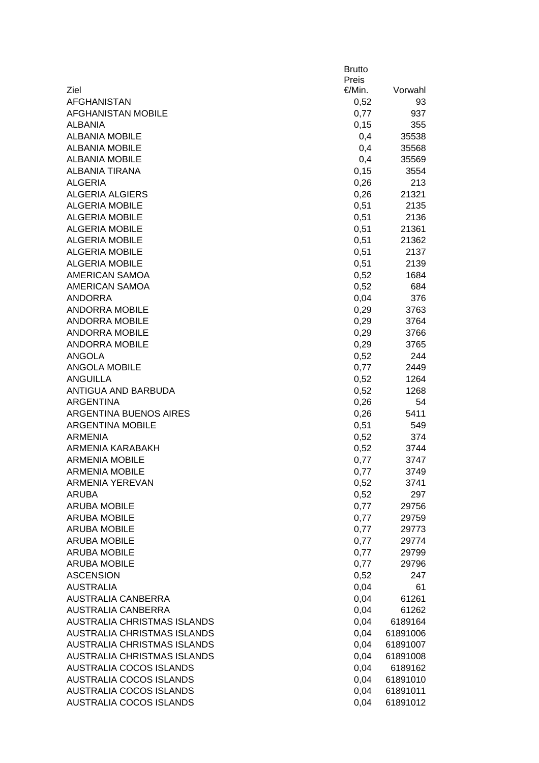|                                                 | <b>Brutto</b><br>Preis |                      |
|-------------------------------------------------|------------------------|----------------------|
| Ziel                                            | €/Min.                 | Vorwahl              |
| <b>AFGHANISTAN</b>                              |                        | 93                   |
| <b>AFGHANISTAN MOBILE</b>                       | 0,52                   | 937                  |
|                                                 | 0,77                   |                      |
| <b>ALBANIA</b>                                  | 0,15                   | 355                  |
| <b>ALBANIA MOBILE</b><br><b>ALBANIA MOBILE</b>  | 0,4                    | 35538                |
| <b>ALBANIA MOBILE</b>                           | 0,4                    | 35568                |
| <b>ALBANIA TIRANA</b>                           | 0,4                    | 35569                |
|                                                 | 0,15                   | 3554                 |
| <b>ALGERIA</b><br><b>ALGERIA ALGIERS</b>        | 0,26                   | 213                  |
| <b>ALGERIA MOBILE</b>                           | 0,26                   | 21321<br>2135        |
| <b>ALGERIA MOBILE</b>                           | 0,51<br>0,51           | 2136                 |
| <b>ALGERIA MOBILE</b>                           |                        | 21361                |
| <b>ALGERIA MOBILE</b>                           | 0,51                   |                      |
| <b>ALGERIA MOBILE</b>                           | 0,51                   | 21362                |
| <b>ALGERIA MOBILE</b>                           | 0,51                   | 2137                 |
| <b>AMERICAN SAMOA</b>                           | 0,51                   | 2139<br>1684         |
|                                                 | 0,52                   |                      |
| <b>AMERICAN SAMOA</b>                           | 0,52                   | 684                  |
| <b>ANDORRA</b>                                  | 0,04                   | 376                  |
| <b>ANDORRA MOBILE</b>                           | 0,29                   | 3763                 |
| <b>ANDORRA MOBILE</b>                           | 0,29                   | 3764                 |
| <b>ANDORRA MOBILE</b>                           | 0,29                   | 3766                 |
| <b>ANDORRA MOBILE</b>                           | 0,29                   | 3765                 |
| <b>ANGOLA</b>                                   | 0,52                   | 244                  |
| <b>ANGOLA MOBILE</b>                            | 0,77                   | 2449                 |
| <b>ANGUILLA</b>                                 | 0,52                   | 1264                 |
| <b>ANTIGUA AND BARBUDA</b>                      | 0,52                   | 1268                 |
| <b>ARGENTINA</b>                                | 0,26                   | 54                   |
| <b>ARGENTINA BUENOS AIRES</b>                   | 0,26                   | 5411                 |
| <b>ARGENTINA MOBILE</b><br><b>ARMENIA</b>       | 0,51                   | 549                  |
| ARMENIA KARABAKH                                | 0,52                   | 374                  |
| <b>ARMENIA MOBILE</b>                           | 0,52                   | 3744<br>3747         |
|                                                 | 0,77                   |                      |
| <b>ARMENIA MOBILE</b><br><b>ARMENIA YEREVAN</b> | 0,77                   | 3749<br>3741         |
| <b>ARUBA</b>                                    | 0,52<br>0,52           | 297                  |
| <b>ARUBA MOBILE</b>                             |                        |                      |
| <b>ARUBA MOBILE</b>                             | 0,77                   | 29756                |
| <b>ARUBA MOBILE</b>                             | 0,77                   | 29759                |
| <b>ARUBA MOBILE</b>                             | 0,77                   | 29773<br>29774       |
| <b>ARUBA MOBILE</b>                             | 0,77<br>0,77           |                      |
| <b>ARUBA MOBILE</b>                             | 0,77                   | 29799<br>29796       |
| <b>ASCENSION</b>                                | 0,52                   | 247                  |
| <b>AUSTRALIA</b>                                | 0,04                   | 61                   |
| <b>AUSTRALIA CANBERRA</b>                       | 0,04                   | 61261                |
| <b>AUSTRALIA CANBERRA</b>                       | 0,04                   | 61262                |
| AUSTRALIA CHRISTMAS ISLANDS                     | 0,04                   | 6189164              |
| <b>AUSTRALIA CHRISTMAS ISLANDS</b>              | 0,04                   | 61891006             |
| AUSTRALIA CHRISTMAS ISLANDS                     | 0,04                   |                      |
| <b>AUSTRALIA CHRISTMAS ISLANDS</b>              | 0,04                   | 61891007<br>61891008 |
| AUSTRALIA COCOS ISLANDS                         | 0,04                   | 6189162              |
| <b>AUSTRALIA COCOS ISLANDS</b>                  | 0,04                   | 61891010             |
| <b>AUSTRALIA COCOS ISLANDS</b>                  | 0,04                   | 61891011             |
| <b>AUSTRALIA COCOS ISLANDS</b>                  | 0,04                   | 61891012             |
|                                                 |                        |                      |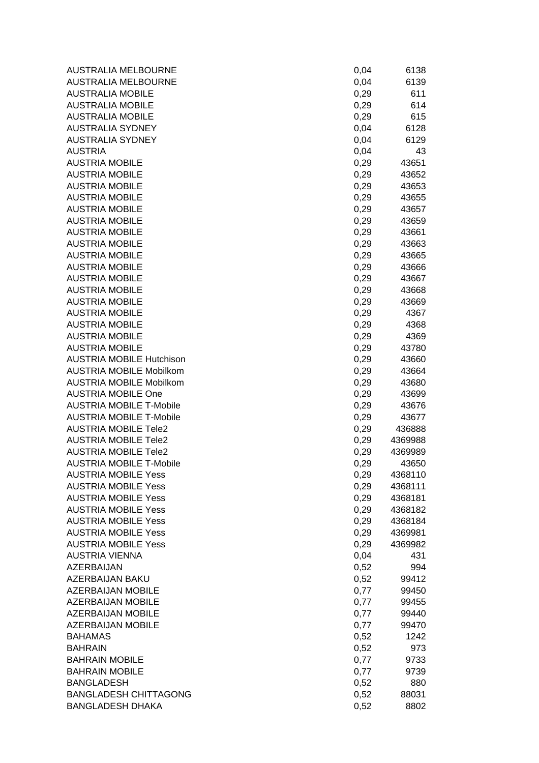| <b>AUSTRALIA MELBOURNE</b>      | 0,04 | 6138    |
|---------------------------------|------|---------|
| AUSTRALIA MELBOURNE             | 0,04 | 6139    |
| <b>AUSTRALIA MOBILE</b>         | 0,29 | 611     |
| <b>AUSTRALIA MOBILE</b>         | 0,29 | 614     |
| <b>AUSTRALIA MOBILE</b>         | 0,29 | 615     |
| <b>AUSTRALIA SYDNEY</b>         | 0,04 | 6128    |
| <b>AUSTRALIA SYDNEY</b>         | 0,04 | 6129    |
| <b>AUSTRIA</b>                  | 0,04 | 43      |
| <b>AUSTRIA MOBILE</b>           | 0,29 | 43651   |
| <b>AUSTRIA MOBILE</b>           | 0,29 | 43652   |
| <b>AUSTRIA MOBILE</b>           | 0,29 | 43653   |
| <b>AUSTRIA MOBILE</b>           | 0,29 | 43655   |
| <b>AUSTRIA MOBILE</b>           | 0,29 | 43657   |
| <b>AUSTRIA MOBILE</b>           | 0,29 | 43659   |
| <b>AUSTRIA MOBILE</b>           | 0,29 | 43661   |
| <b>AUSTRIA MOBILE</b>           | 0,29 | 43663   |
| <b>AUSTRIA MOBILE</b>           | 0,29 | 43665   |
| <b>AUSTRIA MOBILE</b>           | 0,29 | 43666   |
| <b>AUSTRIA MOBILE</b>           | 0,29 | 43667   |
| <b>AUSTRIA MOBILE</b>           | 0,29 | 43668   |
| <b>AUSTRIA MOBILE</b>           | 0,29 | 43669   |
| <b>AUSTRIA MOBILE</b>           | 0,29 | 4367    |
| <b>AUSTRIA MOBILE</b>           | 0,29 | 4368    |
| <b>AUSTRIA MOBILE</b>           | 0,29 | 4369    |
| <b>AUSTRIA MOBILE</b>           | 0,29 | 43780   |
| <b>AUSTRIA MOBILE Hutchison</b> | 0,29 | 43660   |
| <b>AUSTRIA MOBILE Mobilkom</b>  | 0,29 | 43664   |
| <b>AUSTRIA MOBILE Mobilkom</b>  | 0,29 | 43680   |
| <b>AUSTRIA MOBILE One</b>       | 0,29 | 43699   |
| <b>AUSTRIA MOBILE T-Mobile</b>  | 0,29 | 43676   |
| <b>AUSTRIA MOBILE T-Mobile</b>  | 0,29 | 43677   |
| <b>AUSTRIA MOBILE Tele2</b>     | 0,29 | 436888  |
| <b>AUSTRIA MOBILE Tele2</b>     | 0,29 | 4369988 |
| <b>AUSTRIA MOBILE Tele2</b>     | 0,29 | 4369989 |
| <b>AUSTRIA MOBILE T-Mobile</b>  | 0,29 | 43650   |
| <b>AUSTRIA MOBILE Yess</b>      | 0,29 | 4368110 |
| <b>AUSTRIA MOBILE Yess</b>      | 0,29 | 4368111 |
| <b>AUSTRIA MOBILE Yess</b>      | 0,29 | 4368181 |
| <b>AUSTRIA MOBILE Yess</b>      | 0,29 | 4368182 |
| <b>AUSTRIA MOBILE Yess</b>      | 0,29 | 4368184 |
| <b>AUSTRIA MOBILE Yess</b>      | 0,29 | 4369981 |
| <b>AUSTRIA MOBILE Yess</b>      | 0,29 | 4369982 |
| <b>AUSTRIA VIENNA</b>           | 0,04 | 431     |
| AZERBAIJAN                      | 0,52 | 994     |
| AZERBAIJAN BAKU                 | 0,52 | 99412   |
| <b>AZERBAIJAN MOBILE</b>        | 0,77 | 99450   |
| <b>AZERBAIJAN MOBILE</b>        | 0,77 | 99455   |
| <b>AZERBAIJAN MOBILE</b>        | 0,77 | 99440   |
| <b>AZERBAIJAN MOBILE</b>        | 0,77 | 99470   |
| <b>BAHAMAS</b>                  | 0,52 | 1242    |
| <b>BAHRAIN</b>                  | 0,52 | 973     |
| <b>BAHRAIN MOBILE</b>           | 0,77 | 9733    |
| <b>BAHRAIN MOBILE</b>           | 0,77 | 9739    |
| <b>BANGLADESH</b>               | 0,52 | 880     |
| <b>BANGLADESH CHITTAGONG</b>    | 0,52 | 88031   |
| <b>BANGLADESH DHAKA</b>         | 0,52 | 8802    |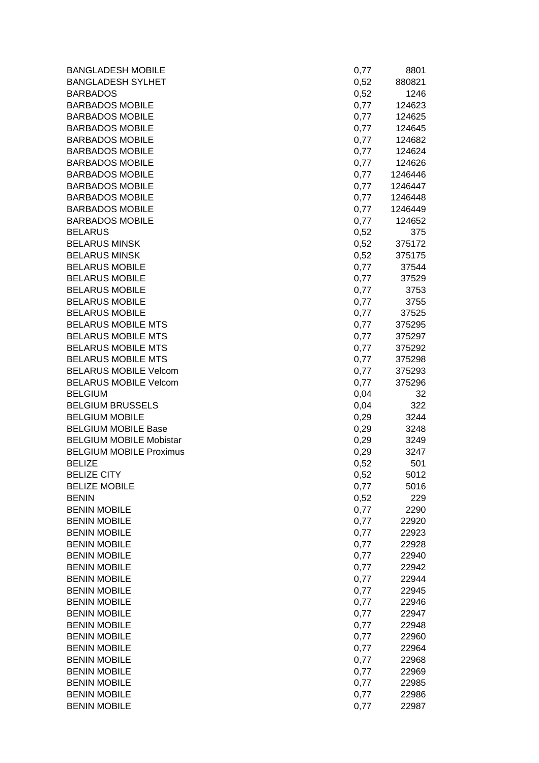| <b>BANGLADESH MOBILE</b>       | 0,77 | 8801    |
|--------------------------------|------|---------|
| <b>BANGLADESH SYLHET</b>       | 0,52 | 880821  |
| <b>BARBADOS</b>                | 0,52 | 1246    |
| <b>BARBADOS MOBILE</b>         | 0,77 | 124623  |
| <b>BARBADOS MOBILE</b>         | 0,77 | 124625  |
| <b>BARBADOS MOBILE</b>         | 0,77 | 124645  |
| <b>BARBADOS MOBILE</b>         | 0,77 | 124682  |
| <b>BARBADOS MOBILE</b>         | 0,77 | 124624  |
| <b>BARBADOS MOBILE</b>         | 0,77 | 124626  |
| <b>BARBADOS MOBILE</b>         | 0,77 | 1246446 |
| <b>BARBADOS MOBILE</b>         | 0,77 | 1246447 |
| <b>BARBADOS MOBILE</b>         | 0,77 | 1246448 |
| <b>BARBADOS MOBILE</b>         | 0,77 | 1246449 |
| <b>BARBADOS MOBILE</b>         | 0,77 | 124652  |
| <b>BELARUS</b>                 | 0,52 | 375     |
| <b>BELARUS MINSK</b>           | 0,52 | 375172  |
| <b>BELARUS MINSK</b>           | 0,52 | 375175  |
| <b>BELARUS MOBILE</b>          | 0,77 | 37544   |
| <b>BELARUS MOBILE</b>          | 0,77 | 37529   |
| <b>BELARUS MOBILE</b>          | 0,77 | 3753    |
| <b>BELARUS MOBILE</b>          | 0,77 | 3755    |
| <b>BELARUS MOBILE</b>          | 0,77 | 37525   |
| <b>BELARUS MOBILE MTS</b>      | 0,77 | 375295  |
| <b>BELARUS MOBILE MTS</b>      | 0,77 | 375297  |
| <b>BELARUS MOBILE MTS</b>      | 0,77 | 375292  |
| <b>BELARUS MOBILE MTS</b>      | 0,77 | 375298  |
| <b>BELARUS MOBILE Velcom</b>   | 0,77 | 375293  |
| <b>BELARUS MOBILE Velcom</b>   | 0,77 | 375296  |
| <b>BELGIUM</b>                 | 0,04 | 32      |
| <b>BELGIUM BRUSSELS</b>        | 0,04 | 322     |
| <b>BELGIUM MOBILE</b>          | 0,29 | 3244    |
| <b>BELGIUM MOBILE Base</b>     | 0,29 | 3248    |
| <b>BELGIUM MOBILE Mobistar</b> | 0,29 | 3249    |
| <b>BELGIUM MOBILE Proximus</b> | 0,29 | 3247    |
| <b>BELIZE</b>                  | 0,52 | 501     |
| <b>BELIZE CITY</b>             | 0,52 | 5012    |
| <b>BELIZE MOBILE</b>           | 0,77 | 5016    |
| <b>BENIN</b>                   | 0,52 | 229     |
| <b>BENIN MOBILE</b>            | 0,77 | 2290    |
| <b>BENIN MOBILE</b>            | 0,77 | 22920   |
| <b>BENIN MOBILE</b>            | 0,77 | 22923   |
| <b>BENIN MOBILE</b>            | 0,77 | 22928   |
| <b>BENIN MOBILE</b>            | 0,77 | 22940   |
| <b>BENIN MOBILE</b>            | 0,77 | 22942   |
| <b>BENIN MOBILE</b>            | 0,77 | 22944   |
| <b>BENIN MOBILE</b>            | 0,77 | 22945   |
| <b>BENIN MOBILE</b>            | 0,77 | 22946   |
| <b>BENIN MOBILE</b>            | 0,77 | 22947   |
| <b>BENIN MOBILE</b>            | 0,77 | 22948   |
| <b>BENIN MOBILE</b>            | 0,77 | 22960   |
| <b>BENIN MOBILE</b>            | 0,77 | 22964   |
| <b>BENIN MOBILE</b>            | 0,77 | 22968   |
| <b>BENIN MOBILE</b>            | 0,77 | 22969   |
| <b>BENIN MOBILE</b>            | 0,77 | 22985   |
| <b>BENIN MOBILE</b>            | 0,77 | 22986   |
| <b>BENIN MOBILE</b>            | 0,77 | 22987   |
|                                |      |         |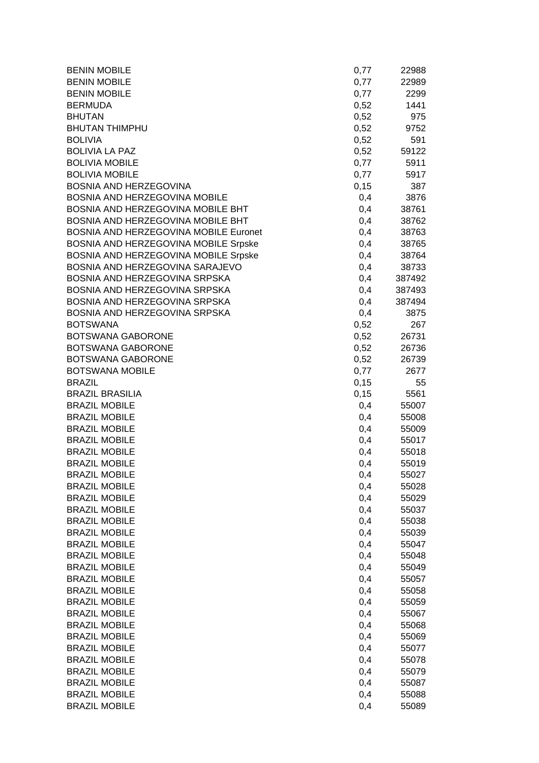| <b>BENIN MOBILE</b>                          | 0,77       | 22988          |
|----------------------------------------------|------------|----------------|
| <b>BENIN MOBILE</b>                          | 0,77       | 22989          |
| <b>BENIN MOBILE</b>                          | 0,77       | 2299           |
| <b>BERMUDA</b>                               | 0,52       | 1441           |
| <b>BHUTAN</b>                                | 0,52       | 975            |
| <b>BHUTAN THIMPHU</b>                        | 0,52       | 9752           |
| <b>BOLIVIA</b>                               | 0,52       | 591            |
| <b>BOLIVIA LA PAZ</b>                        | 0,52       | 59122          |
| <b>BOLIVIA MOBILE</b>                        | 0,77       | 5911           |
| <b>BOLIVIA MOBILE</b>                        | 0,77       | 5917           |
| BOSNIA AND HERZEGOVINA                       | 0, 15      | 387            |
| <b>BOSNIA AND HERZEGOVINA MOBILE</b>         | 0,4        | 3876           |
| BOSNIA AND HERZEGOVINA MOBILE BHT            | 0,4        | 38761          |
| BOSNIA AND HERZEGOVINA MOBILE BHT            | 0,4        | 38762          |
| BOSNIA AND HERZEGOVINA MOBILE Euronet        | 0,4        | 38763          |
| BOSNIA AND HERZEGOVINA MOBILE Srpske         | 0,4        | 38765          |
| BOSNIA AND HERZEGOVINA MOBILE Srpske         | 0,4        | 38764          |
| BOSNIA AND HERZEGOVINA SARAJEVO              | 0,4        | 38733          |
| BOSNIA AND HERZEGOVINA SRPSKA                | 0,4        | 387492         |
| BOSNIA AND HERZEGOVINA SRPSKA                | 0,4        | 387493         |
| BOSNIA AND HERZEGOVINA SRPSKA                | 0,4        | 387494         |
| BOSNIA AND HERZEGOVINA SRPSKA                | 0,4        | 3875           |
| <b>BOTSWANA</b>                              | 0,52       | 267            |
| <b>BOTSWANA GABORONE</b>                     | 0,52       | 26731          |
| BOTSWANA GABORONE                            | 0,52       | 26736          |
| BOTSWANA GABORONE                            | 0,52       | 26739          |
| <b>BOTSWANA MOBILE</b>                       | 0,77       | 2677           |
| <b>BRAZIL</b>                                | 0,15       | 55             |
| <b>BRAZIL BRASILIA</b>                       | 0,15       | 5561           |
| <b>BRAZIL MOBILE</b>                         | 0,4        | 55007          |
| <b>BRAZIL MOBILE</b>                         | 0,4        | 55008          |
| <b>BRAZIL MOBILE</b>                         | 0,4        | 55009          |
| <b>BRAZIL MOBILE</b>                         | 0,4        | 55017          |
| <b>BRAZIL MOBILE</b>                         | 0,4        | 55018          |
| <b>BRAZIL MOBILE</b>                         | 0,4        | 55019          |
| <b>BRAZIL MOBILE</b>                         | 0,4        | 55027          |
| <b>BRAZIL MOBILE</b>                         | 0,4        | 55028          |
| <b>BRAZIL MOBILE</b>                         | 0,4        | 55029          |
| <b>BRAZIL MOBILE</b>                         | 0,4        | 55037          |
| <b>BRAZIL MOBILE</b>                         | 0,4        | 55038          |
| <b>BRAZIL MOBILE</b>                         | 0,4        | 55039          |
| <b>BRAZIL MOBILE</b><br><b>BRAZIL MOBILE</b> | 0,4        | 55047          |
|                                              | 0,4        | 55048          |
| <b>BRAZIL MOBILE</b><br><b>BRAZIL MOBILE</b> | 0,4        | 55049<br>55057 |
| <b>BRAZIL MOBILE</b>                         | 0,4<br>0,4 | 55058          |
| <b>BRAZIL MOBILE</b>                         |            |                |
| <b>BRAZIL MOBILE</b>                         | 0,4<br>0,4 | 55059<br>55067 |
| <b>BRAZIL MOBILE</b>                         | 0,4        |                |
| <b>BRAZIL MOBILE</b>                         | 0,4        | 55068<br>55069 |
| <b>BRAZIL MOBILE</b>                         | 0,4        | 55077          |
| <b>BRAZIL MOBILE</b>                         | 0,4        | 55078          |
| <b>BRAZIL MOBILE</b>                         | 0,4        | 55079          |
| <b>BRAZIL MOBILE</b>                         | 0,4        | 55087          |
| <b>BRAZIL MOBILE</b>                         | 0,4        | 55088          |
| <b>BRAZIL MOBILE</b>                         | 0,4        | 55089          |
|                                              |            |                |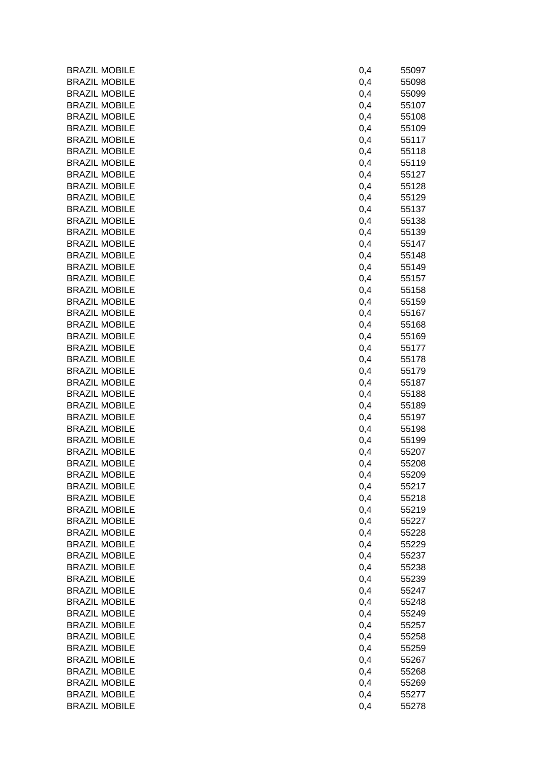| <b>BRAZIL MOBILE</b> | 0,4 | 55097 |
|----------------------|-----|-------|
| <b>BRAZIL MOBILE</b> | 0,4 | 55098 |
| <b>BRAZIL MOBILE</b> | 0,4 | 55099 |
| <b>BRAZIL MOBILE</b> | 0,4 | 55107 |
| <b>BRAZIL MOBILE</b> | 0,4 | 55108 |
| <b>BRAZIL MOBILE</b> | 0,4 | 55109 |
| <b>BRAZIL MOBILE</b> | 0,4 | 55117 |
| <b>BRAZIL MOBILE</b> | 0,4 | 55118 |
| <b>BRAZIL MOBILE</b> | 0,4 | 55119 |
| <b>BRAZIL MOBILE</b> | 0,4 | 55127 |
| <b>BRAZIL MOBILE</b> | 0,4 | 55128 |
| <b>BRAZIL MOBILE</b> | 0,4 | 55129 |
| <b>BRAZIL MOBILE</b> | 0,4 | 55137 |
| <b>BRAZIL MOBILE</b> | 0,4 | 55138 |
| <b>BRAZIL MOBILE</b> | 0,4 | 55139 |
| <b>BRAZIL MOBILE</b> | 0,4 | 55147 |
| <b>BRAZIL MOBILE</b> | 0,4 | 55148 |
| <b>BRAZIL MOBILE</b> | 0,4 | 55149 |
| <b>BRAZIL MOBILE</b> | 0,4 | 55157 |
| <b>BRAZIL MOBILE</b> | 0,4 | 55158 |
| <b>BRAZIL MOBILE</b> | 0,4 | 55159 |
| <b>BRAZIL MOBILE</b> | 0,4 | 55167 |
| <b>BRAZIL MOBILE</b> | 0,4 | 55168 |
| <b>BRAZIL MOBILE</b> | 0,4 | 55169 |
| <b>BRAZIL MOBILE</b> | 0,4 | 55177 |
| <b>BRAZIL MOBILE</b> | 0,4 | 55178 |
| <b>BRAZIL MOBILE</b> | 0,4 | 55179 |
| <b>BRAZIL MOBILE</b> | 0,4 | 55187 |
| <b>BRAZIL MOBILE</b> | 0,4 | 55188 |
| <b>BRAZIL MOBILE</b> | 0,4 | 55189 |
| <b>BRAZIL MOBILE</b> | 0,4 | 55197 |
| <b>BRAZIL MOBILE</b> | 0,4 | 55198 |
| <b>BRAZIL MOBILE</b> | 0,4 | 55199 |
| <b>BRAZIL MOBILE</b> | 0,4 | 55207 |
| <b>BRAZIL MOBILE</b> | 0,4 | 55208 |
| <b>BRAZIL MOBILE</b> | 0,4 | 55209 |
| <b>BRAZIL MOBILE</b> | 0,4 | 55217 |
| <b>BRAZIL MOBILE</b> | 0,4 | 55218 |
| <b>BRAZIL MOBILE</b> | 0,4 | 55219 |
| <b>BRAZIL MOBILE</b> | 0,4 | 55227 |
| <b>BRAZIL MOBILE</b> | 0,4 | 55228 |
| <b>BRAZIL MOBILE</b> | 0,4 | 55229 |
| <b>BRAZIL MOBILE</b> | 0,4 | 55237 |
| <b>BRAZIL MOBILE</b> | 0,4 | 55238 |
| <b>BRAZIL MOBILE</b> | 0,4 | 55239 |
| <b>BRAZIL MOBILE</b> | 0,4 | 55247 |
| <b>BRAZIL MOBILE</b> | 0,4 | 55248 |
| <b>BRAZIL MOBILE</b> | 0,4 | 55249 |
| <b>BRAZIL MOBILE</b> | 0,4 | 55257 |
| <b>BRAZIL MOBILE</b> | 0,4 | 55258 |
| <b>BRAZIL MOBILE</b> | 0,4 | 55259 |
| <b>BRAZIL MOBILE</b> | 0,4 | 55267 |
| <b>BRAZIL MOBILE</b> | 0,4 | 55268 |
| <b>BRAZIL MOBILE</b> | 0,4 | 55269 |
| <b>BRAZIL MOBILE</b> | 0,4 | 55277 |
| <b>BRAZIL MOBILE</b> | 0,4 | 55278 |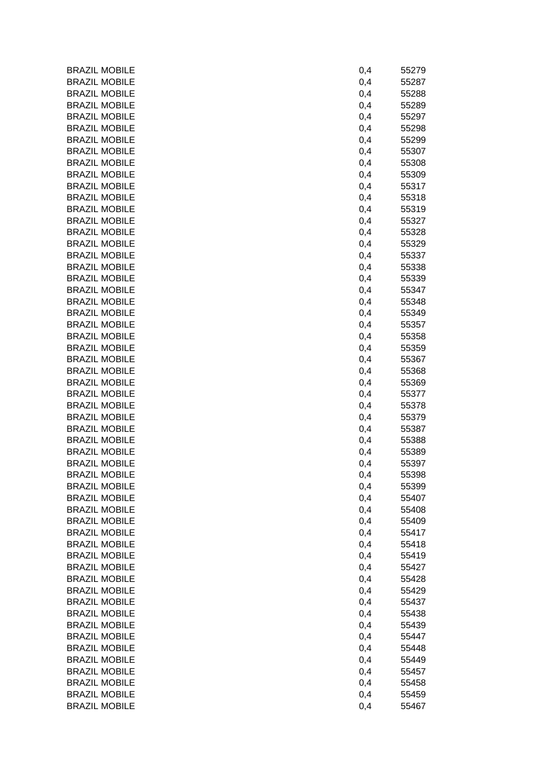| <b>BRAZIL MOBILE</b> | 0,4 | 55279 |
|----------------------|-----|-------|
| <b>BRAZIL MOBILE</b> | 0,4 | 55287 |
| <b>BRAZIL MOBILE</b> | 0,4 | 55288 |
| <b>BRAZIL MOBILE</b> | 0,4 | 55289 |
| <b>BRAZIL MOBILE</b> | 0,4 | 55297 |
| <b>BRAZIL MOBILE</b> | 0,4 | 55298 |
| <b>BRAZIL MOBILE</b> | 0,4 | 55299 |
| <b>BRAZIL MOBILE</b> | 0,4 | 55307 |
| <b>BRAZIL MOBILE</b> | 0,4 | 55308 |
| <b>BRAZIL MOBILE</b> | 0,4 | 55309 |
| <b>BRAZIL MOBILE</b> | 0,4 | 55317 |
| <b>BRAZIL MOBILE</b> | 0,4 | 55318 |
| <b>BRAZIL MOBILE</b> | 0,4 | 55319 |
| <b>BRAZIL MOBILE</b> | 0,4 | 55327 |
| <b>BRAZIL MOBILE</b> | 0,4 | 55328 |
| <b>BRAZIL MOBILE</b> | 0,4 | 55329 |
| <b>BRAZIL MOBILE</b> | 0,4 | 55337 |
| <b>BRAZIL MOBILE</b> | 0,4 | 55338 |
| <b>BRAZIL MOBILE</b> | 0,4 | 55339 |
| <b>BRAZIL MOBILE</b> | 0,4 | 55347 |
| <b>BRAZIL MOBILE</b> | 0,4 | 55348 |
| <b>BRAZIL MOBILE</b> | 0,4 | 55349 |
| <b>BRAZIL MOBILE</b> | 0,4 | 55357 |
| <b>BRAZIL MOBILE</b> | 0,4 | 55358 |
| <b>BRAZIL MOBILE</b> | 0,4 | 55359 |
| <b>BRAZIL MOBILE</b> | 0,4 | 55367 |
| <b>BRAZIL MOBILE</b> | 0,4 | 55368 |
| <b>BRAZIL MOBILE</b> | 0,4 | 55369 |
| <b>BRAZIL MOBILE</b> | 0,4 | 55377 |
| <b>BRAZIL MOBILE</b> | 0,4 | 55378 |
| <b>BRAZIL MOBILE</b> | 0,4 | 55379 |
| <b>BRAZIL MOBILE</b> | 0,4 | 55387 |
| <b>BRAZIL MOBILE</b> | 0,4 | 55388 |
| <b>BRAZIL MOBILE</b> | 0,4 | 55389 |
| <b>BRAZIL MOBILE</b> | 0,4 | 55397 |
| <b>BRAZIL MOBILE</b> | 0,4 | 55398 |
| <b>BRAZIL MOBILE</b> | 0,4 | 55399 |
| <b>BRAZIL MOBILE</b> | 0,4 | 55407 |
| <b>BRAZIL MOBILE</b> | 0,4 | 55408 |
| <b>BRAZIL MOBILE</b> | 0,4 | 55409 |
| <b>BRAZIL MOBILE</b> | 0,4 | 55417 |
| <b>BRAZIL MOBILE</b> | 0,4 | 55418 |
| <b>BRAZIL MOBILE</b> | 0,4 | 55419 |
| <b>BRAZIL MOBILE</b> | 0,4 | 55427 |
| <b>BRAZIL MOBILE</b> | 0,4 | 55428 |
| <b>BRAZIL MOBILE</b> | 0,4 | 55429 |
| <b>BRAZIL MOBILE</b> | 0,4 | 55437 |
| <b>BRAZIL MOBILE</b> | 0,4 | 55438 |
| <b>BRAZIL MOBILE</b> | 0,4 | 55439 |
| <b>BRAZIL MOBILE</b> | 0,4 | 55447 |
| <b>BRAZIL MOBILE</b> | 0,4 | 55448 |
| <b>BRAZIL MOBILE</b> | 0,4 | 55449 |
| <b>BRAZIL MOBILE</b> | 0,4 | 55457 |
| <b>BRAZIL MOBILE</b> | 0,4 | 55458 |
| <b>BRAZIL MOBILE</b> | 0,4 | 55459 |
| <b>BRAZIL MOBILE</b> | 0,4 | 55467 |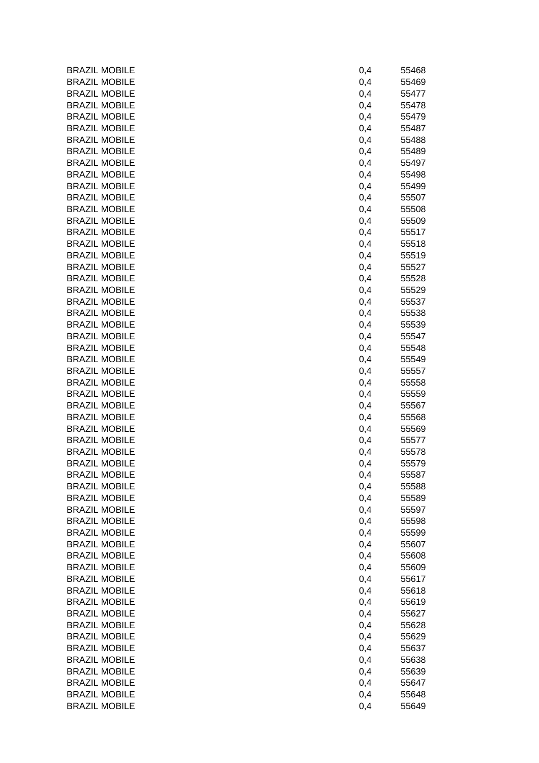| <b>BRAZIL MOBILE</b> | 0,4 | 55468 |
|----------------------|-----|-------|
| <b>BRAZIL MOBILE</b> | 0,4 | 55469 |
| <b>BRAZIL MOBILE</b> | 0,4 | 55477 |
| <b>BRAZIL MOBILE</b> | 0,4 | 55478 |
| <b>BRAZIL MOBILE</b> | 0,4 | 55479 |
| <b>BRAZIL MOBILE</b> | 0,4 | 55487 |
| <b>BRAZIL MOBILE</b> | 0,4 | 55488 |
| <b>BRAZIL MOBILE</b> | 0,4 | 55489 |
| <b>BRAZIL MOBILE</b> | 0,4 | 55497 |
| <b>BRAZIL MOBILE</b> | 0,4 | 55498 |
| <b>BRAZIL MOBILE</b> | 0,4 | 55499 |
| <b>BRAZIL MOBILE</b> | 0,4 | 55507 |
| <b>BRAZIL MOBILE</b> | 0,4 | 55508 |
| <b>BRAZIL MOBILE</b> | 0,4 | 55509 |
| <b>BRAZIL MOBILE</b> | 0,4 | 55517 |
| <b>BRAZIL MOBILE</b> | 0,4 | 55518 |
| <b>BRAZIL MOBILE</b> | 0,4 | 55519 |
| <b>BRAZIL MOBILE</b> | 0,4 | 55527 |
| <b>BRAZIL MOBILE</b> | 0,4 | 55528 |
| <b>BRAZIL MOBILE</b> | 0,4 | 55529 |
| <b>BRAZIL MOBILE</b> | 0,4 | 55537 |
| <b>BRAZIL MOBILE</b> | 0,4 | 55538 |
| <b>BRAZIL MOBILE</b> | 0,4 | 55539 |
| <b>BRAZIL MOBILE</b> | 0,4 | 55547 |
| <b>BRAZIL MOBILE</b> | 0,4 | 55548 |
| <b>BRAZIL MOBILE</b> | 0,4 | 55549 |
| <b>BRAZIL MOBILE</b> | 0,4 | 55557 |
| <b>BRAZIL MOBILE</b> | 0,4 | 55558 |
| <b>BRAZIL MOBILE</b> | 0,4 | 55559 |
| <b>BRAZIL MOBILE</b> | 0,4 | 55567 |
| <b>BRAZIL MOBILE</b> | 0,4 | 55568 |
| <b>BRAZIL MOBILE</b> | 0,4 | 55569 |
| <b>BRAZIL MOBILE</b> | 0,4 | 55577 |
| <b>BRAZIL MOBILE</b> | 0,4 | 55578 |
| <b>BRAZIL MOBILE</b> | 0,4 | 55579 |
| <b>BRAZIL MOBILE</b> | 0,4 | 55587 |
| <b>BRAZIL MOBILE</b> | 0,4 | 55588 |
| <b>BRAZIL MOBILE</b> | 0,4 | 55589 |
| <b>BRAZIL MOBILE</b> | 0,4 | 55597 |
| <b>BRAZIL MOBILE</b> | 0,4 | 55598 |
| <b>BRAZIL MOBILE</b> | 0,4 | 55599 |
| <b>BRAZIL MOBILE</b> | 0,4 | 55607 |
| <b>BRAZIL MOBILE</b> | 0,4 | 55608 |
| <b>BRAZIL MOBILE</b> | 0,4 | 55609 |
| <b>BRAZIL MOBILE</b> | 0,4 | 55617 |
| <b>BRAZIL MOBILE</b> | 0,4 | 55618 |
| <b>BRAZIL MOBILE</b> | 0,4 | 55619 |
| <b>BRAZIL MOBILE</b> | 0,4 | 55627 |
| <b>BRAZIL MOBILE</b> | 0,4 | 55628 |
| <b>BRAZIL MOBILE</b> | 0,4 | 55629 |
| <b>BRAZIL MOBILE</b> | 0,4 | 55637 |
| <b>BRAZIL MOBILE</b> | 0,4 | 55638 |
| <b>BRAZIL MOBILE</b> | 0,4 | 55639 |
| <b>BRAZIL MOBILE</b> | 0,4 | 55647 |
| <b>BRAZIL MOBILE</b> | 0,4 | 55648 |
| <b>BRAZIL MOBILE</b> | 0,4 | 55649 |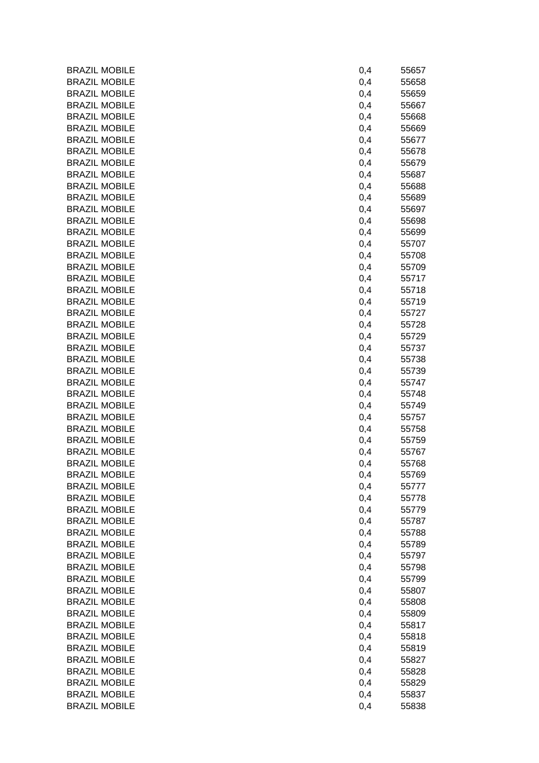| <b>BRAZIL MOBILE</b> | 0,4 | 55657 |
|----------------------|-----|-------|
| <b>BRAZIL MOBILE</b> | 0,4 | 55658 |
| <b>BRAZIL MOBILE</b> | 0,4 | 55659 |
| <b>BRAZIL MOBILE</b> | 0,4 | 55667 |
| <b>BRAZIL MOBILE</b> | 0,4 | 55668 |
| <b>BRAZIL MOBILE</b> | 0,4 | 55669 |
| <b>BRAZIL MOBILE</b> | 0,4 | 55677 |
| <b>BRAZIL MOBILE</b> | 0,4 | 55678 |
| <b>BRAZIL MOBILE</b> | 0,4 | 55679 |
| <b>BRAZIL MOBILE</b> | 0,4 | 55687 |
| <b>BRAZIL MOBILE</b> | 0,4 | 55688 |
| <b>BRAZIL MOBILE</b> | 0,4 | 55689 |
| <b>BRAZIL MOBILE</b> | 0,4 | 55697 |
| <b>BRAZIL MOBILE</b> | 0,4 | 55698 |
| <b>BRAZIL MOBILE</b> | 0,4 | 55699 |
| <b>BRAZIL MOBILE</b> | 0,4 | 55707 |
| <b>BRAZIL MOBILE</b> | 0,4 | 55708 |
| <b>BRAZIL MOBILE</b> | 0,4 | 55709 |
| <b>BRAZIL MOBILE</b> | 0,4 | 55717 |
| <b>BRAZIL MOBILE</b> | 0,4 | 55718 |
| <b>BRAZIL MOBILE</b> | 0,4 | 55719 |
| <b>BRAZIL MOBILE</b> | 0,4 | 55727 |
| <b>BRAZIL MOBILE</b> | 0,4 | 55728 |
| <b>BRAZIL MOBILE</b> | 0,4 | 55729 |
| <b>BRAZIL MOBILE</b> | 0,4 | 55737 |
| <b>BRAZIL MOBILE</b> | 0,4 | 55738 |
| <b>BRAZIL MOBILE</b> | 0,4 | 55739 |
| <b>BRAZIL MOBILE</b> | 0,4 | 55747 |
| <b>BRAZIL MOBILE</b> | 0,4 | 55748 |
| <b>BRAZIL MOBILE</b> | 0,4 | 55749 |
| <b>BRAZIL MOBILE</b> | 0,4 | 55757 |
| <b>BRAZIL MOBILE</b> | 0,4 | 55758 |
| <b>BRAZIL MOBILE</b> | 0,4 | 55759 |
| <b>BRAZIL MOBILE</b> |     | 55767 |
| <b>BRAZIL MOBILE</b> | 0,4 |       |
|                      | 0,4 | 55768 |
| <b>BRAZIL MOBILE</b> | 0,4 | 55769 |
| <b>BRAZIL MOBILE</b> | 0,4 | 55777 |
| <b>BRAZIL MOBILE</b> | 0,4 | 55778 |
| <b>BRAZIL MOBILE</b> | 0,4 | 55779 |
| <b>BRAZIL MOBILE</b> | 0,4 | 55787 |
| <b>BRAZIL MOBILE</b> | 0,4 | 55788 |
| <b>BRAZIL MOBILE</b> | 0,4 | 55789 |
| <b>BRAZIL MOBILE</b> | 0,4 | 55797 |
| <b>BRAZIL MOBILE</b> | 0,4 | 55798 |
| <b>BRAZIL MOBILE</b> | 0,4 | 55799 |
| <b>BRAZIL MOBILE</b> | 0,4 | 55807 |
| <b>BRAZIL MOBILE</b> | 0,4 | 55808 |
| <b>BRAZIL MOBILE</b> | 0,4 | 55809 |
| <b>BRAZIL MOBILE</b> | 0,4 | 55817 |
| <b>BRAZIL MOBILE</b> | 0,4 | 55818 |
| <b>BRAZIL MOBILE</b> | 0,4 | 55819 |
| <b>BRAZIL MOBILE</b> | 0,4 | 55827 |
| <b>BRAZIL MOBILE</b> | 0,4 | 55828 |
| <b>BRAZIL MOBILE</b> | 0,4 | 55829 |
| <b>BRAZIL MOBILE</b> | 0,4 | 55837 |
| <b>BRAZIL MOBILE</b> | 0,4 | 55838 |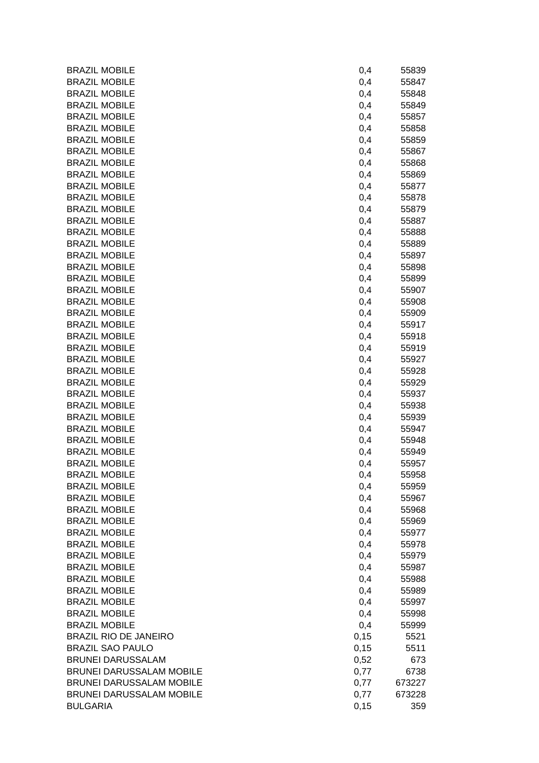| <b>BRAZIL MOBILE</b>                         | 0,4        | 55839          |
|----------------------------------------------|------------|----------------|
| <b>BRAZIL MOBILE</b>                         | 0,4        | 55847          |
| <b>BRAZIL MOBILE</b>                         | 0,4        | 55848          |
| <b>BRAZIL MOBILE</b>                         | 0,4        | 55849          |
| <b>BRAZIL MOBILE</b>                         | 0,4        | 55857          |
| <b>BRAZIL MOBILE</b>                         | 0,4        | 55858          |
| <b>BRAZIL MOBILE</b>                         | 0,4        | 55859          |
| <b>BRAZIL MOBILE</b>                         | 0,4        | 55867          |
| <b>BRAZIL MOBILE</b>                         | 0,4        | 55868          |
| <b>BRAZIL MOBILE</b>                         | 0,4        | 55869          |
| <b>BRAZIL MOBILE</b>                         | 0,4        | 55877          |
| <b>BRAZIL MOBILE</b>                         | 0,4        | 55878          |
| <b>BRAZIL MOBILE</b>                         | 0,4        | 55879          |
| <b>BRAZIL MOBILE</b>                         | 0,4        | 55887          |
| <b>BRAZIL MOBILE</b>                         | 0,4        | 55888          |
| <b>BRAZIL MOBILE</b>                         | 0,4        | 55889          |
| <b>BRAZIL MOBILE</b>                         | 0,4        | 55897          |
| <b>BRAZIL MOBILE</b>                         | 0,4        | 55898          |
| <b>BRAZIL MOBILE</b>                         | 0,4        | 55899          |
| <b>BRAZIL MOBILE</b>                         | 0,4        | 55907          |
| <b>BRAZIL MOBILE</b>                         | 0,4        | 55908          |
| <b>BRAZIL MOBILE</b>                         |            |                |
| <b>BRAZIL MOBILE</b>                         | 0,4        | 55909<br>55917 |
| <b>BRAZIL MOBILE</b>                         | 0,4        |                |
|                                              | 0,4        | 55918          |
| <b>BRAZIL MOBILE</b><br><b>BRAZIL MOBILE</b> | 0,4        | 55919          |
|                                              | 0,4        | 55927          |
| <b>BRAZIL MOBILE</b><br><b>BRAZIL MOBILE</b> | 0,4        | 55928          |
| <b>BRAZIL MOBILE</b>                         | 0,4        | 55929          |
| <b>BRAZIL MOBILE</b>                         | 0,4        | 55937          |
| <b>BRAZIL MOBILE</b>                         | 0,4        | 55938<br>55939 |
| <b>BRAZIL MOBILE</b>                         | 0,4        | 55947          |
| <b>BRAZIL MOBILE</b>                         | 0,4        | 55948          |
| <b>BRAZIL MOBILE</b>                         | 0,4<br>0,4 | 55949          |
| <b>BRAZIL MOBILE</b>                         |            |                |
| <b>BRAZIL MOBILE</b>                         | 0,4        | 55957          |
|                                              | 0,4        | 55958          |
| <b>BRAZIL MOBILE</b>                         | 0,4        | 55959          |
| <b>BRAZIL MOBILE</b>                         | 0,4        | 55967          |
| <b>BRAZIL MOBILE</b>                         | 0,4        | 55968          |
| <b>BRAZIL MOBILE</b>                         | 0,4        | 55969          |
| <b>BRAZIL MOBILE</b>                         | 0,4        | 55977          |
| <b>BRAZIL MOBILE</b>                         | 0,4        | 55978          |
| <b>BRAZIL MOBILE</b>                         | 0,4        | 55979          |
| <b>BRAZIL MOBILE</b>                         | 0,4        | 55987          |
| <b>BRAZIL MOBILE</b>                         | 0,4        | 55988          |
| <b>BRAZIL MOBILE</b>                         | 0,4        | 55989          |
| <b>BRAZIL MOBILE</b>                         | 0,4        | 55997          |
| <b>BRAZIL MOBILE</b>                         | 0,4        | 55998          |
| <b>BRAZIL MOBILE</b>                         | 0,4        | 55999          |
| <b>BRAZIL RIO DE JANEIRO</b>                 | 0,15       | 5521           |
| <b>BRAZIL SAO PAULO</b>                      | 0,15       | 5511           |
| <b>BRUNEI DARUSSALAM</b>                     | 0,52       | 673            |
| <b>BRUNEI DARUSSALAM MOBILE</b>              | 0,77       | 6738           |
| BRUNEI DARUSSALAM MOBILE                     | 0,77       | 673227         |
| BRUNEI DARUSSALAM MOBILE                     | 0,77       | 673228         |
| <b>BULGARIA</b>                              | 0,15       | 359            |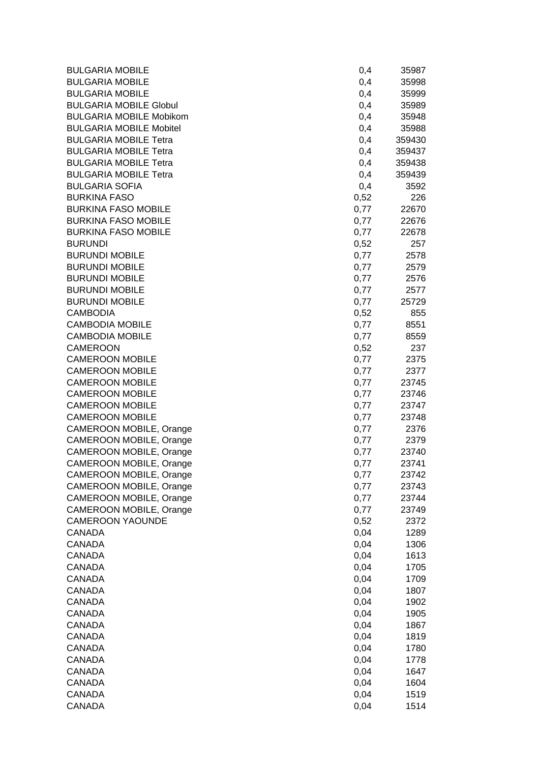| <b>BULGARIA MOBILE</b>         | 0,4  | 35987  |
|--------------------------------|------|--------|
| <b>BULGARIA MOBILE</b>         | 0,4  | 35998  |
| <b>BULGARIA MOBILE</b>         | 0,4  | 35999  |
| <b>BULGARIA MOBILE Globul</b>  | 0,4  | 35989  |
| <b>BULGARIA MOBILE Mobikom</b> | 0,4  | 35948  |
| <b>BULGARIA MOBILE Mobitel</b> | 0,4  | 35988  |
| <b>BULGARIA MOBILE Tetra</b>   | 0,4  | 359430 |
| <b>BULGARIA MOBILE Tetra</b>   | 0,4  | 359437 |
| <b>BULGARIA MOBILE Tetra</b>   | 0,4  | 359438 |
| <b>BULGARIA MOBILE Tetra</b>   | 0,4  | 359439 |
| <b>BULGARIA SOFIA</b>          | 0,4  | 3592   |
| <b>BURKINA FASO</b>            | 0,52 | 226    |
| <b>BURKINA FASO MOBILE</b>     | 0,77 | 22670  |
| <b>BURKINA FASO MOBILE</b>     | 0,77 | 22676  |
| <b>BURKINA FASO MOBILE</b>     | 0,77 | 22678  |
| <b>BURUNDI</b>                 | 0,52 | 257    |
| <b>BURUNDI MOBILE</b>          | 0,77 | 2578   |
| <b>BURUNDI MOBILE</b>          | 0,77 | 2579   |
| <b>BURUNDI MOBILE</b>          | 0,77 | 2576   |
| <b>BURUNDI MOBILE</b>          | 0,77 | 2577   |
| <b>BURUNDI MOBILE</b>          | 0,77 | 25729  |
| <b>CAMBODIA</b>                | 0,52 | 855    |
| <b>CAMBODIA MOBILE</b>         | 0,77 | 8551   |
| <b>CAMBODIA MOBILE</b>         | 0,77 | 8559   |
| <b>CAMEROON</b>                | 0,52 | 237    |
| <b>CAMEROON MOBILE</b>         | 0,77 | 2375   |
| <b>CAMEROON MOBILE</b>         | 0,77 | 2377   |
| <b>CAMEROON MOBILE</b>         | 0,77 | 23745  |
| <b>CAMEROON MOBILE</b>         | 0,77 | 23746  |
| <b>CAMEROON MOBILE</b>         | 0,77 | 23747  |
| <b>CAMEROON MOBILE</b>         | 0,77 | 23748  |
| CAMEROON MOBILE, Orange        | 0,77 | 2376   |
| CAMEROON MOBILE, Orange        | 0,77 | 2379   |
| CAMEROON MOBILE, Orange        | 0,77 | 23740  |
| <b>CAMEROON MOBILE, Orange</b> | 0,77 | 23741  |
| CAMEROON MOBILE, Orange        | 0,77 | 23742  |
| CAMEROON MOBILE, Orange        | 0,77 | 23743  |
| CAMEROON MOBILE, Orange        | 0,77 | 23744  |
| CAMEROON MOBILE, Orange        | 0,77 | 23749  |
| <b>CAMEROON YAOUNDE</b>        | 0,52 | 2372   |
| <b>CANADA</b>                  | 0,04 | 1289   |
| <b>CANADA</b>                  | 0,04 | 1306   |
| <b>CANADA</b>                  | 0,04 | 1613   |
| <b>CANADA</b>                  | 0,04 | 1705   |
| <b>CANADA</b>                  | 0,04 | 1709   |
| <b>CANADA</b>                  | 0,04 | 1807   |
| <b>CANADA</b>                  | 0,04 | 1902   |
| <b>CANADA</b>                  | 0,04 | 1905   |
| <b>CANADA</b>                  | 0,04 | 1867   |
| <b>CANADA</b>                  | 0,04 | 1819   |
| <b>CANADA</b>                  | 0,04 | 1780   |
| <b>CANADA</b>                  | 0,04 | 1778   |
| <b>CANADA</b>                  | 0,04 | 1647   |
| <b>CANADA</b>                  | 0,04 | 1604   |
| <b>CANADA</b>                  | 0,04 | 1519   |
| <b>CANADA</b>                  | 0,04 | 1514   |
|                                |      |        |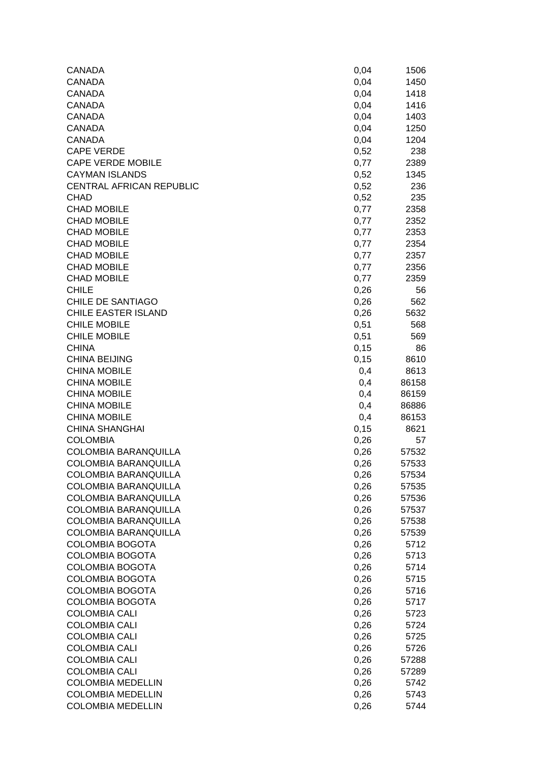| CANADA                      | 0,04  | 1506  |
|-----------------------------|-------|-------|
| <b>CANADA</b>               | 0,04  | 1450  |
| <b>CANADA</b>               | 0,04  | 1418  |
| <b>CANADA</b>               | 0,04  | 1416  |
| <b>CANADA</b>               | 0,04  | 1403  |
| <b>CANADA</b>               | 0,04  | 1250  |
| <b>CANADA</b>               | 0,04  | 1204  |
| <b>CAPE VERDE</b>           | 0,52  | 238   |
| <b>CAPE VERDE MOBILE</b>    | 0,77  | 2389  |
| <b>CAYMAN ISLANDS</b>       | 0,52  | 1345  |
| CENTRAL AFRICAN REPUBLIC    | 0,52  | 236   |
| <b>CHAD</b>                 | 0,52  | 235   |
| <b>CHAD MOBILE</b>          | 0,77  | 2358  |
| <b>CHAD MOBILE</b>          | 0,77  | 2352  |
| <b>CHAD MOBILE</b>          | 0,77  | 2353  |
| <b>CHAD MOBILE</b>          | 0,77  | 2354  |
| <b>CHAD MOBILE</b>          | 0,77  | 2357  |
| <b>CHAD MOBILE</b>          | 0,77  | 2356  |
| <b>CHAD MOBILE</b>          | 0,77  | 2359  |
| <b>CHILE</b>                | 0,26  | 56    |
| <b>CHILE DE SANTIAGO</b>    | 0,26  | 562   |
| <b>CHILE EASTER ISLAND</b>  | 0,26  | 5632  |
| <b>CHILE MOBILE</b>         | 0,51  | 568   |
| <b>CHILE MOBILE</b>         | 0,51  | 569   |
| <b>CHINA</b>                | 0, 15 | 86    |
| <b>CHINA BEIJING</b>        | 0,15  | 8610  |
| <b>CHINA MOBILE</b>         | 0,4   | 8613  |
| <b>CHINA MOBILE</b>         | 0,4   | 86158 |
| <b>CHINA MOBILE</b>         | 0,4   | 86159 |
| <b>CHINA MOBILE</b>         | 0,4   | 86886 |
| <b>CHINA MOBILE</b>         | 0,4   | 86153 |
| <b>CHINA SHANGHAI</b>       | 0,15  | 8621  |
| <b>COLOMBIA</b>             | 0,26  | 57    |
| COLOMBIA BARANQUILLA        | 0,26  | 57532 |
| <b>COLOMBIA BARANQUILLA</b> | 0,26  | 57533 |
| <b>COLOMBIA BARANQUILLA</b> | 0,26  | 57534 |
| COLOMBIA BARANQUILLA        | 0,26  | 57535 |
| <b>COLOMBIA BARANQUILLA</b> | 0,26  | 57536 |
| COLOMBIA BARANQUILLA        | 0,26  | 57537 |
| COLOMBIA BARANQUILLA        | 0,26  | 57538 |
| COLOMBIA BARANQUILLA        | 0,26  | 57539 |
| <b>COLOMBIA BOGOTA</b>      | 0,26  | 5712  |
| <b>COLOMBIA BOGOTA</b>      | 0,26  | 5713  |
| <b>COLOMBIA BOGOTA</b>      | 0,26  | 5714  |
| <b>COLOMBIA BOGOTA</b>      | 0,26  | 5715  |
| <b>COLOMBIA BOGOTA</b>      | 0,26  | 5716  |
| <b>COLOMBIA BOGOTA</b>      | 0,26  | 5717  |
| <b>COLOMBIA CALI</b>        | 0,26  | 5723  |
| <b>COLOMBIA CALI</b>        | 0,26  | 5724  |
| <b>COLOMBIA CALI</b>        | 0,26  | 5725  |
| <b>COLOMBIA CALI</b>        | 0,26  | 5726  |
| <b>COLOMBIA CALI</b>        | 0,26  | 57288 |
| <b>COLOMBIA CALI</b>        | 0,26  | 57289 |
| <b>COLOMBIA MEDELLIN</b>    | 0,26  | 5742  |
| <b>COLOMBIA MEDELLIN</b>    | 0,26  | 5743  |
| <b>COLOMBIA MEDELLIN</b>    | 0,26  | 5744  |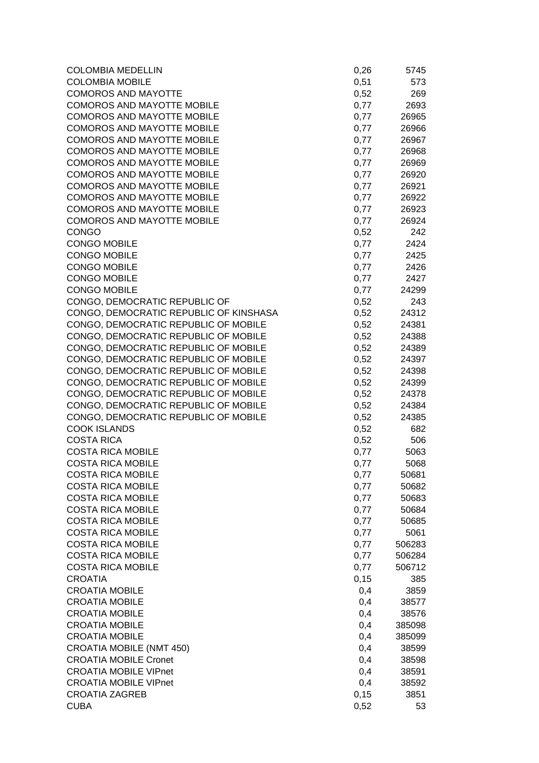| <b>COLOMBIA MOBILE</b><br>0,51<br>573<br><b>COMOROS AND MAYOTTE</b><br>269<br>0,52<br><b>COMOROS AND MAYOTTE MOBILE</b><br>2693<br>0,77<br><b>COMOROS AND MAYOTTE MOBILE</b><br>0,77<br>26965<br><b>COMOROS AND MAYOTTE MOBILE</b><br>0,77<br>26966<br><b>COMOROS AND MAYOTTE MOBILE</b><br>0,77<br>26967<br><b>COMOROS AND MAYOTTE MOBILE</b><br>0,77<br>26968<br><b>COMOROS AND MAYOTTE MOBILE</b><br>0,77<br>26969<br><b>COMOROS AND MAYOTTE MOBILE</b><br>0,77<br>26920<br><b>COMOROS AND MAYOTTE MOBILE</b><br>0,77<br>26921<br><b>COMOROS AND MAYOTTE MOBILE</b><br>0,77<br>26922<br><b>COMOROS AND MAYOTTE MOBILE</b><br>0,77<br>26923<br><b>COMOROS AND MAYOTTE MOBILE</b><br>0,77<br>26924<br><b>CONGO</b><br>0,52<br>242<br>2424<br><b>CONGO MOBILE</b><br>0,77<br><b>CONGO MOBILE</b><br>0,77<br>2425<br><b>CONGO MOBILE</b><br>0,77<br>2426<br><b>CONGO MOBILE</b><br>0,77<br>2427<br><b>CONGO MOBILE</b><br>0,77<br>24299<br>CONGO, DEMOCRATIC REPUBLIC OF<br>0,52<br>243<br>CONGO, DEMOCRATIC REPUBLIC OF KINSHASA<br>0,52<br>24312<br>CONGO, DEMOCRATIC REPUBLIC OF MOBILE<br>0,52<br>24381<br>CONGO, DEMOCRATIC REPUBLIC OF MOBILE<br>0,52<br>24388<br>CONGO, DEMOCRATIC REPUBLIC OF MOBILE<br>0,52<br>24389<br>CONGO, DEMOCRATIC REPUBLIC OF MOBILE<br>0,52<br>24397<br>CONGO, DEMOCRATIC REPUBLIC OF MOBILE<br>0,52<br>24398<br>CONGO, DEMOCRATIC REPUBLIC OF MOBILE<br>0,52<br>24399<br>CONGO, DEMOCRATIC REPUBLIC OF MOBILE<br>0,52<br>24378<br>CONGO, DEMOCRATIC REPUBLIC OF MOBILE<br>0,52<br>24384<br>CONGO, DEMOCRATIC REPUBLIC OF MOBILE<br>0,52<br>24385<br><b>COOK ISLANDS</b><br>0,52<br>682<br><b>COSTA RICA</b><br>0,52<br>506<br><b>COSTA RICA MOBILE</b><br>0,77<br>5063<br><b>COSTA RICA MOBILE</b><br>0,77<br>5068<br><b>COSTA RICA MOBILE</b><br>0,77<br>50681<br><b>COSTA RICA MOBILE</b><br>0,77<br>50682<br><b>COSTA RICA MOBILE</b><br>0,77<br>50683<br><b>COSTA RICA MOBILE</b><br>0,77<br>50684<br><b>COSTA RICA MOBILE</b><br>0,77<br>50685<br><b>COSTA RICA MOBILE</b><br>0,77<br>5061<br><b>COSTA RICA MOBILE</b><br>0,77<br>506283<br><b>COSTA RICA MOBILE</b><br>0,77<br>506284<br><b>COSTA RICA MOBILE</b><br>0,77<br>506712<br>0,15<br><b>CROATIA</b><br>385<br><b>CROATIA MOBILE</b><br>0,4<br>3859<br><b>CROATIA MOBILE</b><br>0,4<br>38577<br><b>CROATIA MOBILE</b><br>0,4<br>38576<br>0,4<br><b>CROATIA MOBILE</b><br>385098<br><b>CROATIA MOBILE</b><br>0,4<br>385099<br><b>CROATIA MOBILE (NMT 450)</b><br>0,4<br>38599<br><b>CROATIA MOBILE Cronet</b><br>0,4<br>38598<br><b>CROATIA MOBILE VIPnet</b><br>0,4<br>38591<br><b>CROATIA MOBILE VIPnet</b><br>0,4<br>38592<br><b>CROATIA ZAGREB</b><br>0,15<br>3851<br><b>CUBA</b><br>0,52<br>53 | <b>COLOMBIA MEDELLIN</b> | 0,26 | 5745 |
|-----------------------------------------------------------------------------------------------------------------------------------------------------------------------------------------------------------------------------------------------------------------------------------------------------------------------------------------------------------------------------------------------------------------------------------------------------------------------------------------------------------------------------------------------------------------------------------------------------------------------------------------------------------------------------------------------------------------------------------------------------------------------------------------------------------------------------------------------------------------------------------------------------------------------------------------------------------------------------------------------------------------------------------------------------------------------------------------------------------------------------------------------------------------------------------------------------------------------------------------------------------------------------------------------------------------------------------------------------------------------------------------------------------------------------------------------------------------------------------------------------------------------------------------------------------------------------------------------------------------------------------------------------------------------------------------------------------------------------------------------------------------------------------------------------------------------------------------------------------------------------------------------------------------------------------------------------------------------------------------------------------------------------------------------------------------------------------------------------------------------------------------------------------------------------------------------------------------------------------------------------------------------------------------------------------------------------------------------------------------------------------------------------------------------------------------------------------------------------------------------------------------------------------------------------------------------------------------------------------------------------------------------------------------------------------------------------|--------------------------|------|------|
|                                                                                                                                                                                                                                                                                                                                                                                                                                                                                                                                                                                                                                                                                                                                                                                                                                                                                                                                                                                                                                                                                                                                                                                                                                                                                                                                                                                                                                                                                                                                                                                                                                                                                                                                                                                                                                                                                                                                                                                                                                                                                                                                                                                                                                                                                                                                                                                                                                                                                                                                                                                                                                                                                                     |                          |      |      |
|                                                                                                                                                                                                                                                                                                                                                                                                                                                                                                                                                                                                                                                                                                                                                                                                                                                                                                                                                                                                                                                                                                                                                                                                                                                                                                                                                                                                                                                                                                                                                                                                                                                                                                                                                                                                                                                                                                                                                                                                                                                                                                                                                                                                                                                                                                                                                                                                                                                                                                                                                                                                                                                                                                     |                          |      |      |
|                                                                                                                                                                                                                                                                                                                                                                                                                                                                                                                                                                                                                                                                                                                                                                                                                                                                                                                                                                                                                                                                                                                                                                                                                                                                                                                                                                                                                                                                                                                                                                                                                                                                                                                                                                                                                                                                                                                                                                                                                                                                                                                                                                                                                                                                                                                                                                                                                                                                                                                                                                                                                                                                                                     |                          |      |      |
|                                                                                                                                                                                                                                                                                                                                                                                                                                                                                                                                                                                                                                                                                                                                                                                                                                                                                                                                                                                                                                                                                                                                                                                                                                                                                                                                                                                                                                                                                                                                                                                                                                                                                                                                                                                                                                                                                                                                                                                                                                                                                                                                                                                                                                                                                                                                                                                                                                                                                                                                                                                                                                                                                                     |                          |      |      |
|                                                                                                                                                                                                                                                                                                                                                                                                                                                                                                                                                                                                                                                                                                                                                                                                                                                                                                                                                                                                                                                                                                                                                                                                                                                                                                                                                                                                                                                                                                                                                                                                                                                                                                                                                                                                                                                                                                                                                                                                                                                                                                                                                                                                                                                                                                                                                                                                                                                                                                                                                                                                                                                                                                     |                          |      |      |
|                                                                                                                                                                                                                                                                                                                                                                                                                                                                                                                                                                                                                                                                                                                                                                                                                                                                                                                                                                                                                                                                                                                                                                                                                                                                                                                                                                                                                                                                                                                                                                                                                                                                                                                                                                                                                                                                                                                                                                                                                                                                                                                                                                                                                                                                                                                                                                                                                                                                                                                                                                                                                                                                                                     |                          |      |      |
|                                                                                                                                                                                                                                                                                                                                                                                                                                                                                                                                                                                                                                                                                                                                                                                                                                                                                                                                                                                                                                                                                                                                                                                                                                                                                                                                                                                                                                                                                                                                                                                                                                                                                                                                                                                                                                                                                                                                                                                                                                                                                                                                                                                                                                                                                                                                                                                                                                                                                                                                                                                                                                                                                                     |                          |      |      |
|                                                                                                                                                                                                                                                                                                                                                                                                                                                                                                                                                                                                                                                                                                                                                                                                                                                                                                                                                                                                                                                                                                                                                                                                                                                                                                                                                                                                                                                                                                                                                                                                                                                                                                                                                                                                                                                                                                                                                                                                                                                                                                                                                                                                                                                                                                                                                                                                                                                                                                                                                                                                                                                                                                     |                          |      |      |
|                                                                                                                                                                                                                                                                                                                                                                                                                                                                                                                                                                                                                                                                                                                                                                                                                                                                                                                                                                                                                                                                                                                                                                                                                                                                                                                                                                                                                                                                                                                                                                                                                                                                                                                                                                                                                                                                                                                                                                                                                                                                                                                                                                                                                                                                                                                                                                                                                                                                                                                                                                                                                                                                                                     |                          |      |      |
|                                                                                                                                                                                                                                                                                                                                                                                                                                                                                                                                                                                                                                                                                                                                                                                                                                                                                                                                                                                                                                                                                                                                                                                                                                                                                                                                                                                                                                                                                                                                                                                                                                                                                                                                                                                                                                                                                                                                                                                                                                                                                                                                                                                                                                                                                                                                                                                                                                                                                                                                                                                                                                                                                                     |                          |      |      |
|                                                                                                                                                                                                                                                                                                                                                                                                                                                                                                                                                                                                                                                                                                                                                                                                                                                                                                                                                                                                                                                                                                                                                                                                                                                                                                                                                                                                                                                                                                                                                                                                                                                                                                                                                                                                                                                                                                                                                                                                                                                                                                                                                                                                                                                                                                                                                                                                                                                                                                                                                                                                                                                                                                     |                          |      |      |
|                                                                                                                                                                                                                                                                                                                                                                                                                                                                                                                                                                                                                                                                                                                                                                                                                                                                                                                                                                                                                                                                                                                                                                                                                                                                                                                                                                                                                                                                                                                                                                                                                                                                                                                                                                                                                                                                                                                                                                                                                                                                                                                                                                                                                                                                                                                                                                                                                                                                                                                                                                                                                                                                                                     |                          |      |      |
|                                                                                                                                                                                                                                                                                                                                                                                                                                                                                                                                                                                                                                                                                                                                                                                                                                                                                                                                                                                                                                                                                                                                                                                                                                                                                                                                                                                                                                                                                                                                                                                                                                                                                                                                                                                                                                                                                                                                                                                                                                                                                                                                                                                                                                                                                                                                                                                                                                                                                                                                                                                                                                                                                                     |                          |      |      |
|                                                                                                                                                                                                                                                                                                                                                                                                                                                                                                                                                                                                                                                                                                                                                                                                                                                                                                                                                                                                                                                                                                                                                                                                                                                                                                                                                                                                                                                                                                                                                                                                                                                                                                                                                                                                                                                                                                                                                                                                                                                                                                                                                                                                                                                                                                                                                                                                                                                                                                                                                                                                                                                                                                     |                          |      |      |
|                                                                                                                                                                                                                                                                                                                                                                                                                                                                                                                                                                                                                                                                                                                                                                                                                                                                                                                                                                                                                                                                                                                                                                                                                                                                                                                                                                                                                                                                                                                                                                                                                                                                                                                                                                                                                                                                                                                                                                                                                                                                                                                                                                                                                                                                                                                                                                                                                                                                                                                                                                                                                                                                                                     |                          |      |      |
|                                                                                                                                                                                                                                                                                                                                                                                                                                                                                                                                                                                                                                                                                                                                                                                                                                                                                                                                                                                                                                                                                                                                                                                                                                                                                                                                                                                                                                                                                                                                                                                                                                                                                                                                                                                                                                                                                                                                                                                                                                                                                                                                                                                                                                                                                                                                                                                                                                                                                                                                                                                                                                                                                                     |                          |      |      |
|                                                                                                                                                                                                                                                                                                                                                                                                                                                                                                                                                                                                                                                                                                                                                                                                                                                                                                                                                                                                                                                                                                                                                                                                                                                                                                                                                                                                                                                                                                                                                                                                                                                                                                                                                                                                                                                                                                                                                                                                                                                                                                                                                                                                                                                                                                                                                                                                                                                                                                                                                                                                                                                                                                     |                          |      |      |
|                                                                                                                                                                                                                                                                                                                                                                                                                                                                                                                                                                                                                                                                                                                                                                                                                                                                                                                                                                                                                                                                                                                                                                                                                                                                                                                                                                                                                                                                                                                                                                                                                                                                                                                                                                                                                                                                                                                                                                                                                                                                                                                                                                                                                                                                                                                                                                                                                                                                                                                                                                                                                                                                                                     |                          |      |      |
|                                                                                                                                                                                                                                                                                                                                                                                                                                                                                                                                                                                                                                                                                                                                                                                                                                                                                                                                                                                                                                                                                                                                                                                                                                                                                                                                                                                                                                                                                                                                                                                                                                                                                                                                                                                                                                                                                                                                                                                                                                                                                                                                                                                                                                                                                                                                                                                                                                                                                                                                                                                                                                                                                                     |                          |      |      |
|                                                                                                                                                                                                                                                                                                                                                                                                                                                                                                                                                                                                                                                                                                                                                                                                                                                                                                                                                                                                                                                                                                                                                                                                                                                                                                                                                                                                                                                                                                                                                                                                                                                                                                                                                                                                                                                                                                                                                                                                                                                                                                                                                                                                                                                                                                                                                                                                                                                                                                                                                                                                                                                                                                     |                          |      |      |
|                                                                                                                                                                                                                                                                                                                                                                                                                                                                                                                                                                                                                                                                                                                                                                                                                                                                                                                                                                                                                                                                                                                                                                                                                                                                                                                                                                                                                                                                                                                                                                                                                                                                                                                                                                                                                                                                                                                                                                                                                                                                                                                                                                                                                                                                                                                                                                                                                                                                                                                                                                                                                                                                                                     |                          |      |      |
|                                                                                                                                                                                                                                                                                                                                                                                                                                                                                                                                                                                                                                                                                                                                                                                                                                                                                                                                                                                                                                                                                                                                                                                                                                                                                                                                                                                                                                                                                                                                                                                                                                                                                                                                                                                                                                                                                                                                                                                                                                                                                                                                                                                                                                                                                                                                                                                                                                                                                                                                                                                                                                                                                                     |                          |      |      |
|                                                                                                                                                                                                                                                                                                                                                                                                                                                                                                                                                                                                                                                                                                                                                                                                                                                                                                                                                                                                                                                                                                                                                                                                                                                                                                                                                                                                                                                                                                                                                                                                                                                                                                                                                                                                                                                                                                                                                                                                                                                                                                                                                                                                                                                                                                                                                                                                                                                                                                                                                                                                                                                                                                     |                          |      |      |
|                                                                                                                                                                                                                                                                                                                                                                                                                                                                                                                                                                                                                                                                                                                                                                                                                                                                                                                                                                                                                                                                                                                                                                                                                                                                                                                                                                                                                                                                                                                                                                                                                                                                                                                                                                                                                                                                                                                                                                                                                                                                                                                                                                                                                                                                                                                                                                                                                                                                                                                                                                                                                                                                                                     |                          |      |      |
|                                                                                                                                                                                                                                                                                                                                                                                                                                                                                                                                                                                                                                                                                                                                                                                                                                                                                                                                                                                                                                                                                                                                                                                                                                                                                                                                                                                                                                                                                                                                                                                                                                                                                                                                                                                                                                                                                                                                                                                                                                                                                                                                                                                                                                                                                                                                                                                                                                                                                                                                                                                                                                                                                                     |                          |      |      |
|                                                                                                                                                                                                                                                                                                                                                                                                                                                                                                                                                                                                                                                                                                                                                                                                                                                                                                                                                                                                                                                                                                                                                                                                                                                                                                                                                                                                                                                                                                                                                                                                                                                                                                                                                                                                                                                                                                                                                                                                                                                                                                                                                                                                                                                                                                                                                                                                                                                                                                                                                                                                                                                                                                     |                          |      |      |
|                                                                                                                                                                                                                                                                                                                                                                                                                                                                                                                                                                                                                                                                                                                                                                                                                                                                                                                                                                                                                                                                                                                                                                                                                                                                                                                                                                                                                                                                                                                                                                                                                                                                                                                                                                                                                                                                                                                                                                                                                                                                                                                                                                                                                                                                                                                                                                                                                                                                                                                                                                                                                                                                                                     |                          |      |      |
|                                                                                                                                                                                                                                                                                                                                                                                                                                                                                                                                                                                                                                                                                                                                                                                                                                                                                                                                                                                                                                                                                                                                                                                                                                                                                                                                                                                                                                                                                                                                                                                                                                                                                                                                                                                                                                                                                                                                                                                                                                                                                                                                                                                                                                                                                                                                                                                                                                                                                                                                                                                                                                                                                                     |                          |      |      |
|                                                                                                                                                                                                                                                                                                                                                                                                                                                                                                                                                                                                                                                                                                                                                                                                                                                                                                                                                                                                                                                                                                                                                                                                                                                                                                                                                                                                                                                                                                                                                                                                                                                                                                                                                                                                                                                                                                                                                                                                                                                                                                                                                                                                                                                                                                                                                                                                                                                                                                                                                                                                                                                                                                     |                          |      |      |
|                                                                                                                                                                                                                                                                                                                                                                                                                                                                                                                                                                                                                                                                                                                                                                                                                                                                                                                                                                                                                                                                                                                                                                                                                                                                                                                                                                                                                                                                                                                                                                                                                                                                                                                                                                                                                                                                                                                                                                                                                                                                                                                                                                                                                                                                                                                                                                                                                                                                                                                                                                                                                                                                                                     |                          |      |      |
|                                                                                                                                                                                                                                                                                                                                                                                                                                                                                                                                                                                                                                                                                                                                                                                                                                                                                                                                                                                                                                                                                                                                                                                                                                                                                                                                                                                                                                                                                                                                                                                                                                                                                                                                                                                                                                                                                                                                                                                                                                                                                                                                                                                                                                                                                                                                                                                                                                                                                                                                                                                                                                                                                                     |                          |      |      |
|                                                                                                                                                                                                                                                                                                                                                                                                                                                                                                                                                                                                                                                                                                                                                                                                                                                                                                                                                                                                                                                                                                                                                                                                                                                                                                                                                                                                                                                                                                                                                                                                                                                                                                                                                                                                                                                                                                                                                                                                                                                                                                                                                                                                                                                                                                                                                                                                                                                                                                                                                                                                                                                                                                     |                          |      |      |
|                                                                                                                                                                                                                                                                                                                                                                                                                                                                                                                                                                                                                                                                                                                                                                                                                                                                                                                                                                                                                                                                                                                                                                                                                                                                                                                                                                                                                                                                                                                                                                                                                                                                                                                                                                                                                                                                                                                                                                                                                                                                                                                                                                                                                                                                                                                                                                                                                                                                                                                                                                                                                                                                                                     |                          |      |      |
|                                                                                                                                                                                                                                                                                                                                                                                                                                                                                                                                                                                                                                                                                                                                                                                                                                                                                                                                                                                                                                                                                                                                                                                                                                                                                                                                                                                                                                                                                                                                                                                                                                                                                                                                                                                                                                                                                                                                                                                                                                                                                                                                                                                                                                                                                                                                                                                                                                                                                                                                                                                                                                                                                                     |                          |      |      |
|                                                                                                                                                                                                                                                                                                                                                                                                                                                                                                                                                                                                                                                                                                                                                                                                                                                                                                                                                                                                                                                                                                                                                                                                                                                                                                                                                                                                                                                                                                                                                                                                                                                                                                                                                                                                                                                                                                                                                                                                                                                                                                                                                                                                                                                                                                                                                                                                                                                                                                                                                                                                                                                                                                     |                          |      |      |
|                                                                                                                                                                                                                                                                                                                                                                                                                                                                                                                                                                                                                                                                                                                                                                                                                                                                                                                                                                                                                                                                                                                                                                                                                                                                                                                                                                                                                                                                                                                                                                                                                                                                                                                                                                                                                                                                                                                                                                                                                                                                                                                                                                                                                                                                                                                                                                                                                                                                                                                                                                                                                                                                                                     |                          |      |      |
|                                                                                                                                                                                                                                                                                                                                                                                                                                                                                                                                                                                                                                                                                                                                                                                                                                                                                                                                                                                                                                                                                                                                                                                                                                                                                                                                                                                                                                                                                                                                                                                                                                                                                                                                                                                                                                                                                                                                                                                                                                                                                                                                                                                                                                                                                                                                                                                                                                                                                                                                                                                                                                                                                                     |                          |      |      |
|                                                                                                                                                                                                                                                                                                                                                                                                                                                                                                                                                                                                                                                                                                                                                                                                                                                                                                                                                                                                                                                                                                                                                                                                                                                                                                                                                                                                                                                                                                                                                                                                                                                                                                                                                                                                                                                                                                                                                                                                                                                                                                                                                                                                                                                                                                                                                                                                                                                                                                                                                                                                                                                                                                     |                          |      |      |
|                                                                                                                                                                                                                                                                                                                                                                                                                                                                                                                                                                                                                                                                                                                                                                                                                                                                                                                                                                                                                                                                                                                                                                                                                                                                                                                                                                                                                                                                                                                                                                                                                                                                                                                                                                                                                                                                                                                                                                                                                                                                                                                                                                                                                                                                                                                                                                                                                                                                                                                                                                                                                                                                                                     |                          |      |      |
|                                                                                                                                                                                                                                                                                                                                                                                                                                                                                                                                                                                                                                                                                                                                                                                                                                                                                                                                                                                                                                                                                                                                                                                                                                                                                                                                                                                                                                                                                                                                                                                                                                                                                                                                                                                                                                                                                                                                                                                                                                                                                                                                                                                                                                                                                                                                                                                                                                                                                                                                                                                                                                                                                                     |                          |      |      |
|                                                                                                                                                                                                                                                                                                                                                                                                                                                                                                                                                                                                                                                                                                                                                                                                                                                                                                                                                                                                                                                                                                                                                                                                                                                                                                                                                                                                                                                                                                                                                                                                                                                                                                                                                                                                                                                                                                                                                                                                                                                                                                                                                                                                                                                                                                                                                                                                                                                                                                                                                                                                                                                                                                     |                          |      |      |
|                                                                                                                                                                                                                                                                                                                                                                                                                                                                                                                                                                                                                                                                                                                                                                                                                                                                                                                                                                                                                                                                                                                                                                                                                                                                                                                                                                                                                                                                                                                                                                                                                                                                                                                                                                                                                                                                                                                                                                                                                                                                                                                                                                                                                                                                                                                                                                                                                                                                                                                                                                                                                                                                                                     |                          |      |      |
|                                                                                                                                                                                                                                                                                                                                                                                                                                                                                                                                                                                                                                                                                                                                                                                                                                                                                                                                                                                                                                                                                                                                                                                                                                                                                                                                                                                                                                                                                                                                                                                                                                                                                                                                                                                                                                                                                                                                                                                                                                                                                                                                                                                                                                                                                                                                                                                                                                                                                                                                                                                                                                                                                                     |                          |      |      |
|                                                                                                                                                                                                                                                                                                                                                                                                                                                                                                                                                                                                                                                                                                                                                                                                                                                                                                                                                                                                                                                                                                                                                                                                                                                                                                                                                                                                                                                                                                                                                                                                                                                                                                                                                                                                                                                                                                                                                                                                                                                                                                                                                                                                                                                                                                                                                                                                                                                                                                                                                                                                                                                                                                     |                          |      |      |
|                                                                                                                                                                                                                                                                                                                                                                                                                                                                                                                                                                                                                                                                                                                                                                                                                                                                                                                                                                                                                                                                                                                                                                                                                                                                                                                                                                                                                                                                                                                                                                                                                                                                                                                                                                                                                                                                                                                                                                                                                                                                                                                                                                                                                                                                                                                                                                                                                                                                                                                                                                                                                                                                                                     |                          |      |      |
|                                                                                                                                                                                                                                                                                                                                                                                                                                                                                                                                                                                                                                                                                                                                                                                                                                                                                                                                                                                                                                                                                                                                                                                                                                                                                                                                                                                                                                                                                                                                                                                                                                                                                                                                                                                                                                                                                                                                                                                                                                                                                                                                                                                                                                                                                                                                                                                                                                                                                                                                                                                                                                                                                                     |                          |      |      |
|                                                                                                                                                                                                                                                                                                                                                                                                                                                                                                                                                                                                                                                                                                                                                                                                                                                                                                                                                                                                                                                                                                                                                                                                                                                                                                                                                                                                                                                                                                                                                                                                                                                                                                                                                                                                                                                                                                                                                                                                                                                                                                                                                                                                                                                                                                                                                                                                                                                                                                                                                                                                                                                                                                     |                          |      |      |
|                                                                                                                                                                                                                                                                                                                                                                                                                                                                                                                                                                                                                                                                                                                                                                                                                                                                                                                                                                                                                                                                                                                                                                                                                                                                                                                                                                                                                                                                                                                                                                                                                                                                                                                                                                                                                                                                                                                                                                                                                                                                                                                                                                                                                                                                                                                                                                                                                                                                                                                                                                                                                                                                                                     |                          |      |      |
|                                                                                                                                                                                                                                                                                                                                                                                                                                                                                                                                                                                                                                                                                                                                                                                                                                                                                                                                                                                                                                                                                                                                                                                                                                                                                                                                                                                                                                                                                                                                                                                                                                                                                                                                                                                                                                                                                                                                                                                                                                                                                                                                                                                                                                                                                                                                                                                                                                                                                                                                                                                                                                                                                                     |                          |      |      |
|                                                                                                                                                                                                                                                                                                                                                                                                                                                                                                                                                                                                                                                                                                                                                                                                                                                                                                                                                                                                                                                                                                                                                                                                                                                                                                                                                                                                                                                                                                                                                                                                                                                                                                                                                                                                                                                                                                                                                                                                                                                                                                                                                                                                                                                                                                                                                                                                                                                                                                                                                                                                                                                                                                     |                          |      |      |
|                                                                                                                                                                                                                                                                                                                                                                                                                                                                                                                                                                                                                                                                                                                                                                                                                                                                                                                                                                                                                                                                                                                                                                                                                                                                                                                                                                                                                                                                                                                                                                                                                                                                                                                                                                                                                                                                                                                                                                                                                                                                                                                                                                                                                                                                                                                                                                                                                                                                                                                                                                                                                                                                                                     |                          |      |      |
|                                                                                                                                                                                                                                                                                                                                                                                                                                                                                                                                                                                                                                                                                                                                                                                                                                                                                                                                                                                                                                                                                                                                                                                                                                                                                                                                                                                                                                                                                                                                                                                                                                                                                                                                                                                                                                                                                                                                                                                                                                                                                                                                                                                                                                                                                                                                                                                                                                                                                                                                                                                                                                                                                                     |                          |      |      |
|                                                                                                                                                                                                                                                                                                                                                                                                                                                                                                                                                                                                                                                                                                                                                                                                                                                                                                                                                                                                                                                                                                                                                                                                                                                                                                                                                                                                                                                                                                                                                                                                                                                                                                                                                                                                                                                                                                                                                                                                                                                                                                                                                                                                                                                                                                                                                                                                                                                                                                                                                                                                                                                                                                     |                          |      |      |
|                                                                                                                                                                                                                                                                                                                                                                                                                                                                                                                                                                                                                                                                                                                                                                                                                                                                                                                                                                                                                                                                                                                                                                                                                                                                                                                                                                                                                                                                                                                                                                                                                                                                                                                                                                                                                                                                                                                                                                                                                                                                                                                                                                                                                                                                                                                                                                                                                                                                                                                                                                                                                                                                                                     |                          |      |      |
|                                                                                                                                                                                                                                                                                                                                                                                                                                                                                                                                                                                                                                                                                                                                                                                                                                                                                                                                                                                                                                                                                                                                                                                                                                                                                                                                                                                                                                                                                                                                                                                                                                                                                                                                                                                                                                                                                                                                                                                                                                                                                                                                                                                                                                                                                                                                                                                                                                                                                                                                                                                                                                                                                                     |                          |      |      |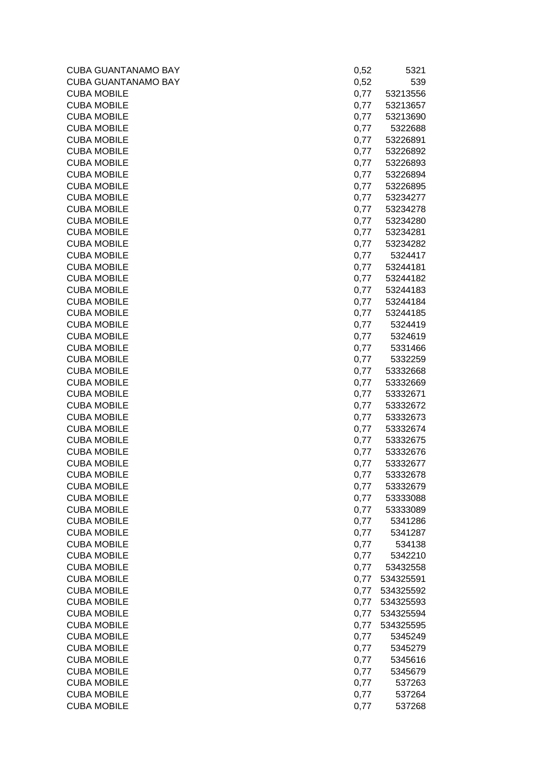| <b>CUBA GUANTANAMO BAY</b> | 0,52 | 5321      |
|----------------------------|------|-----------|
| <b>CUBA GUANTANAMO BAY</b> | 0,52 | 539       |
| <b>CUBA MOBILE</b>         | 0,77 | 53213556  |
| <b>CUBA MOBILE</b>         | 0,77 | 53213657  |
| <b>CUBA MOBILE</b>         | 0,77 | 53213690  |
| <b>CUBA MOBILE</b>         | 0,77 | 5322688   |
| <b>CUBA MOBILE</b>         | 0,77 | 53226891  |
| <b>CUBA MOBILE</b>         | 0,77 | 53226892  |
| <b>CUBA MOBILE</b>         | 0,77 | 53226893  |
| <b>CUBA MOBILE</b>         | 0,77 | 53226894  |
| <b>CUBA MOBILE</b>         | 0,77 | 53226895  |
| <b>CUBA MOBILE</b>         | 0,77 | 53234277  |
| <b>CUBA MOBILE</b>         | 0,77 | 53234278  |
| <b>CUBA MOBILE</b>         | 0,77 | 53234280  |
| <b>CUBA MOBILE</b>         | 0,77 | 53234281  |
| <b>CUBA MOBILE</b>         | 0,77 | 53234282  |
| <b>CUBA MOBILE</b>         | 0,77 | 5324417   |
| <b>CUBA MOBILE</b>         | 0,77 | 53244181  |
| <b>CUBA MOBILE</b>         | 0,77 | 53244182  |
| <b>CUBA MOBILE</b>         | 0,77 | 53244183  |
| <b>CUBA MOBILE</b>         | 0,77 | 53244184  |
| <b>CUBA MOBILE</b>         | 0,77 | 53244185  |
| <b>CUBA MOBILE</b>         | 0,77 | 5324419   |
| <b>CUBA MOBILE</b>         | 0,77 | 5324619   |
| <b>CUBA MOBILE</b>         | 0,77 | 5331466   |
| <b>CUBA MOBILE</b>         | 0,77 | 5332259   |
| <b>CUBA MOBILE</b>         | 0,77 | 53332668  |
| <b>CUBA MOBILE</b>         | 0,77 | 53332669  |
| <b>CUBA MOBILE</b>         | 0,77 | 53332671  |
| <b>CUBA MOBILE</b>         | 0,77 | 53332672  |
| <b>CUBA MOBILE</b>         | 0,77 | 53332673  |
| <b>CUBA MOBILE</b>         | 0,77 | 53332674  |
| <b>CUBA MOBILE</b>         | 0,77 | 53332675  |
| <b>CUBA MOBILE</b>         | 0,77 | 53332676  |
| <b>CUBA MOBILE</b>         | 0,77 | 53332677  |
| <b>CUBA MOBILE</b>         | 0,77 | 53332678  |
| <b>CUBA MOBILE</b>         | 0,77 | 53332679  |
| <b>CUBA MOBILE</b>         | 0,77 | 53333088  |
| <b>CUBA MOBILE</b>         | 0,77 | 53333089  |
| <b>CUBA MOBILE</b>         | 0,77 | 5341286   |
| <b>CUBA MOBILE</b>         | 0,77 | 5341287   |
| <b>CUBA MOBILE</b>         | 0,77 | 534138    |
| <b>CUBA MOBILE</b>         | 0,77 | 5342210   |
| <b>CUBA MOBILE</b>         | 0,77 | 53432558  |
| <b>CUBA MOBILE</b>         | 0,77 | 534325591 |
| <b>CUBA MOBILE</b>         | 0,77 | 534325592 |
| <b>CUBA MOBILE</b>         | 0,77 | 534325593 |
| <b>CUBA MOBILE</b>         | 0,77 | 534325594 |
| <b>CUBA MOBILE</b>         | 0,77 | 534325595 |
| <b>CUBA MOBILE</b>         | 0,77 | 5345249   |
| <b>CUBA MOBILE</b>         | 0,77 | 5345279   |
| <b>CUBA MOBILE</b>         | 0,77 | 5345616   |
| <b>CUBA MOBILE</b>         | 0,77 | 5345679   |
| <b>CUBA MOBILE</b>         | 0,77 | 537263    |
| <b>CUBA MOBILE</b>         | 0,77 | 537264    |
| <b>CUBA MOBILE</b>         | 0,77 | 537268    |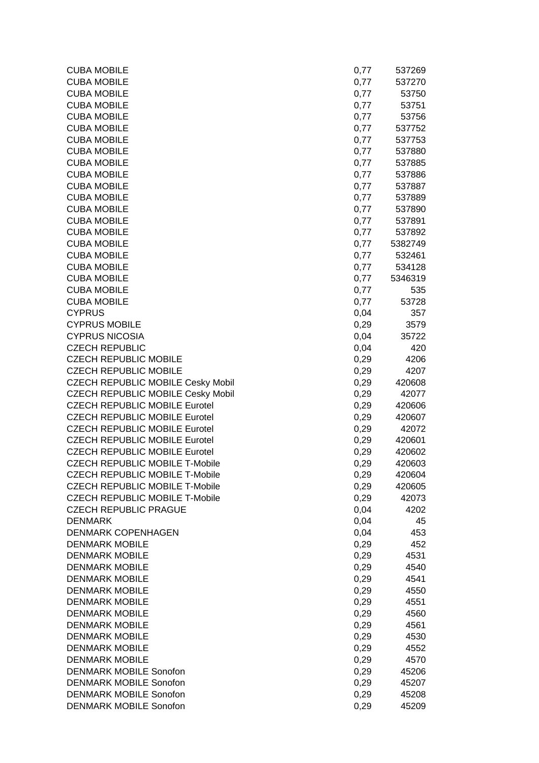| <b>CUBA MOBILE</b>                       | 0,77 | 537269  |
|------------------------------------------|------|---------|
| <b>CUBA MOBILE</b>                       | 0,77 | 537270  |
| <b>CUBA MOBILE</b>                       | 0,77 | 53750   |
| <b>CUBA MOBILE</b>                       | 0,77 | 53751   |
| <b>CUBA MOBILE</b>                       | 0,77 | 53756   |
| <b>CUBA MOBILE</b>                       | 0,77 | 537752  |
| <b>CUBA MOBILE</b>                       | 0,77 | 537753  |
| <b>CUBA MOBILE</b>                       | 0,77 | 537880  |
| <b>CUBA MOBILE</b>                       | 0,77 | 537885  |
| <b>CUBA MOBILE</b>                       | 0,77 | 537886  |
| <b>CUBA MOBILE</b>                       | 0,77 | 537887  |
| <b>CUBA MOBILE</b>                       | 0,77 | 537889  |
| <b>CUBA MOBILE</b>                       | 0,77 | 537890  |
| <b>CUBA MOBILE</b>                       | 0,77 | 537891  |
| <b>CUBA MOBILE</b>                       | 0,77 | 537892  |
| <b>CUBA MOBILE</b>                       | 0,77 | 5382749 |
| <b>CUBA MOBILE</b>                       | 0,77 | 532461  |
| <b>CUBA MOBILE</b>                       | 0,77 | 534128  |
| <b>CUBA MOBILE</b>                       | 0,77 | 5346319 |
| <b>CUBA MOBILE</b>                       | 0,77 | 535     |
| <b>CUBA MOBILE</b>                       | 0,77 | 53728   |
| <b>CYPRUS</b>                            | 0,04 | 357     |
| <b>CYPRUS MOBILE</b>                     | 0,29 | 3579    |
| <b>CYPRUS NICOSIA</b>                    | 0,04 | 35722   |
| <b>CZECH REPUBLIC</b>                    | 0,04 | 420     |
| <b>CZECH REPUBLIC MOBILE</b>             | 0,29 | 4206    |
| <b>CZECH REPUBLIC MOBILE</b>             | 0,29 | 4207    |
| <b>CZECH REPUBLIC MOBILE Cesky Mobil</b> | 0,29 | 420608  |
| <b>CZECH REPUBLIC MOBILE Cesky Mobil</b> | 0,29 | 42077   |
| <b>CZECH REPUBLIC MOBILE Eurotel</b>     | 0,29 | 420606  |
| <b>CZECH REPUBLIC MOBILE Eurotel</b>     | 0,29 | 420607  |
| <b>CZECH REPUBLIC MOBILE Eurotel</b>     | 0,29 | 42072   |
| <b>CZECH REPUBLIC MOBILE Eurotel</b>     | 0,29 | 420601  |
| <b>CZECH REPUBLIC MOBILE Eurotel</b>     | 0,29 | 420602  |
| <b>CZECH REPUBLIC MOBILE T-Mobile</b>    | 0,29 | 420603  |
| <b>CZECH REPUBLIC MOBILE T-Mobile</b>    | 0,29 | 420604  |
| <b>CZECH REPUBLIC MOBILE T-Mobile</b>    | 0,29 | 420605  |
| <b>CZECH REPUBLIC MOBILE T-Mobile</b>    | 0,29 | 42073   |
| <b>CZECH REPUBLIC PRAGUE</b>             | 0,04 | 4202    |
| <b>DENMARK</b>                           | 0,04 | 45      |
| <b>DENMARK COPENHAGEN</b>                | 0,04 | 453     |
| <b>DENMARK MOBILE</b>                    | 0,29 | 452     |
| <b>DENMARK MOBILE</b>                    | 0,29 | 4531    |
| <b>DENMARK MOBILE</b>                    | 0,29 | 4540    |
| <b>DENMARK MOBILE</b>                    | 0,29 | 4541    |
| <b>DENMARK MOBILE</b>                    | 0,29 | 4550    |
| <b>DENMARK MOBILE</b>                    | 0,29 | 4551    |
| <b>DENMARK MOBILE</b>                    | 0,29 | 4560    |
| <b>DENMARK MOBILE</b>                    | 0,29 | 4561    |
| <b>DENMARK MOBILE</b>                    | 0,29 | 4530    |
| <b>DENMARK MOBILE</b>                    | 0,29 | 4552    |
| <b>DENMARK MOBILE</b>                    | 0,29 | 4570    |
| <b>DENMARK MOBILE Sonofon</b>            | 0,29 | 45206   |
| <b>DENMARK MOBILE Sonofon</b>            | 0,29 | 45207   |
| <b>DENMARK MOBILE Sonofon</b>            | 0,29 | 45208   |
| <b>DENMARK MOBILE Sonofon</b>            | 0,29 | 45209   |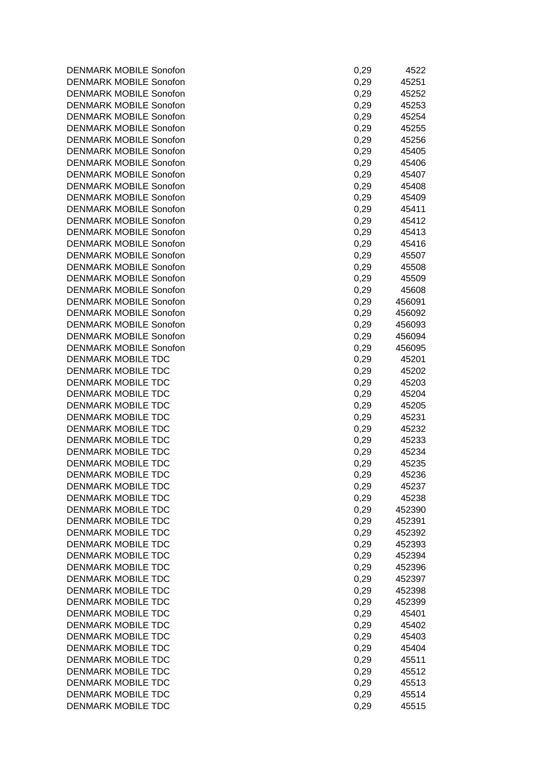DENMARK MOBILE Sonofon DENMARK MOBILE Sonofon DENMARK MOBILE Sonofon DENMARK MOBILE Sonofon DENMARK MOBILE Sonofon DENMARK MOBILE Sonofon DENMARK MOBILE Sonofon DENMARK MOBILE Sonofon DENMARK MOBILE Sonofon DENMARK MOBILE Sonofon DENMARK MOBILE Sonofon DENMARK MOBILE Sonofon DENMARK MOBILE Sonofon DENMARK MOBILE Sonofon DENMARK MOBILE Sonofon DENMARK MOBILE Sonofon DENMARK MOBILE Sonofon DENMARK MOBILE Sonofon DENMARK MOBILE Sonofon DENMARK MOBILE Sonofon DENMARK MOBILE Sonofon DENMARK MOBILE Sonofon DENMARK MOBILE Sonofon DENMARK MOBILE Sonofon DENMARK MOBILE Sonofon DENMARK MOBILE TDC DENMARK MOBILE TDC DENMARK MOBILE TDC DENMARK MOBILE TDC DENMARK MOBILE TDC DENMARK MOBILE TDC DENMARK MOBILE TDC DENMARK MOBILE TDC DENMARK MOBILE TDC DENMARK MOBILE TDC DENMARK MOBILE TDC DENMARK MOBILE TDC DENMARK MOBILE TDC DENMARK MOBILE TDC DENMARK MOBILE TDC DENMARK MOBILE TDC DENMARK MOBILE TDC DENMARK MOBILE TDC DENMARK MOBILE TDC DENMARK MOBILE TDC DENMARK MOBILE TDC DENMARK MOBILE TDC DENMARK MOBILE TDC DENMARK MOBILE TDC DENMARK MOBILE TDC DENMARK MOBILE TDC DENMARK MOBILE TDC DENMARK MOBILE TDC DENMARK MOBILE TDC DENMARK MOBILE TDC DENMARK MOBILE TDC

| 0,29 | 4522   |
|------|--------|
| 0,29 | 45251  |
| 0,29 | 45252  |
| 0,29 | 45253  |
| 0,29 | 45254  |
| 0,29 | 45255  |
| 0,29 | 45256  |
| 0,29 | 45405  |
| 0,29 | 45406  |
| 0,29 | 45407  |
| 0,29 | 45408  |
| 0,29 | 45409  |
| 0,29 | 45411  |
| 0,29 | 45412  |
| 0,29 | 45413  |
| 0,29 | 45416  |
| 0,29 | 45507  |
| 0,29 | 45508  |
| 0,29 | 45509  |
| 0,29 | 45608  |
| 0,29 | 456091 |
| 0,29 | 456092 |
| 0,29 | 456093 |
| 0,29 | 456094 |
| 0,29 | 456095 |
| 0,29 | 45201  |
| 0,29 | 45202  |
| 0,29 | 45203  |
| 0,29 | 45204  |
| 0,29 | 45205  |
| 0,29 | 45231  |
| 0,29 | 45232  |
| 0,29 | 45233  |
| 0,29 | 45234  |
| 0,29 | 45235  |
| 0,29 | 45236  |
| 0,29 | 45237  |
| 0,29 | 45238  |
| 0,29 | 452390 |
| 0,29 | 452391 |
| 0,29 | 452392 |
| 0,29 | 452393 |
| 0,29 | 452394 |
| 0,29 | 452396 |
| 0,29 | 452397 |
| 0,29 | 452398 |
| 0,29 | 452399 |
| 0,29 | 45401  |
| 0,29 | 45402  |
| 0,29 | 45403  |
| 0,29 | 45404  |
| 0,29 | 45511  |
| 0,29 | 45512  |
| 0,29 | 45513  |
| 0,29 | 45514  |
| 0,29 | 45515  |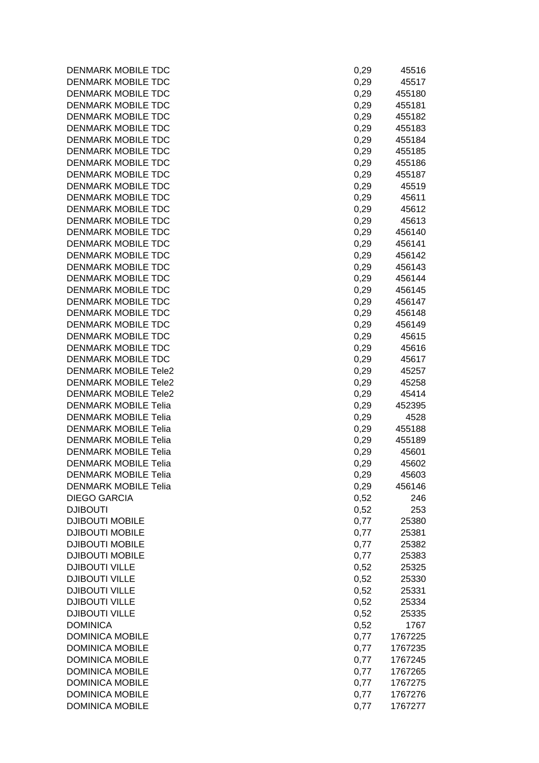| <b>DENMARK MOBILE TDC</b>   | 0,29 | 45516   |
|-----------------------------|------|---------|
| <b>DENMARK MOBILE TDC</b>   | 0,29 | 45517   |
| <b>DENMARK MOBILE TDC</b>   | 0,29 | 455180  |
| <b>DENMARK MOBILE TDC</b>   | 0,29 | 455181  |
| <b>DENMARK MOBILE TDC</b>   | 0,29 | 455182  |
| <b>DENMARK MOBILE TDC</b>   | 0,29 | 455183  |
| <b>DENMARK MOBILE TDC</b>   | 0,29 | 455184  |
| <b>DENMARK MOBILE TDC</b>   | 0,29 | 455185  |
| <b>DENMARK MOBILE TDC</b>   | 0,29 | 455186  |
| <b>DENMARK MOBILE TDC</b>   | 0,29 | 455187  |
| <b>DENMARK MOBILE TDC</b>   | 0,29 | 45519   |
| <b>DENMARK MOBILE TDC</b>   | 0,29 | 45611   |
| <b>DENMARK MOBILE TDC</b>   | 0,29 | 45612   |
| <b>DENMARK MOBILE TDC</b>   | 0,29 | 45613   |
| <b>DENMARK MOBILE TDC</b>   | 0,29 | 456140  |
| <b>DENMARK MOBILE TDC</b>   | 0,29 | 456141  |
| <b>DENMARK MOBILE TDC</b>   | 0,29 | 456142  |
| <b>DENMARK MOBILE TDC</b>   | 0,29 | 456143  |
| <b>DENMARK MOBILE TDC</b>   | 0,29 | 456144  |
| <b>DENMARK MOBILE TDC</b>   | 0,29 | 456145  |
| <b>DENMARK MOBILE TDC</b>   | 0,29 | 456147  |
| <b>DENMARK MOBILE TDC</b>   | 0,29 | 456148  |
| <b>DENMARK MOBILE TDC</b>   | 0,29 | 456149  |
| DENMARK MOBILE TDC          | 0,29 | 45615   |
| <b>DENMARK MOBILE TDC</b>   | 0,29 | 45616   |
| <b>DENMARK MOBILE TDC</b>   | 0,29 | 45617   |
| <b>DENMARK MOBILE Tele2</b> | 0,29 | 45257   |
| <b>DENMARK MOBILE Tele2</b> | 0,29 | 45258   |
| <b>DENMARK MOBILE Tele2</b> | 0,29 | 45414   |
| <b>DENMARK MOBILE Telia</b> | 0,29 | 452395  |
| <b>DENMARK MOBILE Telia</b> | 0,29 | 4528    |
| <b>DENMARK MOBILE Telia</b> | 0,29 | 455188  |
| <b>DENMARK MOBILE Telia</b> | 0,29 | 455189  |
| <b>DENMARK MOBILE Telia</b> | 0,29 | 45601   |
| <b>DENMARK MOBILE Telia</b> | 0,29 | 45602   |
| <b>DENMARK MOBILE Telia</b> | 0,29 | 45603   |
| <b>DENMARK MOBILE Telia</b> | 0,29 | 456146  |
| <b>DIEGO GARCIA</b>         | 0,52 | 246     |
| <b>DJIBOUTI</b>             | 0,52 | 253     |
| <b>DJIBOUTI MOBILE</b>      | 0,77 | 25380   |
| <b>DJIBOUTI MOBILE</b>      |      |         |
| <b>DJIBOUTI MOBILE</b>      | 0,77 | 25381   |
|                             | 0,77 | 25382   |
| <b>DJIBOUTI MOBILE</b>      | 0,77 | 25383   |
| <b>DJIBOUTI VILLE</b>       | 0,52 | 25325   |
| <b>DJIBOUTI VILLE</b>       | 0,52 | 25330   |
| <b>DJIBOUTI VILLE</b>       | 0,52 | 25331   |
| <b>DJIBOUTI VILLE</b>       | 0,52 | 25334   |
| <b>DJIBOUTI VILLE</b>       | 0,52 | 25335   |
| <b>DOMINICA</b>             | 0,52 | 1767    |
| <b>DOMINICA MOBILE</b>      | 0,77 | 1767225 |
| <b>DOMINICA MOBILE</b>      | 0,77 | 1767235 |
| <b>DOMINICA MOBILE</b>      | 0,77 | 1767245 |
| <b>DOMINICA MOBILE</b>      | 0,77 | 1767265 |
| <b>DOMINICA MOBILE</b>      | 0,77 | 1767275 |
| <b>DOMINICA MOBILE</b>      | 0,77 | 1767276 |
| <b>DOMINICA MOBILE</b>      | 0,77 | 1767277 |

| 0,29 | 45516   |
|------|---------|
| 0,29 | 45517   |
|      |         |
| 0,29 | 455180  |
| 0,29 | 455181  |
| 0,29 | 455182  |
|      | 455183  |
| 0,29 |         |
| 0,29 | 455184  |
| 0,29 | 455185  |
| 0,29 | 455186  |
|      |         |
| 0,29 | 455187  |
| 0,29 | 45519   |
| 0,29 | 45611   |
| 0,29 | 45612   |
| 0,29 | 45613   |
|      |         |
| 0,29 | 456140  |
| 0,29 | 456141  |
| 0,29 | 456142  |
| 0,29 | 456143  |
| 0,29 | 456144  |
|      |         |
| 0,29 | 456145  |
| 0,29 | 456147  |
| 0,29 | 456148  |
| 0,29 | 456149  |
|      |         |
| 0,29 | 45615   |
| 0,29 | 45616   |
| 0,29 | 45617   |
| 0,29 | 45257   |
| 0,29 | 45258   |
|      |         |
| 0,29 | 45414   |
| 0,29 | 452395  |
| 0,29 | 4528    |
| 0,29 | 455188  |
| 0,29 | 455189  |
| 0,29 | 45601   |
|      |         |
| 0,29 | 45602   |
| 0,29 | 45603   |
| 0,29 | 456146  |
| 0,52 | 246     |
| 0,52 | 253     |
|      |         |
| 0,77 | 25380   |
| 0,77 | 25381   |
| 0,77 | 25382   |
| 0,77 | 25383   |
| 0,52 | 25325   |
|      |         |
| 0,52 | 25330   |
| 0,52 | 25331   |
| 0,52 | 25334   |
| 0,52 | 25335   |
| 0,52 | 1767    |
| 0,77 | 1767225 |
|      |         |
| 0,77 | 1767235 |
| 0,77 | 1767245 |
| 0,77 | 1767265 |
| 0,77 | 1767275 |
| 0,77 |         |
|      | 1767276 |
| 0,77 | 1767277 |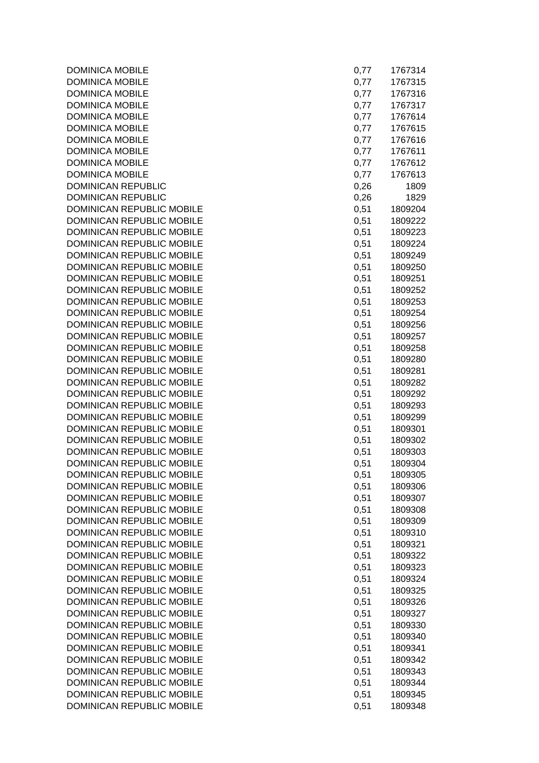| <b>DOMINICA MOBILE</b>                                 | 0,77         | 1767314            |
|--------------------------------------------------------|--------------|--------------------|
| <b>DOMINICA MOBILE</b>                                 | 0,77         | 1767315            |
| <b>DOMINICA MOBILE</b>                                 | 0,77         | 1767316            |
| <b>DOMINICA MOBILE</b>                                 | 0,77         | 1767317            |
| <b>DOMINICA MOBILE</b>                                 | 0,77         | 1767614            |
| <b>DOMINICA MOBILE</b>                                 | 0,77         | 1767615            |
| <b>DOMINICA MOBILE</b>                                 | 0,77         | 1767616            |
| <b>DOMINICA MOBILE</b>                                 | 0,77         | 1767611            |
| <b>DOMINICA MOBILE</b>                                 | 0,77         | 1767612            |
| <b>DOMINICA MOBILE</b>                                 | 0,77         | 1767613            |
| <b>DOMINICAN REPUBLIC</b>                              | 0,26         | 1809               |
| <b>DOMINICAN REPUBLIC</b>                              | 0,26         | 1829               |
| DOMINICAN REPUBLIC MOBILE                              | 0,51         | 1809204            |
| DOMINICAN REPUBLIC MOBILE                              | 0,51         | 1809222            |
| DOMINICAN REPUBLIC MOBILE                              | 0,51         | 1809223            |
| DOMINICAN REPUBLIC MOBILE                              | 0,51         | 1809224            |
| DOMINICAN REPUBLIC MOBILE                              | 0,51         | 1809249            |
| DOMINICAN REPUBLIC MOBILE                              | 0,51         | 1809250            |
| DOMINICAN REPUBLIC MOBILE                              | 0,51         | 1809251            |
| DOMINICAN REPUBLIC MOBILE                              | 0,51         | 1809252            |
| DOMINICAN REPUBLIC MOBILE                              | 0,51         | 1809253            |
| DOMINICAN REPUBLIC MOBILE                              | 0,51         | 1809254            |
| DOMINICAN REPUBLIC MOBILE                              | 0,51         | 1809256            |
| DOMINICAN REPUBLIC MOBILE                              | 0,51         | 1809257            |
| DOMINICAN REPUBLIC MOBILE                              | 0,51         | 1809258            |
| DOMINICAN REPUBLIC MOBILE                              | 0,51         | 1809280            |
| DOMINICAN REPUBLIC MOBILE                              | 0,51         | 1809281            |
| DOMINICAN REPUBLIC MOBILE                              | 0,51         | 1809282            |
| DOMINICAN REPUBLIC MOBILE                              | 0,51         | 1809292            |
| DOMINICAN REPUBLIC MOBILE                              | 0,51         | 1809293            |
| DOMINICAN REPUBLIC MOBILE                              | 0,51         | 1809299            |
| DOMINICAN REPUBLIC MOBILE                              | 0,51         | 1809301            |
| DOMINICAN REPUBLIC MOBILE                              | 0,51         | 1809302            |
| DOMINICAN REPUBLIC MOBILE                              | 0,51         | 1809303            |
| <b>DOMINICAN REPUBLIC MOBILE</b>                       | 0,51         | 1809304            |
| DOMINICAN REPUBLIC MOBILE                              | 0,51         | 1809305            |
| DOMINICAN REPUBLIC MOBILE                              | 0,51         | 1809306            |
| DOMINICAN REPUBLIC MOBILE                              | 0,51         | 1809307            |
| DOMINICAN REPUBLIC MOBILE                              | 0,51         | 1809308            |
| DOMINICAN REPUBLIC MOBILE                              | 0,51         | 1809309            |
| DOMINICAN REPUBLIC MOBILE                              | 0,51         | 1809310            |
| DOMINICAN REPUBLIC MOBILE<br>DOMINICAN REPUBLIC MOBILE | 0,51         | 1809321            |
|                                                        | 0,51         | 1809322            |
| DOMINICAN REPUBLIC MOBILE                              | 0,51         | 1809323            |
| DOMINICAN REPUBLIC MOBILE<br>DOMINICAN REPUBLIC MOBILE | 0,51         | 1809324            |
| DOMINICAN REPUBLIC MOBILE                              | 0,51         | 1809325            |
| DOMINICAN REPUBLIC MOBILE                              | 0,51<br>0,51 | 1809326            |
| DOMINICAN REPUBLIC MOBILE                              |              | 1809327            |
| DOMINICAN REPUBLIC MOBILE                              | 0,51<br>0,51 | 1809330<br>1809340 |
| DOMINICAN REPUBLIC MOBILE                              | 0,51         | 1809341            |
| DOMINICAN REPUBLIC MOBILE                              | 0,51         | 1809342            |
| DOMINICAN REPUBLIC MOBILE                              | 0,51         | 1809343            |
| DOMINICAN REPUBLIC MOBILE                              | 0,51         | 1809344            |
| DOMINICAN REPUBLIC MOBILE                              | 0,51         | 1809345            |
| DOMINICAN REPUBLIC MOBILE                              | 0,51         | 1809348            |
|                                                        |              |                    |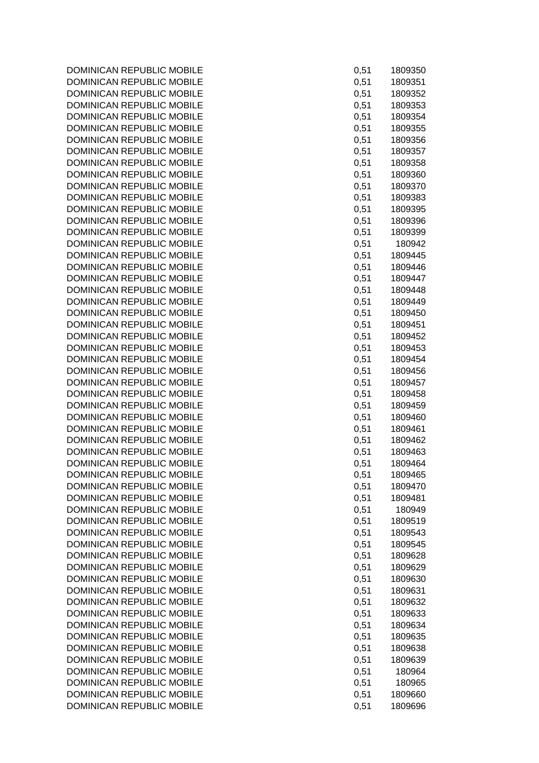| 0,51 | 1809350 |
|------|---------|
| 0,51 | 1809351 |
| 0,51 | 1809352 |
| 0,51 | 1809353 |
| 0,51 | 1809354 |
| 0,51 | 1809355 |
| 0,51 | 1809356 |
| 0,51 | 1809357 |
| 0,51 | 1809358 |
| 0,51 | 1809360 |
| 0,51 | 1809370 |
| 0,51 | 1809383 |
| 0,51 | 1809395 |
| 0,51 | 1809396 |
| 0,51 | 1809399 |
| 0,51 | 180942  |
| 0,51 |         |
|      | 1809445 |
| 0,51 | 1809446 |
| 0,51 | 1809447 |
| 0,51 | 1809448 |
| 0,51 | 1809449 |
| 0,51 | 1809450 |
| 0,51 | 1809451 |
| 0,51 | 1809452 |
| 0,51 | 1809453 |
| 0,51 | 1809454 |
| 0,51 | 1809456 |
| 0,51 | 1809457 |
| 0,51 | 1809458 |
| 0,51 | 1809459 |
| 0,51 | 1809460 |
| 0,51 | 1809461 |
| 0,51 | 1809462 |
| 0,51 | 1809463 |
| 0,51 | 1809464 |
| 0,51 | 1809465 |
| 0,51 | 1809470 |
| 0,51 | 1809481 |
| 0,51 | 180949  |
| 0,51 | 1809519 |
| 0,51 | 1809543 |
| 0,51 | 1809545 |
| 0,51 | 1809628 |
| 0,51 | 1809629 |
| 0,51 | 1809630 |
| 0,51 | 1809631 |
| 0,51 | 1809632 |
| 0,51 | 1809633 |
| 0,51 | 1809634 |
| 0,51 | 1809635 |
| 0,51 | 1809638 |
| 0,51 | 1809639 |
| 0,51 | 180964  |
| 0,51 | 180965  |
| 0,51 | 1809660 |
| 0,51 | 1809696 |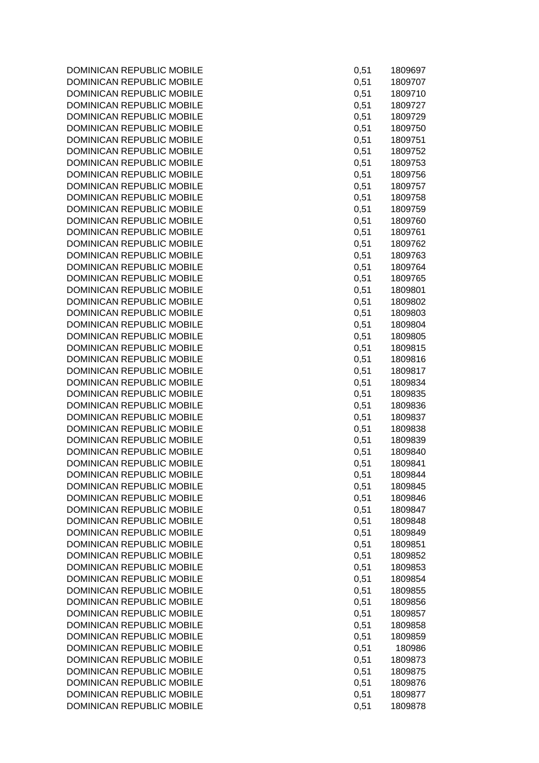| 0,51 | 1809697 |
|------|---------|
| 0,51 | 1809707 |
| 0,51 | 1809710 |
| 0,51 | 1809727 |
| 0,51 | 1809729 |
| 0,51 | 1809750 |
|      |         |
| 0,51 | 1809751 |
| 0,51 | 1809752 |
| 0,51 | 1809753 |
| 0,51 | 1809756 |
| 0,51 | 1809757 |
| 0,51 | 1809758 |
| 0,51 | 1809759 |
| 0,51 | 1809760 |
| 0,51 | 1809761 |
| 0,51 |         |
|      | 1809762 |
| 0,51 | 1809763 |
| 0,51 | 1809764 |
| 0,51 | 1809765 |
| 0,51 | 1809801 |
| 0,51 | 1809802 |
| 0,51 | 1809803 |
| 0,51 | 1809804 |
| 0,51 | 1809805 |
| 0,51 | 1809815 |
|      | 1809816 |
| 0,51 |         |
| 0,51 | 1809817 |
| 0,51 | 1809834 |
| 0,51 | 1809835 |
| 0,51 | 1809836 |
| 0,51 | 1809837 |
| 0,51 | 1809838 |
| 0,51 | 1809839 |
| 0,51 | 1809840 |
| 0,51 | 1809841 |
| 0,51 | 1809844 |
|      |         |
| 0,51 | 1809845 |
| 0,51 | 1809846 |
| 0,51 | 1809847 |
| 0,51 | 1809848 |
| 0,51 | 1809849 |
| 0,51 | 1809851 |
| 0,51 | 1809852 |
| 0,51 | 1809853 |
| 0,51 | 1809854 |
| 0,51 | 1809855 |
|      | 1809856 |
| 0,51 |         |
| 0,51 | 1809857 |
| 0,51 | 1809858 |
| 0,51 | 1809859 |
| 0,51 | 180986  |
| 0,51 | 1809873 |
| 0,51 | 1809875 |
| 0,51 | 1809876 |
| 0,51 | 1809877 |
| 0,51 | 1809878 |
|      |         |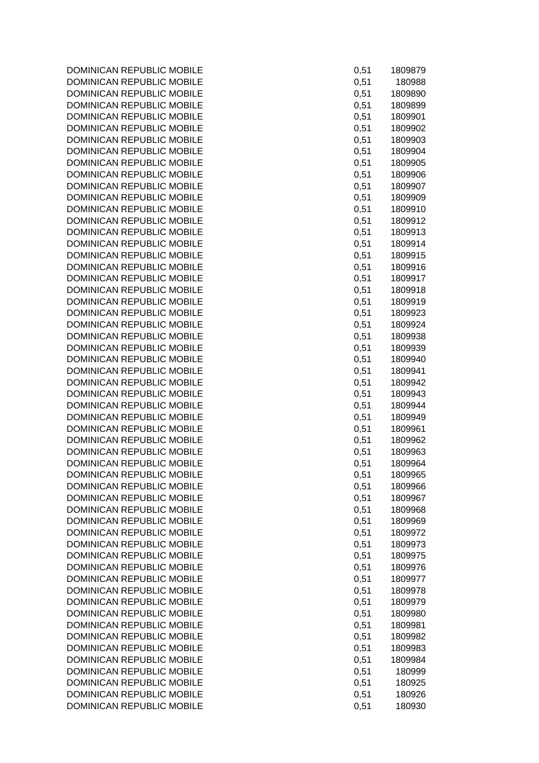| 0,51 | 1809879 |
|------|---------|
| 0,51 | 180988  |
| 0,51 | 1809890 |
| 0,51 | 1809899 |
| 0,51 | 1809901 |
| 0,51 | 1809902 |
| 0,51 | 1809903 |
| 0,51 | 1809904 |
| 0,51 | 1809905 |
| 0,51 | 1809906 |
| 0,51 | 1809907 |
| 0,51 | 1809909 |
| 0,51 | 1809910 |
| 0,51 | 1809912 |
| 0,51 | 1809913 |
| 0,51 | 1809914 |
| 0,51 | 1809915 |
| 0,51 | 1809916 |
| 0,51 | 1809917 |
| 0,51 | 1809918 |
| 0,51 | 1809919 |
| 0,51 | 1809923 |
| 0,51 | 1809924 |
| 0,51 | 1809938 |
| 0,51 | 1809939 |
| 0,51 | 1809940 |
| 0,51 | 1809941 |
| 0,51 | 1809942 |
| 0,51 | 1809943 |
| 0,51 | 1809944 |
| 0,51 | 1809949 |
| 0,51 | 1809961 |
| 0,51 | 1809962 |
| 0,51 | 1809963 |
| 0,51 | 1809964 |
| 0,51 | 1809965 |
| 0,51 | 1809966 |
| 0,51 | 1809967 |
| 0,51 | 1809968 |
| 0,51 | 1809969 |
| 0,51 | 1809972 |
| 0,51 | 1809973 |
| 0,51 | 1809975 |
| 0,51 | 1809976 |
| 0,51 | 1809977 |
| 0,51 | 1809978 |
| 0,51 | 1809979 |
| 0,51 | 1809980 |
| 0,51 | 1809981 |
| 0,51 | 1809982 |
| 0,51 | 1809983 |
| 0,51 | 1809984 |
| 0,51 | 180999  |
| 0,51 | 180925  |
| 0,51 | 180926  |
| 0,51 | 180930  |
|      |         |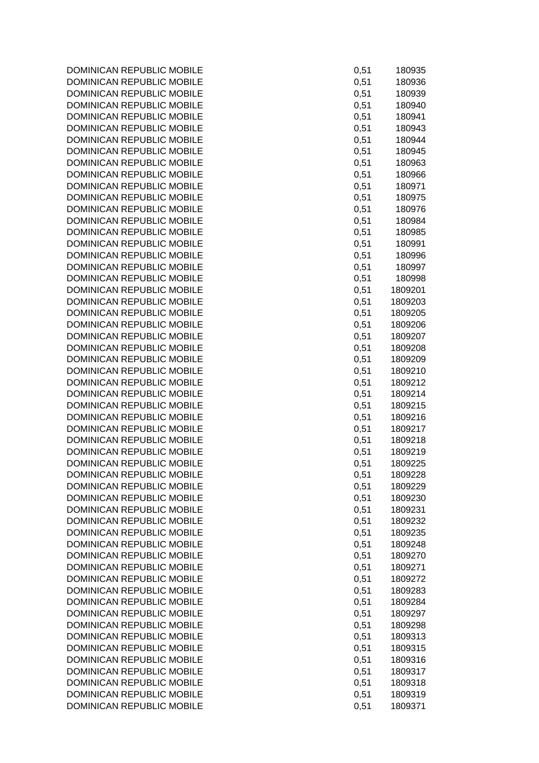| 0,51 | 180935  |
|------|---------|
| 0,51 | 180936  |
| 0,51 | 180939  |
| 0,51 | 180940  |
| 0,51 | 180941  |
|      |         |
| 0,51 | 180943  |
| 0,51 | 180944  |
| 0,51 | 180945  |
|      | 180963  |
| 0,51 |         |
| 0,51 | 180966  |
| 0,51 | 180971  |
| 0,51 | 180975  |
| 0,51 | 180976  |
|      |         |
| 0,51 | 180984  |
| 0,51 | 180985  |
| 0,51 | 180991  |
| 0,51 | 180996  |
| 0,51 |         |
|      | 180997  |
| 0,51 | 180998  |
| 0,51 | 1809201 |
| 0,51 | 1809203 |
| 0,51 | 1809205 |
|      |         |
| 0,51 | 1809206 |
| 0,51 | 1809207 |
| 0,51 | 1809208 |
| 0,51 | 1809209 |
| 0,51 | 1809210 |
| 0,51 | 1809212 |
|      |         |
| 0,51 | 1809214 |
| 0,51 | 1809215 |
| 0,51 | 1809216 |
| 0,51 | 1809217 |
| 0,51 | 1809218 |
| 0,51 | 1809219 |
|      |         |
| 0,51 | 1809225 |
| 0,51 | 1809228 |
| 0,51 | 1809229 |
| 0,51 | 1809230 |
| 0,51 | 1809231 |
| 0,51 | 1809232 |
|      |         |
| 0,51 | 1809235 |
| 0,51 | 1809248 |
| 0,51 | 1809270 |
| 0,51 | 1809271 |
| 0,51 | 1809272 |
|      |         |
| 0,51 | 1809283 |
| 0,51 | 1809284 |
| 0,51 | 1809297 |
| 0,51 | 1809298 |
| 0,51 | 1809313 |
|      |         |
| 0,51 | 1809315 |
| 0,51 | 1809316 |
| 0,51 | 1809317 |
| 0,51 | 1809318 |
| 0,51 | 1809319 |
| 0,51 | 1809371 |
|      |         |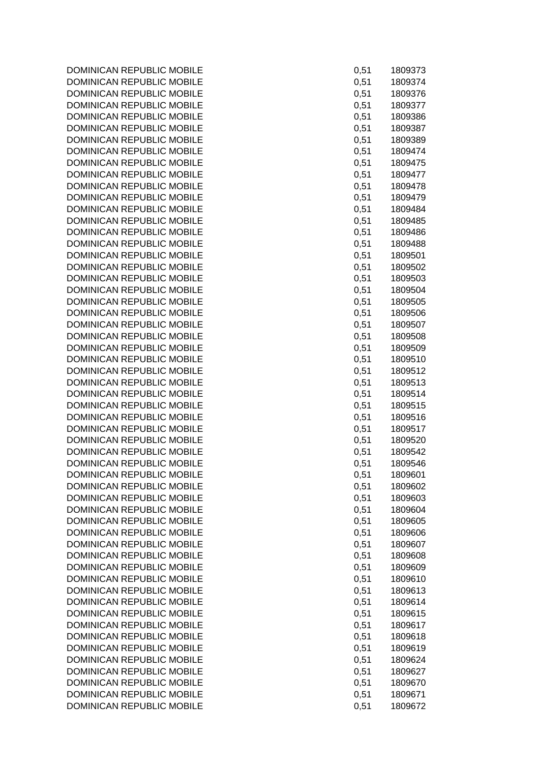| 0,51 | 1809373            |
|------|--------------------|
| 0,51 | 1809374            |
| 0,51 | 1809376            |
| 0,51 | 1809377            |
| 0,51 | 1809386            |
| 0,51 | 1809387            |
| 0,51 | 1809389            |
| 0,51 | 1809474            |
| 0,51 | 1809475            |
| 0,51 | 1809477            |
| 0,51 | 1809478            |
| 0,51 | 1809479            |
| 0,51 | 1809484            |
| 0,51 | 1809485            |
| 0,51 | 1809486            |
| 0,51 | 1809488            |
| 0,51 | 1809501            |
| 0,51 | 1809502            |
| 0,51 | 1809503            |
| 0,51 |                    |
| 0,51 | 1809504<br>1809505 |
| 0,51 | 1809506            |
| 0,51 | 1809507            |
| 0,51 | 1809508            |
| 0,51 | 1809509            |
| 0,51 | 1809510            |
| 0,51 | 1809512            |
| 0,51 | 1809513            |
| 0,51 | 1809514            |
| 0,51 | 1809515            |
| 0,51 | 1809516            |
| 0,51 | 1809517            |
| 0,51 | 1809520            |
| 0,51 | 1809542            |
| 0,51 | 1809546            |
| 0,51 | 1809601            |
| 0,51 | 1809602            |
| 0,51 | 1809603            |
| 0,51 | 1809604            |
| 0,51 | 1809605            |
| 0,51 | 1809606            |
| 0,51 | 1809607            |
| 0,51 | 1809608            |
| 0,51 | 1809609            |
| 0,51 | 1809610            |
| 0,51 | 1809613            |
| 0,51 | 1809614            |
| 0,51 | 1809615            |
| 0,51 | 1809617            |
| 0,51 | 1809618            |
| 0,51 | 1809619            |
| 0,51 | 1809624            |
| 0,51 | 1809627            |
| 0,51 | 1809670            |
| 0,51 | 1809671            |
| 0,51 | 1809672            |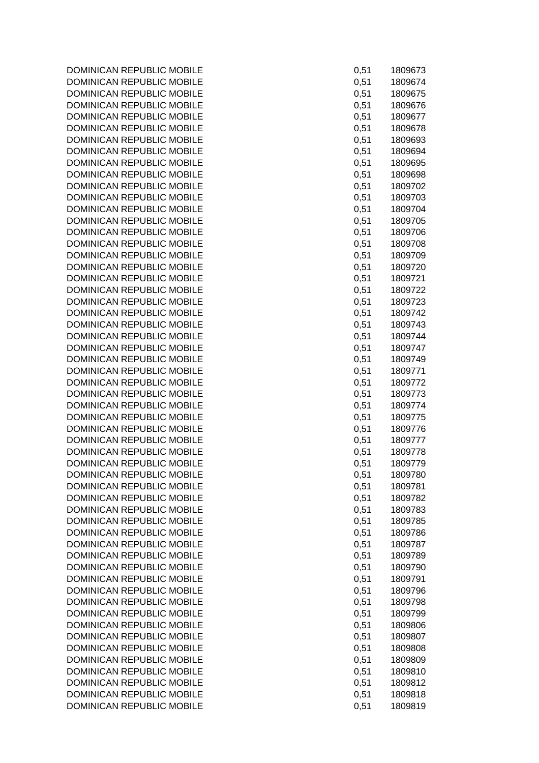| 0,51 | 1809673 |
|------|---------|
| 0,51 | 1809674 |
| 0,51 | 1809675 |
| 0,51 | 1809676 |
| 0,51 | 1809677 |
| 0,51 | 1809678 |
| 0,51 | 1809693 |
|      | 1809694 |
| 0,51 |         |
| 0,51 | 1809695 |
| 0,51 | 1809698 |
| 0,51 | 1809702 |
| 0,51 | 1809703 |
| 0,51 | 1809704 |
| 0,51 | 1809705 |
| 0,51 | 1809706 |
| 0,51 | 1809708 |
| 0,51 | 1809709 |
| 0,51 | 1809720 |
| 0,51 | 1809721 |
| 0,51 | 1809722 |
| 0,51 | 1809723 |
|      |         |
| 0,51 | 1809742 |
| 0,51 | 1809743 |
| 0,51 | 1809744 |
| 0,51 | 1809747 |
| 0,51 | 1809749 |
| 0,51 | 1809771 |
| 0,51 | 1809772 |
| 0,51 | 1809773 |
| 0,51 | 1809774 |
| 0,51 | 1809775 |
| 0,51 | 1809776 |
| 0,51 | 1809777 |
| 0,51 | 1809778 |
| 0,51 | 1809779 |
|      |         |
| 0,51 | 1809780 |
| 0,51 | 1809781 |
| 0,51 | 1809782 |
| 0,51 | 1809783 |
| 0,51 | 1809785 |
| 0,51 | 1809786 |
| 0,51 | 1809787 |
| 0,51 | 1809789 |
| 0,51 | 1809790 |
| 0,51 | 1809791 |
| 0,51 | 1809796 |
| 0,51 | 1809798 |
| 0,51 | 1809799 |
| 0,51 | 1809806 |
|      |         |
| 0,51 | 1809807 |
| 0,51 | 1809808 |
| 0,51 | 1809809 |
| 0,51 | 1809810 |
| 0,51 | 1809812 |
| 0,51 | 1809818 |
| 0,51 | 1809819 |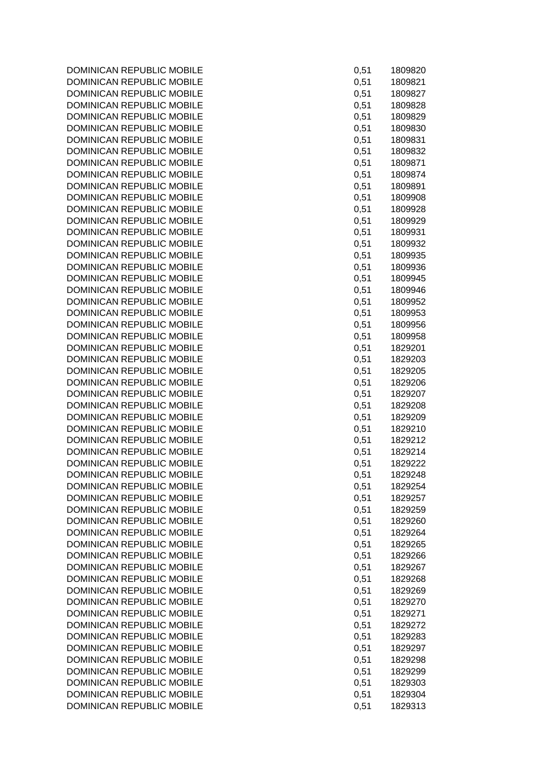| 0,51 | 1809820 |
|------|---------|
| 0,51 | 1809821 |
| 0,51 | 1809827 |
| 0,51 | 1809828 |
| 0,51 | 1809829 |
| 0,51 | 1809830 |
| 0,51 | 1809831 |
| 0,51 | 1809832 |
| 0,51 | 1809871 |
|      |         |
| 0,51 | 1809874 |
| 0,51 | 1809891 |
| 0,51 | 1809908 |
| 0,51 | 1809928 |
| 0,51 | 1809929 |
| 0,51 | 1809931 |
| 0,51 | 1809932 |
| 0,51 | 1809935 |
| 0,51 | 1809936 |
| 0,51 | 1809945 |
| 0,51 | 1809946 |
| 0,51 | 1809952 |
| 0,51 | 1809953 |
| 0,51 | 1809956 |
| 0,51 | 1809958 |
| 0,51 | 1829201 |
| 0,51 | 1829203 |
| 0,51 | 1829205 |
| 0,51 | 1829206 |
| 0,51 | 1829207 |
| 0,51 | 1829208 |
| 0,51 | 1829209 |
| 0,51 | 1829210 |
| 0,51 | 1829212 |
|      |         |
| 0,51 | 1829214 |
| 0,51 | 1829222 |
| 0,51 | 1829248 |
| 0,51 | 1829254 |
| 0,51 | 1829257 |
| 0,51 | 1829259 |
| 0,51 | 1829260 |
| 0,51 | 1829264 |
| 0,51 | 1829265 |
| 0,51 | 1829266 |
| 0,51 | 1829267 |
| 0,51 | 1829268 |
| 0,51 | 1829269 |
| 0,51 | 1829270 |
| 0,51 | 1829271 |
| 0,51 | 1829272 |
| 0,51 | 1829283 |
| 0,51 | 1829297 |
| 0,51 | 1829298 |
| 0,51 | 1829299 |
| 0,51 | 1829303 |
| 0,51 | 1829304 |
| 0,51 | 1829313 |
|      |         |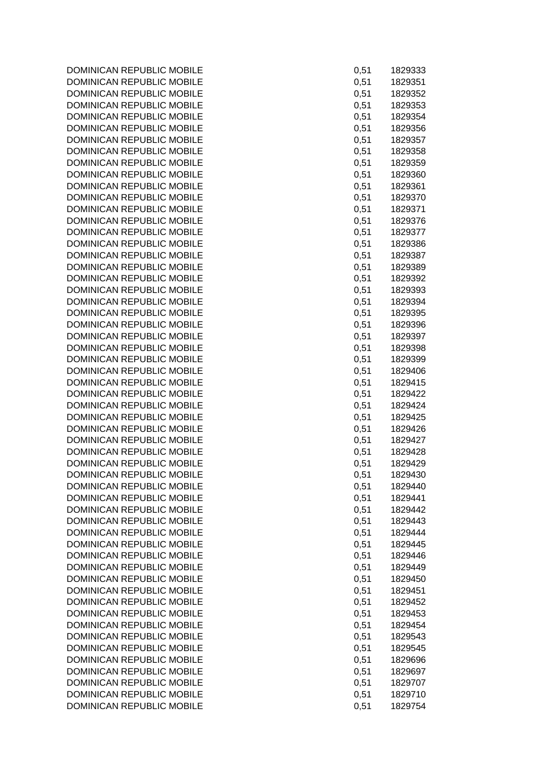| 0,51 | 1829333 |
|------|---------|
| 0,51 | 1829351 |
| 0,51 | 1829352 |
| 0,51 | 1829353 |
| 0,51 | 1829354 |
| 0,51 | 1829356 |
| 0,51 | 1829357 |
| 0,51 | 1829358 |
| 0,51 | 1829359 |
| 0,51 | 1829360 |
| 0,51 | 1829361 |
| 0,51 | 1829370 |
| 0,51 | 1829371 |
| 0,51 | 1829376 |
|      |         |
| 0,51 | 1829377 |
| 0,51 | 1829386 |
| 0,51 | 1829387 |
| 0,51 | 1829389 |
| 0,51 | 1829392 |
| 0,51 | 1829393 |
| 0,51 | 1829394 |
| 0,51 | 1829395 |
| 0,51 | 1829396 |
| 0,51 | 1829397 |
| 0,51 | 1829398 |
| 0,51 | 1829399 |
| 0,51 | 1829406 |
| 0,51 | 1829415 |
| 0,51 | 1829422 |
| 0,51 | 1829424 |
| 0,51 | 1829425 |
| 0,51 | 1829426 |
| 0,51 | 1829427 |
| 0,51 | 1829428 |
| 0,51 | 1829429 |
| 0,51 | 1829430 |
| 0,51 | 1829440 |
| 0,51 | 1829441 |
|      |         |
| 0,51 | 1829442 |
| 0,51 | 1829443 |
| 0,51 | 1829444 |
| 0,51 | 1829445 |
| 0,51 | 1829446 |
| 0,51 | 1829449 |
| 0,51 | 1829450 |
| 0,51 | 1829451 |
| 0,51 | 1829452 |
| 0,51 | 1829453 |
| 0,51 | 1829454 |
| 0,51 | 1829543 |
| 0,51 | 1829545 |
| 0,51 | 1829696 |
| 0,51 | 1829697 |
| 0,51 | 1829707 |
| 0,51 | 1829710 |
| 0,51 | 1829754 |
|      |         |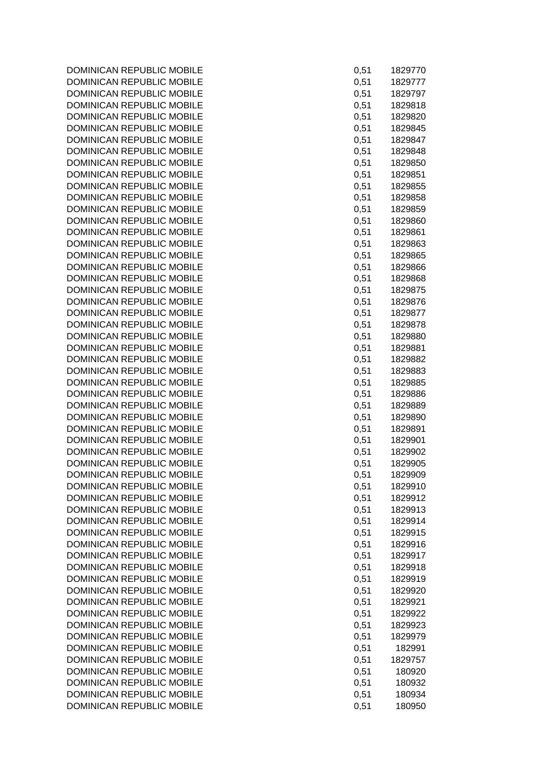| 0,51         | 1829770            |
|--------------|--------------------|
| 0,51         | 1829777            |
| 0,51         | 1829797            |
| 0,51         | 1829818            |
| 0,51         | 1829820            |
| 0,51         | 1829845            |
| 0,51         | 1829847            |
| 0,51         | 1829848            |
| 0,51         | 1829850            |
| 0,51         | 1829851            |
| 0,51         | 1829855            |
| 0,51<br>0,51 | 1829858<br>1829859 |
| 0,51         | 1829860            |
| 0,51         | 1829861            |
| 0,51         | 1829863            |
| 0,51         | 1829865            |
| 0,51         | 1829866            |
| 0,51         | 1829868            |
| 0,51         | 1829875            |
| 0,51         | 1829876            |
| 0,51         | 1829877            |
| 0,51         | 1829878            |
| 0,51         | 1829880            |
| 0,51         | 1829881            |
| 0,51         | 1829882            |
| 0,51         | 1829883            |
| 0,51         | 1829885            |
| 0,51         | 1829886            |
| 0,51         | 1829889            |
| 0,51         | 1829890            |
| 0,51         | 1829891            |
| 0,51         | 1829901            |
| 0,51         | 1829902            |
| 0,51         | 1829905            |
| 0,51<br>0,51 | 1829909<br>1829910 |
| 0,51         | 1829912            |
| 0,51         | 1829913            |
| 0,51         | 1829914            |
| 0,51         | 1829915            |
| 0,51         | 1829916            |
| 0,51         | 1829917            |
| 0,51         | 1829918            |
| 0,51         | 1829919            |
| 0,51         | 1829920            |
| 0,51         | 1829921            |
| 0,51         | 1829922            |
| 0,51         | 1829923            |
| 0,51         | 1829979            |
| 0,51         | 182991             |
| 0,51         | 1829757            |
| 0,51         | 180920             |
| 0,51         | 180932             |
| 0,51         | 180934             |
| 0,51         | 180950             |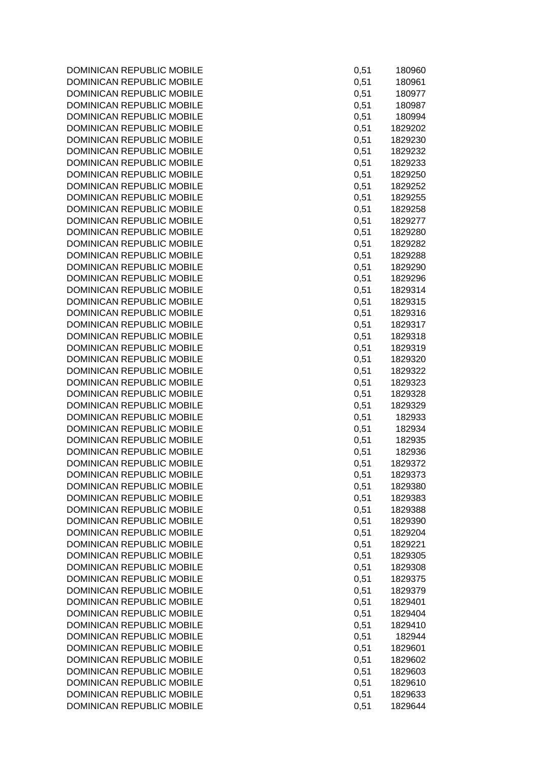| 0,51         | 180960             |
|--------------|--------------------|
| 0,51         | 180961             |
| 0,51         | 180977             |
| 0,51         | 180987             |
| 0,51         | 180994             |
| 0,51         | 1829202            |
| 0,51         | 1829230            |
| 0,51         | 1829232<br>1829233 |
| 0,51<br>0,51 | 1829250            |
| 0,51         | 1829252            |
| 0,51         | 1829255            |
| 0,51         | 1829258            |
| 0,51         | 1829277            |
| 0,51         | 1829280            |
| 0,51         | 1829282            |
| 0,51         | 1829288            |
| 0,51         | 1829290            |
| 0,51         | 1829296            |
| 0,51         | 1829314            |
| 0,51         | 1829315            |
| 0,51         | 1829316            |
| 0,51         | 1829317            |
| 0,51         | 1829318            |
| 0,51         | 1829319            |
| 0,51         | 1829320            |
| 0,51         | 1829322            |
| 0,51         | 1829323            |
| 0,51         | 1829328            |
| 0,51<br>0,51 | 1829329<br>182933  |
| 0,51         | 182934             |
| 0,51         | 182935             |
| 0,51         | 182936             |
| 0,51         | 1829372            |
| 0,51         | 1829373            |
| 0,51         | 1829380            |
| 0,51         | 1829383            |
| 0,51         | 1829388            |
| 0,51         | 1829390            |
| 0,51         | 1829204            |
| 0,51         | 1829221            |
| 0,51         | 1829305            |
| 0,51         | 1829308            |
| 0,51         | 1829375            |
| 0,51         | 1829379            |
| 0,51         | 1829401            |
| 0,51         | 1829404            |
| 0,51<br>0,51 | 1829410<br>182944  |
| 0,51         | 1829601            |
| 0,51         | 1829602            |
| 0,51         | 1829603            |
| 0,51         | 1829610            |
| 0,51         | 1829633            |
| 0,51         | 1829644            |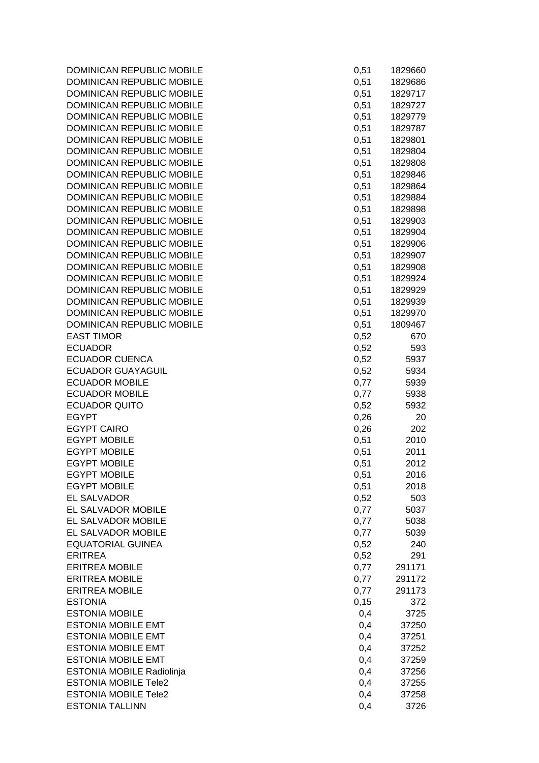| DOMINICAN REPUBLIC MOBILE                              | 0,51 | 1829660 |
|--------------------------------------------------------|------|---------|
| <b>DOMINICAN REPUBLIC MOBILE</b>                       | 0,51 | 1829686 |
| DOMINICAN REPUBLIC MOBILE                              | 0,51 | 1829717 |
| DOMINICAN REPUBLIC MOBILE                              | 0,51 | 1829727 |
| DOMINICAN REPUBLIC MOBILE                              | 0,51 | 1829779 |
| DOMINICAN REPUBLIC MOBILE                              | 0,51 | 1829787 |
| DOMINICAN REPUBLIC MOBILE                              | 0,51 | 1829801 |
| DOMINICAN REPUBLIC MOBILE                              | 0,51 | 1829804 |
| DOMINICAN REPUBLIC MOBILE                              | 0,51 | 1829808 |
| <b>DOMINICAN REPUBLIC MOBILE</b>                       | 0,51 | 1829846 |
| DOMINICAN REPUBLIC MOBILE                              | 0,51 | 1829864 |
| DOMINICAN REPUBLIC MOBILE                              | 0,51 | 1829884 |
| DOMINICAN REPUBLIC MOBILE                              | 0,51 | 1829898 |
| DOMINICAN REPUBLIC MOBILE                              | 0,51 | 1829903 |
| DOMINICAN REPUBLIC MOBILE                              | 0,51 | 1829904 |
| DOMINICAN REPUBLIC MOBILE                              | 0,51 | 1829906 |
| DOMINICAN REPUBLIC MOBILE                              | 0,51 | 1829907 |
| DOMINICAN REPUBLIC MOBILE                              | 0,51 | 1829908 |
| DOMINICAN REPUBLIC MOBILE                              | 0,51 | 1829924 |
| DOMINICAN REPUBLIC MOBILE                              | 0,51 | 1829929 |
| DOMINICAN REPUBLIC MOBILE                              | 0,51 | 1829939 |
| DOMINICAN REPUBLIC MOBILE                              | 0,51 | 1829970 |
| DOMINICAN REPUBLIC MOBILE                              | 0,51 | 1809467 |
| <b>EAST TIMOR</b>                                      | 0,52 | 670     |
| <b>ECUADOR</b>                                         | 0,52 | 593     |
| <b>ECUADOR CUENCA</b>                                  | 0,52 | 5937    |
| <b>ECUADOR GUAYAGUIL</b>                               | 0,52 | 5934    |
| <b>ECUADOR MOBILE</b>                                  | 0,77 | 5939    |
| <b>ECUADOR MOBILE</b>                                  | 0,77 | 5938    |
| <b>ECUADOR QUITO</b>                                   | 0,52 | 5932    |
| <b>EGYPT</b>                                           | 0,26 | 20      |
| <b>EGYPT CAIRO</b>                                     | 0,26 | 202     |
| <b>EGYPT MOBILE</b>                                    | 0,51 | 2010    |
| <b>EGYPT MOBILE</b>                                    | 0,51 | 2011    |
| <b>EGYPT MOBILE</b>                                    | 0,51 | 2012    |
| <b>EGYPT MOBILE</b>                                    | 0,51 | 2016    |
| <b>EGYPT MOBILE</b>                                    | 0,51 | 2018    |
| <b>EL SALVADOR</b>                                     | 0,52 | 503     |
| EL SALVADOR MOBILE                                     | 0,77 | 5037    |
| EL SALVADOR MOBILE                                     | 0,77 | 5038    |
| EL SALVADOR MOBILE                                     | 0,77 | 5039    |
| <b>EQUATORIAL GUINEA</b>                               | 0,52 | 240     |
| <b>ERITREA</b>                                         | 0,52 | 291     |
| <b>ERITREA MOBILE</b>                                  | 0,77 | 291171  |
| <b>ERITREA MOBILE</b>                                  | 0,77 | 291172  |
| <b>ERITREA MOBILE</b>                                  | 0,77 | 291173  |
| <b>ESTONIA</b>                                         | 0,15 | 372     |
| <b>ESTONIA MOBILE</b>                                  | 0,4  | 3725    |
| <b>ESTONIA MOBILE EMT</b>                              |      |         |
| <b>ESTONIA MOBILE EMT</b>                              | 0,4  | 37250   |
|                                                        | 0,4  | 37251   |
| <b>ESTONIA MOBILE EMT</b><br><b>ESTONIA MOBILE EMT</b> | 0,4  | 37252   |
|                                                        | 0,4  | 37259   |
| ESTONIA MOBILE Radiolinja                              | 0,4  | 37256   |
| <b>ESTONIA MOBILE Tele2</b>                            | 0,4  | 37255   |
| <b>ESTONIA MOBILE Tele2</b>                            | 0,4  | 37258   |
| <b>ESTONIA TALLINN</b>                                 | 0,4  | 3726    |

| 0,51  | 1829660 |
|-------|---------|
| 0,51  | 1829686 |
| 0,51  | 1829717 |
|       |         |
| 0,51  | 1829727 |
| 0,51  | 1829779 |
| 0,51  | 1829787 |
| 0,51  | 1829801 |
| 0,51  | 1829804 |
| 0,51  | 1829808 |
|       |         |
| 0,51  | 1829846 |
| 0,51  | 1829864 |
| 0,51  | 1829884 |
| 0,51  | 1829898 |
| 0,51  | 1829903 |
| 0,51  | 1829904 |
| 0,51  | 1829906 |
|       |         |
| 0,51  | 1829907 |
| 0,51  | 1829908 |
| 0,51  | 1829924 |
| 0,51  | 1829929 |
| 0,51  | 1829939 |
| 0,51  | 1829970 |
| 0,51  | 1809467 |
|       |         |
| 0,52  | 670     |
| 0,52  | 593     |
| 0,52  | 5937    |
| 0,52  | 5934    |
| 0,77  | 5939    |
| 0,77  | 5938    |
| 0,52  | 5932    |
| 0,26  | 20      |
|       |         |
| 0,26  | 202     |
| 0,51  | 2010    |
| 0,51  | 2011    |
| 0,51  | 2012    |
| 0,51  | 2016    |
| 0,51  | 2018    |
| 0,52  | 503     |
|       |         |
| 0,77  | 5037    |
| 0,77  | 5038    |
| 0,77  | 5039    |
| 0,52  | 240     |
| 0,52  | 291     |
| 0,77  | 291171  |
| 0,77  | 291172  |
|       |         |
| 0,77  | 291173  |
| 0, 15 | 372     |
| 0,4   | 3725    |
| 0,4   | 37250   |
| 0,4   | 37251   |
| 0,4   | 37252   |
| 0,4   | 37259   |
| 0,4   | 37256   |
|       |         |
| 0,4   | 37255   |
| 0,4   | 37258   |
| 0,4   | 3726    |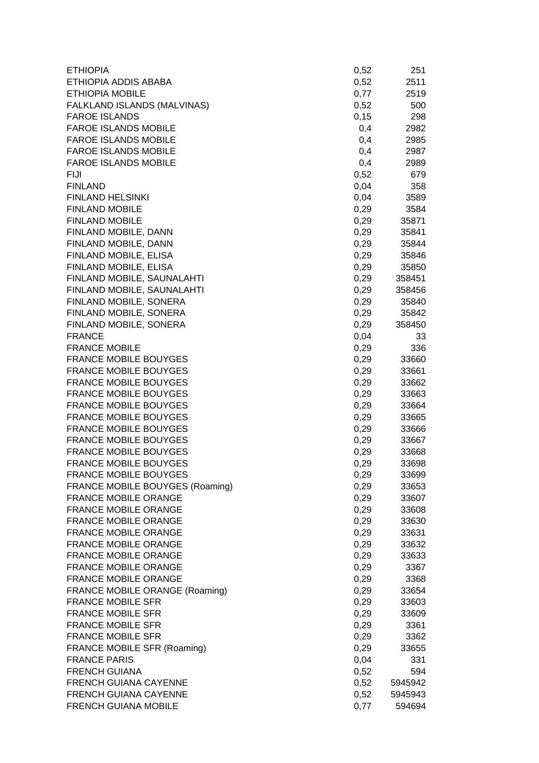| ETHIOPIA ADDIS ABABA<br>0,52<br>2511<br>0,77<br><b>ETHIOPIA MOBILE</b><br>2519<br>FALKLAND ISLANDS (MALVINAS)<br>0,52<br>500<br>0,15<br><b>FAROE ISLANDS</b><br>298<br><b>FAROE ISLANDS MOBILE</b><br>0,4<br>2982<br><b>FAROE ISLANDS MOBILE</b><br>0,4<br>2985<br><b>FAROE ISLANDS MOBILE</b><br>0,4<br>2987<br><b>FAROE ISLANDS MOBILE</b><br>0,4<br>2989<br>0,52<br>679<br>FIJI<br>0,04<br><b>FINLAND</b><br>358<br>0,04<br><b>FINLAND HELSINKI</b><br>3589<br>0,29<br><b>FINLAND MOBILE</b><br>3584<br><b>FINLAND MOBILE</b><br>0,29<br>35871<br>FINLAND MOBILE, DANN<br>0,29<br>35841<br>FINLAND MOBILE, DANN<br>0,29<br>35844<br>FINLAND MOBILE, ELISA<br>0,29<br>35846<br>FINLAND MOBILE, ELISA<br>0,29<br>35850<br>0,29<br>FINLAND MOBILE, SAUNALAHTI<br>358451<br>FINLAND MOBILE, SAUNALAHTI<br>0,29<br>358456<br>FINLAND MOBILE, SONERA<br>0,29<br>35840<br>FINLAND MOBILE, SONERA<br>0,29<br>35842<br>FINLAND MOBILE, SONERA<br>0,29<br>358450<br><b>FRANCE</b><br>0,04<br>33<br><b>FRANCE MOBILE</b><br>0,29<br>336<br><b>FRANCE MOBILE BOUYGES</b><br>0,29<br>33660<br><b>FRANCE MOBILE BOUYGES</b><br>0,29<br>33661<br><b>FRANCE MOBILE BOUYGES</b><br>0,29<br>33662<br><b>FRANCE MOBILE BOUYGES</b><br>0,29<br>33663<br><b>FRANCE MOBILE BOUYGES</b><br>0,29<br>33664<br><b>FRANCE MOBILE BOUYGES</b><br>0,29<br>33665<br><b>FRANCE MOBILE BOUYGES</b><br>0,29<br>33666<br><b>FRANCE MOBILE BOUYGES</b><br>0,29<br>33667<br><b>FRANCE MOBILE BOUYGES</b><br>0,29<br>33668<br><b>FRANCE MOBILE BOUYGES</b><br>0,29<br>33698<br><b>FRANCE MOBILE BOUYGES</b><br>0,29<br>33699<br>FRANCE MOBILE BOUYGES (Roaming)<br>0,29<br>33653<br><b>FRANCE MOBILE ORANGE</b><br>0,29<br>33607<br><b>FRANCE MOBILE ORANGE</b><br>0,29<br>33608<br><b>FRANCE MOBILE ORANGE</b><br>0,29<br>33630<br><b>FRANCE MOBILE ORANGE</b><br>0,29<br>33631<br><b>FRANCE MOBILE ORANGE</b><br>0,29<br>33632<br><b>FRANCE MOBILE ORANGE</b><br>0,29<br>33633<br><b>FRANCE MOBILE ORANGE</b><br>0,29<br>3367<br><b>FRANCE MOBILE ORANGE</b><br>0,29<br>3368<br>FRANCE MOBILE ORANGE (Roaming)<br>0,29<br>33654<br><b>FRANCE MOBILE SFR</b><br>0,29<br>33603<br><b>FRANCE MOBILE SFR</b><br>0,29<br>33609<br><b>FRANCE MOBILE SFR</b><br>0,29<br>3361<br><b>FRANCE MOBILE SFR</b><br>0,29<br>3362<br>FRANCE MOBILE SFR (Roaming)<br>0,29<br>33655<br><b>FRANCE PARIS</b><br>0,04<br>331<br><b>FRENCH GUIANA</b><br>0,52<br>594<br><b>FRENCH GUIANA CAYENNE</b><br>0,52<br>5945942<br><b>FRENCH GUIANA CAYENNE</b><br>0,52<br>5945943<br>0,77<br><b>FRENCH GUIANA MOBILE</b><br>594694 | <b>ETHIOPIA</b> | 0,52 | 251 |
|-----------------------------------------------------------------------------------------------------------------------------------------------------------------------------------------------------------------------------------------------------------------------------------------------------------------------------------------------------------------------------------------------------------------------------------------------------------------------------------------------------------------------------------------------------------------------------------------------------------------------------------------------------------------------------------------------------------------------------------------------------------------------------------------------------------------------------------------------------------------------------------------------------------------------------------------------------------------------------------------------------------------------------------------------------------------------------------------------------------------------------------------------------------------------------------------------------------------------------------------------------------------------------------------------------------------------------------------------------------------------------------------------------------------------------------------------------------------------------------------------------------------------------------------------------------------------------------------------------------------------------------------------------------------------------------------------------------------------------------------------------------------------------------------------------------------------------------------------------------------------------------------------------------------------------------------------------------------------------------------------------------------------------------------------------------------------------------------------------------------------------------------------------------------------------------------------------------------------------------------------------------------------------------------------------------------------------------------------------------------------------------------------------------------------------------------------------------------------------------------------------------------------------------------------------------------------|-----------------|------|-----|
|                                                                                                                                                                                                                                                                                                                                                                                                                                                                                                                                                                                                                                                                                                                                                                                                                                                                                                                                                                                                                                                                                                                                                                                                                                                                                                                                                                                                                                                                                                                                                                                                                                                                                                                                                                                                                                                                                                                                                                                                                                                                                                                                                                                                                                                                                                                                                                                                                                                                                                                                                                       |                 |      |     |
|                                                                                                                                                                                                                                                                                                                                                                                                                                                                                                                                                                                                                                                                                                                                                                                                                                                                                                                                                                                                                                                                                                                                                                                                                                                                                                                                                                                                                                                                                                                                                                                                                                                                                                                                                                                                                                                                                                                                                                                                                                                                                                                                                                                                                                                                                                                                                                                                                                                                                                                                                                       |                 |      |     |
|                                                                                                                                                                                                                                                                                                                                                                                                                                                                                                                                                                                                                                                                                                                                                                                                                                                                                                                                                                                                                                                                                                                                                                                                                                                                                                                                                                                                                                                                                                                                                                                                                                                                                                                                                                                                                                                                                                                                                                                                                                                                                                                                                                                                                                                                                                                                                                                                                                                                                                                                                                       |                 |      |     |
|                                                                                                                                                                                                                                                                                                                                                                                                                                                                                                                                                                                                                                                                                                                                                                                                                                                                                                                                                                                                                                                                                                                                                                                                                                                                                                                                                                                                                                                                                                                                                                                                                                                                                                                                                                                                                                                                                                                                                                                                                                                                                                                                                                                                                                                                                                                                                                                                                                                                                                                                                                       |                 |      |     |
|                                                                                                                                                                                                                                                                                                                                                                                                                                                                                                                                                                                                                                                                                                                                                                                                                                                                                                                                                                                                                                                                                                                                                                                                                                                                                                                                                                                                                                                                                                                                                                                                                                                                                                                                                                                                                                                                                                                                                                                                                                                                                                                                                                                                                                                                                                                                                                                                                                                                                                                                                                       |                 |      |     |
|                                                                                                                                                                                                                                                                                                                                                                                                                                                                                                                                                                                                                                                                                                                                                                                                                                                                                                                                                                                                                                                                                                                                                                                                                                                                                                                                                                                                                                                                                                                                                                                                                                                                                                                                                                                                                                                                                                                                                                                                                                                                                                                                                                                                                                                                                                                                                                                                                                                                                                                                                                       |                 |      |     |
|                                                                                                                                                                                                                                                                                                                                                                                                                                                                                                                                                                                                                                                                                                                                                                                                                                                                                                                                                                                                                                                                                                                                                                                                                                                                                                                                                                                                                                                                                                                                                                                                                                                                                                                                                                                                                                                                                                                                                                                                                                                                                                                                                                                                                                                                                                                                                                                                                                                                                                                                                                       |                 |      |     |
|                                                                                                                                                                                                                                                                                                                                                                                                                                                                                                                                                                                                                                                                                                                                                                                                                                                                                                                                                                                                                                                                                                                                                                                                                                                                                                                                                                                                                                                                                                                                                                                                                                                                                                                                                                                                                                                                                                                                                                                                                                                                                                                                                                                                                                                                                                                                                                                                                                                                                                                                                                       |                 |      |     |
|                                                                                                                                                                                                                                                                                                                                                                                                                                                                                                                                                                                                                                                                                                                                                                                                                                                                                                                                                                                                                                                                                                                                                                                                                                                                                                                                                                                                                                                                                                                                                                                                                                                                                                                                                                                                                                                                                                                                                                                                                                                                                                                                                                                                                                                                                                                                                                                                                                                                                                                                                                       |                 |      |     |
|                                                                                                                                                                                                                                                                                                                                                                                                                                                                                                                                                                                                                                                                                                                                                                                                                                                                                                                                                                                                                                                                                                                                                                                                                                                                                                                                                                                                                                                                                                                                                                                                                                                                                                                                                                                                                                                                                                                                                                                                                                                                                                                                                                                                                                                                                                                                                                                                                                                                                                                                                                       |                 |      |     |
|                                                                                                                                                                                                                                                                                                                                                                                                                                                                                                                                                                                                                                                                                                                                                                                                                                                                                                                                                                                                                                                                                                                                                                                                                                                                                                                                                                                                                                                                                                                                                                                                                                                                                                                                                                                                                                                                                                                                                                                                                                                                                                                                                                                                                                                                                                                                                                                                                                                                                                                                                                       |                 |      |     |
|                                                                                                                                                                                                                                                                                                                                                                                                                                                                                                                                                                                                                                                                                                                                                                                                                                                                                                                                                                                                                                                                                                                                                                                                                                                                                                                                                                                                                                                                                                                                                                                                                                                                                                                                                                                                                                                                                                                                                                                                                                                                                                                                                                                                                                                                                                                                                                                                                                                                                                                                                                       |                 |      |     |
|                                                                                                                                                                                                                                                                                                                                                                                                                                                                                                                                                                                                                                                                                                                                                                                                                                                                                                                                                                                                                                                                                                                                                                                                                                                                                                                                                                                                                                                                                                                                                                                                                                                                                                                                                                                                                                                                                                                                                                                                                                                                                                                                                                                                                                                                                                                                                                                                                                                                                                                                                                       |                 |      |     |
|                                                                                                                                                                                                                                                                                                                                                                                                                                                                                                                                                                                                                                                                                                                                                                                                                                                                                                                                                                                                                                                                                                                                                                                                                                                                                                                                                                                                                                                                                                                                                                                                                                                                                                                                                                                                                                                                                                                                                                                                                                                                                                                                                                                                                                                                                                                                                                                                                                                                                                                                                                       |                 |      |     |
|                                                                                                                                                                                                                                                                                                                                                                                                                                                                                                                                                                                                                                                                                                                                                                                                                                                                                                                                                                                                                                                                                                                                                                                                                                                                                                                                                                                                                                                                                                                                                                                                                                                                                                                                                                                                                                                                                                                                                                                                                                                                                                                                                                                                                                                                                                                                                                                                                                                                                                                                                                       |                 |      |     |
|                                                                                                                                                                                                                                                                                                                                                                                                                                                                                                                                                                                                                                                                                                                                                                                                                                                                                                                                                                                                                                                                                                                                                                                                                                                                                                                                                                                                                                                                                                                                                                                                                                                                                                                                                                                                                                                                                                                                                                                                                                                                                                                                                                                                                                                                                                                                                                                                                                                                                                                                                                       |                 |      |     |
|                                                                                                                                                                                                                                                                                                                                                                                                                                                                                                                                                                                                                                                                                                                                                                                                                                                                                                                                                                                                                                                                                                                                                                                                                                                                                                                                                                                                                                                                                                                                                                                                                                                                                                                                                                                                                                                                                                                                                                                                                                                                                                                                                                                                                                                                                                                                                                                                                                                                                                                                                                       |                 |      |     |
|                                                                                                                                                                                                                                                                                                                                                                                                                                                                                                                                                                                                                                                                                                                                                                                                                                                                                                                                                                                                                                                                                                                                                                                                                                                                                                                                                                                                                                                                                                                                                                                                                                                                                                                                                                                                                                                                                                                                                                                                                                                                                                                                                                                                                                                                                                                                                                                                                                                                                                                                                                       |                 |      |     |
|                                                                                                                                                                                                                                                                                                                                                                                                                                                                                                                                                                                                                                                                                                                                                                                                                                                                                                                                                                                                                                                                                                                                                                                                                                                                                                                                                                                                                                                                                                                                                                                                                                                                                                                                                                                                                                                                                                                                                                                                                                                                                                                                                                                                                                                                                                                                                                                                                                                                                                                                                                       |                 |      |     |
|                                                                                                                                                                                                                                                                                                                                                                                                                                                                                                                                                                                                                                                                                                                                                                                                                                                                                                                                                                                                                                                                                                                                                                                                                                                                                                                                                                                                                                                                                                                                                                                                                                                                                                                                                                                                                                                                                                                                                                                                                                                                                                                                                                                                                                                                                                                                                                                                                                                                                                                                                                       |                 |      |     |
|                                                                                                                                                                                                                                                                                                                                                                                                                                                                                                                                                                                                                                                                                                                                                                                                                                                                                                                                                                                                                                                                                                                                                                                                                                                                                                                                                                                                                                                                                                                                                                                                                                                                                                                                                                                                                                                                                                                                                                                                                                                                                                                                                                                                                                                                                                                                                                                                                                                                                                                                                                       |                 |      |     |
|                                                                                                                                                                                                                                                                                                                                                                                                                                                                                                                                                                                                                                                                                                                                                                                                                                                                                                                                                                                                                                                                                                                                                                                                                                                                                                                                                                                                                                                                                                                                                                                                                                                                                                                                                                                                                                                                                                                                                                                                                                                                                                                                                                                                                                                                                                                                                                                                                                                                                                                                                                       |                 |      |     |
|                                                                                                                                                                                                                                                                                                                                                                                                                                                                                                                                                                                                                                                                                                                                                                                                                                                                                                                                                                                                                                                                                                                                                                                                                                                                                                                                                                                                                                                                                                                                                                                                                                                                                                                                                                                                                                                                                                                                                                                                                                                                                                                                                                                                                                                                                                                                                                                                                                                                                                                                                                       |                 |      |     |
|                                                                                                                                                                                                                                                                                                                                                                                                                                                                                                                                                                                                                                                                                                                                                                                                                                                                                                                                                                                                                                                                                                                                                                                                                                                                                                                                                                                                                                                                                                                                                                                                                                                                                                                                                                                                                                                                                                                                                                                                                                                                                                                                                                                                                                                                                                                                                                                                                                                                                                                                                                       |                 |      |     |
|                                                                                                                                                                                                                                                                                                                                                                                                                                                                                                                                                                                                                                                                                                                                                                                                                                                                                                                                                                                                                                                                                                                                                                                                                                                                                                                                                                                                                                                                                                                                                                                                                                                                                                                                                                                                                                                                                                                                                                                                                                                                                                                                                                                                                                                                                                                                                                                                                                                                                                                                                                       |                 |      |     |
|                                                                                                                                                                                                                                                                                                                                                                                                                                                                                                                                                                                                                                                                                                                                                                                                                                                                                                                                                                                                                                                                                                                                                                                                                                                                                                                                                                                                                                                                                                                                                                                                                                                                                                                                                                                                                                                                                                                                                                                                                                                                                                                                                                                                                                                                                                                                                                                                                                                                                                                                                                       |                 |      |     |
|                                                                                                                                                                                                                                                                                                                                                                                                                                                                                                                                                                                                                                                                                                                                                                                                                                                                                                                                                                                                                                                                                                                                                                                                                                                                                                                                                                                                                                                                                                                                                                                                                                                                                                                                                                                                                                                                                                                                                                                                                                                                                                                                                                                                                                                                                                                                                                                                                                                                                                                                                                       |                 |      |     |
|                                                                                                                                                                                                                                                                                                                                                                                                                                                                                                                                                                                                                                                                                                                                                                                                                                                                                                                                                                                                                                                                                                                                                                                                                                                                                                                                                                                                                                                                                                                                                                                                                                                                                                                                                                                                                                                                                                                                                                                                                                                                                                                                                                                                                                                                                                                                                                                                                                                                                                                                                                       |                 |      |     |
|                                                                                                                                                                                                                                                                                                                                                                                                                                                                                                                                                                                                                                                                                                                                                                                                                                                                                                                                                                                                                                                                                                                                                                                                                                                                                                                                                                                                                                                                                                                                                                                                                                                                                                                                                                                                                                                                                                                                                                                                                                                                                                                                                                                                                                                                                                                                                                                                                                                                                                                                                                       |                 |      |     |
|                                                                                                                                                                                                                                                                                                                                                                                                                                                                                                                                                                                                                                                                                                                                                                                                                                                                                                                                                                                                                                                                                                                                                                                                                                                                                                                                                                                                                                                                                                                                                                                                                                                                                                                                                                                                                                                                                                                                                                                                                                                                                                                                                                                                                                                                                                                                                                                                                                                                                                                                                                       |                 |      |     |
|                                                                                                                                                                                                                                                                                                                                                                                                                                                                                                                                                                                                                                                                                                                                                                                                                                                                                                                                                                                                                                                                                                                                                                                                                                                                                                                                                                                                                                                                                                                                                                                                                                                                                                                                                                                                                                                                                                                                                                                                                                                                                                                                                                                                                                                                                                                                                                                                                                                                                                                                                                       |                 |      |     |
|                                                                                                                                                                                                                                                                                                                                                                                                                                                                                                                                                                                                                                                                                                                                                                                                                                                                                                                                                                                                                                                                                                                                                                                                                                                                                                                                                                                                                                                                                                                                                                                                                                                                                                                                                                                                                                                                                                                                                                                                                                                                                                                                                                                                                                                                                                                                                                                                                                                                                                                                                                       |                 |      |     |
|                                                                                                                                                                                                                                                                                                                                                                                                                                                                                                                                                                                                                                                                                                                                                                                                                                                                                                                                                                                                                                                                                                                                                                                                                                                                                                                                                                                                                                                                                                                                                                                                                                                                                                                                                                                                                                                                                                                                                                                                                                                                                                                                                                                                                                                                                                                                                                                                                                                                                                                                                                       |                 |      |     |
|                                                                                                                                                                                                                                                                                                                                                                                                                                                                                                                                                                                                                                                                                                                                                                                                                                                                                                                                                                                                                                                                                                                                                                                                                                                                                                                                                                                                                                                                                                                                                                                                                                                                                                                                                                                                                                                                                                                                                                                                                                                                                                                                                                                                                                                                                                                                                                                                                                                                                                                                                                       |                 |      |     |
|                                                                                                                                                                                                                                                                                                                                                                                                                                                                                                                                                                                                                                                                                                                                                                                                                                                                                                                                                                                                                                                                                                                                                                                                                                                                                                                                                                                                                                                                                                                                                                                                                                                                                                                                                                                                                                                                                                                                                                                                                                                                                                                                                                                                                                                                                                                                                                                                                                                                                                                                                                       |                 |      |     |
|                                                                                                                                                                                                                                                                                                                                                                                                                                                                                                                                                                                                                                                                                                                                                                                                                                                                                                                                                                                                                                                                                                                                                                                                                                                                                                                                                                                                                                                                                                                                                                                                                                                                                                                                                                                                                                                                                                                                                                                                                                                                                                                                                                                                                                                                                                                                                                                                                                                                                                                                                                       |                 |      |     |
|                                                                                                                                                                                                                                                                                                                                                                                                                                                                                                                                                                                                                                                                                                                                                                                                                                                                                                                                                                                                                                                                                                                                                                                                                                                                                                                                                                                                                                                                                                                                                                                                                                                                                                                                                                                                                                                                                                                                                                                                                                                                                                                                                                                                                                                                                                                                                                                                                                                                                                                                                                       |                 |      |     |
|                                                                                                                                                                                                                                                                                                                                                                                                                                                                                                                                                                                                                                                                                                                                                                                                                                                                                                                                                                                                                                                                                                                                                                                                                                                                                                                                                                                                                                                                                                                                                                                                                                                                                                                                                                                                                                                                                                                                                                                                                                                                                                                                                                                                                                                                                                                                                                                                                                                                                                                                                                       |                 |      |     |
|                                                                                                                                                                                                                                                                                                                                                                                                                                                                                                                                                                                                                                                                                                                                                                                                                                                                                                                                                                                                                                                                                                                                                                                                                                                                                                                                                                                                                                                                                                                                                                                                                                                                                                                                                                                                                                                                                                                                                                                                                                                                                                                                                                                                                                                                                                                                                                                                                                                                                                                                                                       |                 |      |     |
|                                                                                                                                                                                                                                                                                                                                                                                                                                                                                                                                                                                                                                                                                                                                                                                                                                                                                                                                                                                                                                                                                                                                                                                                                                                                                                                                                                                                                                                                                                                                                                                                                                                                                                                                                                                                                                                                                                                                                                                                                                                                                                                                                                                                                                                                                                                                                                                                                                                                                                                                                                       |                 |      |     |
|                                                                                                                                                                                                                                                                                                                                                                                                                                                                                                                                                                                                                                                                                                                                                                                                                                                                                                                                                                                                                                                                                                                                                                                                                                                                                                                                                                                                                                                                                                                                                                                                                                                                                                                                                                                                                                                                                                                                                                                                                                                                                                                                                                                                                                                                                                                                                                                                                                                                                                                                                                       |                 |      |     |
|                                                                                                                                                                                                                                                                                                                                                                                                                                                                                                                                                                                                                                                                                                                                                                                                                                                                                                                                                                                                                                                                                                                                                                                                                                                                                                                                                                                                                                                                                                                                                                                                                                                                                                                                                                                                                                                                                                                                                                                                                                                                                                                                                                                                                                                                                                                                                                                                                                                                                                                                                                       |                 |      |     |
|                                                                                                                                                                                                                                                                                                                                                                                                                                                                                                                                                                                                                                                                                                                                                                                                                                                                                                                                                                                                                                                                                                                                                                                                                                                                                                                                                                                                                                                                                                                                                                                                                                                                                                                                                                                                                                                                                                                                                                                                                                                                                                                                                                                                                                                                                                                                                                                                                                                                                                                                                                       |                 |      |     |
|                                                                                                                                                                                                                                                                                                                                                                                                                                                                                                                                                                                                                                                                                                                                                                                                                                                                                                                                                                                                                                                                                                                                                                                                                                                                                                                                                                                                                                                                                                                                                                                                                                                                                                                                                                                                                                                                                                                                                                                                                                                                                                                                                                                                                                                                                                                                                                                                                                                                                                                                                                       |                 |      |     |
|                                                                                                                                                                                                                                                                                                                                                                                                                                                                                                                                                                                                                                                                                                                                                                                                                                                                                                                                                                                                                                                                                                                                                                                                                                                                                                                                                                                                                                                                                                                                                                                                                                                                                                                                                                                                                                                                                                                                                                                                                                                                                                                                                                                                                                                                                                                                                                                                                                                                                                                                                                       |                 |      |     |
|                                                                                                                                                                                                                                                                                                                                                                                                                                                                                                                                                                                                                                                                                                                                                                                                                                                                                                                                                                                                                                                                                                                                                                                                                                                                                                                                                                                                                                                                                                                                                                                                                                                                                                                                                                                                                                                                                                                                                                                                                                                                                                                                                                                                                                                                                                                                                                                                                                                                                                                                                                       |                 |      |     |
|                                                                                                                                                                                                                                                                                                                                                                                                                                                                                                                                                                                                                                                                                                                                                                                                                                                                                                                                                                                                                                                                                                                                                                                                                                                                                                                                                                                                                                                                                                                                                                                                                                                                                                                                                                                                                                                                                                                                                                                                                                                                                                                                                                                                                                                                                                                                                                                                                                                                                                                                                                       |                 |      |     |
|                                                                                                                                                                                                                                                                                                                                                                                                                                                                                                                                                                                                                                                                                                                                                                                                                                                                                                                                                                                                                                                                                                                                                                                                                                                                                                                                                                                                                                                                                                                                                                                                                                                                                                                                                                                                                                                                                                                                                                                                                                                                                                                                                                                                                                                                                                                                                                                                                                                                                                                                                                       |                 |      |     |
|                                                                                                                                                                                                                                                                                                                                                                                                                                                                                                                                                                                                                                                                                                                                                                                                                                                                                                                                                                                                                                                                                                                                                                                                                                                                                                                                                                                                                                                                                                                                                                                                                                                                                                                                                                                                                                                                                                                                                                                                                                                                                                                                                                                                                                                                                                                                                                                                                                                                                                                                                                       |                 |      |     |
|                                                                                                                                                                                                                                                                                                                                                                                                                                                                                                                                                                                                                                                                                                                                                                                                                                                                                                                                                                                                                                                                                                                                                                                                                                                                                                                                                                                                                                                                                                                                                                                                                                                                                                                                                                                                                                                                                                                                                                                                                                                                                                                                                                                                                                                                                                                                                                                                                                                                                                                                                                       |                 |      |     |
|                                                                                                                                                                                                                                                                                                                                                                                                                                                                                                                                                                                                                                                                                                                                                                                                                                                                                                                                                                                                                                                                                                                                                                                                                                                                                                                                                                                                                                                                                                                                                                                                                                                                                                                                                                                                                                                                                                                                                                                                                                                                                                                                                                                                                                                                                                                                                                                                                                                                                                                                                                       |                 |      |     |
|                                                                                                                                                                                                                                                                                                                                                                                                                                                                                                                                                                                                                                                                                                                                                                                                                                                                                                                                                                                                                                                                                                                                                                                                                                                                                                                                                                                                                                                                                                                                                                                                                                                                                                                                                                                                                                                                                                                                                                                                                                                                                                                                                                                                                                                                                                                                                                                                                                                                                                                                                                       |                 |      |     |
|                                                                                                                                                                                                                                                                                                                                                                                                                                                                                                                                                                                                                                                                                                                                                                                                                                                                                                                                                                                                                                                                                                                                                                                                                                                                                                                                                                                                                                                                                                                                                                                                                                                                                                                                                                                                                                                                                                                                                                                                                                                                                                                                                                                                                                                                                                                                                                                                                                                                                                                                                                       |                 |      |     |
|                                                                                                                                                                                                                                                                                                                                                                                                                                                                                                                                                                                                                                                                                                                                                                                                                                                                                                                                                                                                                                                                                                                                                                                                                                                                                                                                                                                                                                                                                                                                                                                                                                                                                                                                                                                                                                                                                                                                                                                                                                                                                                                                                                                                                                                                                                                                                                                                                                                                                                                                                                       |                 |      |     |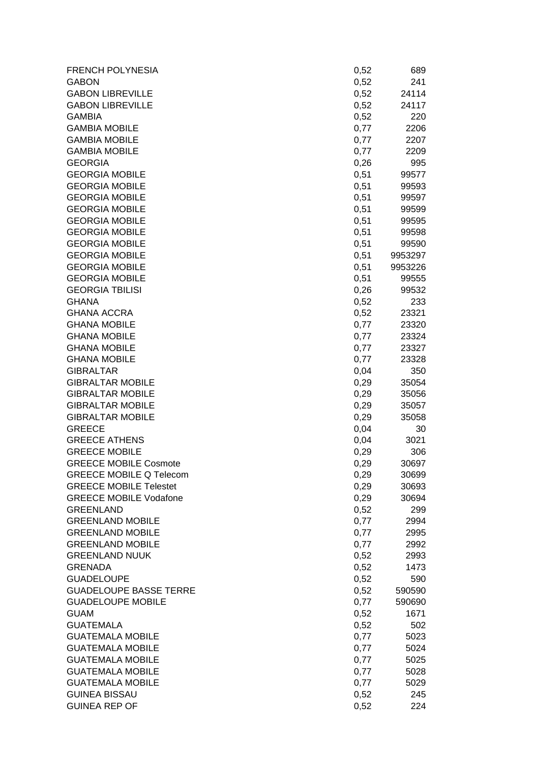| <b>FRENCH POLYNESIA</b>        | 0,52 | 689     |
|--------------------------------|------|---------|
| <b>GABON</b>                   | 0,52 | 241     |
| <b>GABON LIBREVILLE</b>        | 0,52 | 24114   |
| <b>GABON LIBREVILLE</b>        | 0,52 | 24117   |
| <b>GAMBIA</b>                  | 0,52 | 220     |
| <b>GAMBIA MOBILE</b>           | 0,77 | 2206    |
| <b>GAMBIA MOBILE</b>           | 0,77 | 2207    |
| <b>GAMBIA MOBILE</b>           | 0,77 | 2209    |
| <b>GEORGIA</b>                 | 0,26 | 995     |
| <b>GEORGIA MOBILE</b>          | 0,51 | 99577   |
| <b>GEORGIA MOBILE</b>          | 0,51 | 99593   |
| <b>GEORGIA MOBILE</b>          | 0,51 | 99597   |
| <b>GEORGIA MOBILE</b>          | 0,51 | 99599   |
| <b>GEORGIA MOBILE</b>          | 0,51 | 99595   |
| <b>GEORGIA MOBILE</b>          | 0,51 | 99598   |
| <b>GEORGIA MOBILE</b>          | 0,51 | 99590   |
| <b>GEORGIA MOBILE</b>          | 0,51 | 9953297 |
| <b>GEORGIA MOBILE</b>          | 0,51 | 9953226 |
| <b>GEORGIA MOBILE</b>          | 0,51 | 99555   |
| <b>GEORGIA TBILISI</b>         | 0,26 | 99532   |
| <b>GHANA</b>                   | 0,52 | 233     |
| <b>GHANA ACCRA</b>             | 0,52 | 23321   |
| <b>GHANA MOBILE</b>            | 0,77 | 23320   |
| <b>GHANA MOBILE</b>            | 0,77 | 23324   |
| <b>GHANA MOBILE</b>            | 0,77 | 23327   |
| <b>GHANA MOBILE</b>            | 0,77 | 23328   |
| <b>GIBRALTAR</b>               | 0,04 | 350     |
| <b>GIBRALTAR MOBILE</b>        | 0,29 | 35054   |
| <b>GIBRALTAR MOBILE</b>        | 0,29 | 35056   |
| <b>GIBRALTAR MOBILE</b>        | 0,29 | 35057   |
| <b>GIBRALTAR MOBILE</b>        | 0,29 | 35058   |
| <b>GREECE</b>                  | 0,04 | 30      |
| <b>GREECE ATHENS</b>           | 0,04 | 3021    |
| <b>GREECE MOBILE</b>           | 0,29 | 306     |
| <b>GREECE MOBILE Cosmote</b>   | 0,29 | 30697   |
| <b>GREECE MOBILE Q Telecom</b> | 0,29 | 30699   |
| <b>GREECE MOBILE Telestet</b>  | 0,29 | 30693   |
| <b>GREECE MOBILE Vodafone</b>  | 0,29 | 30694   |
| <b>GREENLAND</b>               | 0,52 | 299     |
| <b>GREENLAND MOBILE</b>        | 0,77 | 2994    |
| <b>GREENLAND MOBILE</b>        | 0,77 | 2995    |
| <b>GREENLAND MOBILE</b>        | 0,77 | 2992    |
| <b>GREENLAND NUUK</b>          | 0,52 | 2993    |
| <b>GRENADA</b>                 | 0,52 | 1473    |
| <b>GUADELOUPE</b>              | 0,52 | 590     |
| <b>GUADELOUPE BASSE TERRE</b>  | 0,52 | 590590  |
| <b>GUADELOUPE MOBILE</b>       | 0,77 | 590690  |
| <b>GUAM</b>                    | 0,52 | 1671    |
| <b>GUATEMALA</b>               | 0,52 | 502     |
| <b>GUATEMALA MOBILE</b>        | 0,77 | 5023    |
| <b>GUATEMALA MOBILE</b>        | 0,77 | 5024    |
| <b>GUATEMALA MOBILE</b>        | 0,77 | 5025    |
| <b>GUATEMALA MOBILE</b>        | 0,77 | 5028    |
| <b>GUATEMALA MOBILE</b>        | 0,77 | 5029    |
| <b>GUINEA BISSAU</b>           | 0,52 | 245     |
| <b>GUINEA REP OF</b>           | 0,52 | 224     |
|                                |      |         |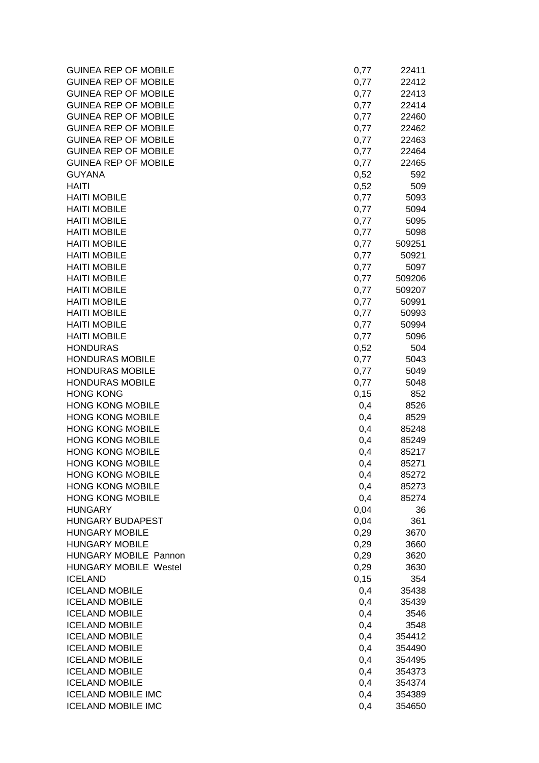| <b>GUINEA REP OF MOBILE</b>  | 0,77 | 22411  |
|------------------------------|------|--------|
| <b>GUINEA REP OF MOBILE</b>  | 0,77 | 22412  |
| <b>GUINEA REP OF MOBILE</b>  | 0,77 | 22413  |
| <b>GUINEA REP OF MOBILE</b>  | 0,77 | 22414  |
| <b>GUINEA REP OF MOBILE</b>  | 0,77 | 22460  |
| <b>GUINEA REP OF MOBILE</b>  | 0,77 | 22462  |
| <b>GUINEA REP OF MOBILE</b>  | 0,77 | 22463  |
| <b>GUINEA REP OF MOBILE</b>  | 0,77 | 22464  |
| <b>GUINEA REP OF MOBILE</b>  | 0,77 | 22465  |
| <b>GUYANA</b>                | 0,52 | 592    |
| <b>HAITI</b>                 | 0,52 | 509    |
| <b>HAITI MOBILE</b>          | 0,77 | 5093   |
| <b>HAITI MOBILE</b>          | 0,77 | 5094   |
| <b>HAITI MOBILE</b>          | 0,77 | 5095   |
| <b>HAITI MOBILE</b>          | 0,77 | 5098   |
| <b>HAITI MOBILE</b>          | 0,77 | 509251 |
| <b>HAITI MOBILE</b>          | 0,77 | 50921  |
| <b>HAITI MOBILE</b>          | 0,77 | 5097   |
| <b>HAITI MOBILE</b>          | 0,77 | 509206 |
| <b>HAITI MOBILE</b>          | 0,77 | 509207 |
| <b>HAITI MOBILE</b>          | 0,77 | 50991  |
| <b>HAITI MOBILE</b>          | 0,77 | 50993  |
| <b>HAITI MOBILE</b>          | 0,77 | 50994  |
| <b>HAITI MOBILE</b>          | 0,77 | 5096   |
| <b>HONDURAS</b>              | 0,52 | 504    |
| <b>HONDURAS MOBILE</b>       | 0,77 | 5043   |
| <b>HONDURAS MOBILE</b>       | 0,77 | 5049   |
| <b>HONDURAS MOBILE</b>       | 0,77 | 5048   |
| <b>HONG KONG</b>             | 0,15 | 852    |
| <b>HONG KONG MOBILE</b>      | 0,4  | 8526   |
| <b>HONG KONG MOBILE</b>      | 0,4  | 8529   |
| <b>HONG KONG MOBILE</b>      | 0,4  | 85248  |
| <b>HONG KONG MOBILE</b>      | 0,4  | 85249  |
| <b>HONG KONG MOBILE</b>      | 0,4  | 85217  |
| <b>HONG KONG MOBILE</b>      | 0,4  | 85271  |
| <b>HONG KONG MOBILE</b>      | 0,4  | 85272  |
| <b>HONG KONG MOBILE</b>      | 0,4  | 85273  |
| <b>HONG KONG MOBILE</b>      | 0,4  | 85274  |
| <b>HUNGARY</b>               | 0,04 | 36     |
| <b>HUNGARY BUDAPEST</b>      | 0,04 | 361    |
| <b>HUNGARY MOBILE</b>        | 0,29 | 3670   |
| <b>HUNGARY MOBILE</b>        | 0,29 | 3660   |
| HUNGARY MOBILE Pannon        | 0,29 | 3620   |
| <b>HUNGARY MOBILE Westel</b> | 0,29 | 3630   |
| <b>ICELAND</b>               | 0,15 | 354    |
| <b>ICELAND MOBILE</b>        | 0,4  | 35438  |
| <b>ICELAND MOBILE</b>        | 0,4  | 35439  |
| <b>ICELAND MOBILE</b>        | 0,4  | 3546   |
| <b>ICELAND MOBILE</b>        | 0,4  | 3548   |
| <b>ICELAND MOBILE</b>        | 0,4  | 354412 |
| <b>ICELAND MOBILE</b>        | 0,4  | 354490 |
| <b>ICELAND MOBILE</b>        | 0,4  | 354495 |
| <b>ICELAND MOBILE</b>        | 0,4  | 354373 |
| <b>ICELAND MOBILE</b>        | 0,4  | 354374 |
| <b>ICELAND MOBILE IMC</b>    | 0,4  | 354389 |
| <b>ICELAND MOBILE IMC</b>    | 0,4  | 354650 |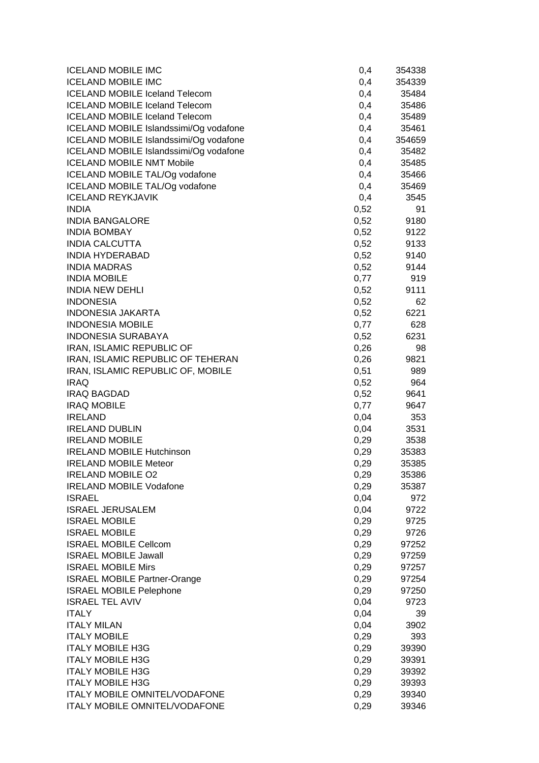| <b>ICELAND MOBILE IMC</b>              | 0,4  | 354338 |
|----------------------------------------|------|--------|
| <b>ICELAND MOBILE IMC</b>              | 0,4  | 354339 |
| <b>ICELAND MOBILE Iceland Telecom</b>  | 0,4  | 35484  |
| <b>ICELAND MOBILE Iceland Telecom</b>  | 0,4  | 35486  |
| <b>ICELAND MOBILE Iceland Telecom</b>  | 0,4  | 35489  |
| ICELAND MOBILE Islandssimi/Og vodafone | 0,4  | 35461  |
| ICELAND MOBILE Islandssimi/Og vodafone | 0,4  | 354659 |
| ICELAND MOBILE Islandssimi/Og vodafone | 0,4  | 35482  |
| <b>ICELAND MOBILE NMT Mobile</b>       | 0,4  | 35485  |
| ICELAND MOBILE TAL/Og vodafone         | 0,4  | 35466  |
| ICELAND MOBILE TAL/Og vodafone         | 0,4  | 35469  |
| <b>ICELAND REYKJAVIK</b>               | 0,4  | 3545   |
| <b>INDIA</b>                           | 0,52 | 91     |
| <b>INDIA BANGALORE</b>                 | 0,52 | 9180   |
| <b>INDIA BOMBAY</b>                    | 0,52 | 9122   |
| <b>INDIA CALCUTTA</b>                  | 0,52 | 9133   |
| <b>INDIA HYDERABAD</b>                 | 0,52 | 9140   |
| <b>INDIA MADRAS</b>                    | 0,52 | 9144   |
| <b>INDIA MOBILE</b>                    | 0,77 | 919    |
| <b>INDIA NEW DEHLI</b>                 | 0,52 | 9111   |
| <b>INDONESIA</b>                       | 0,52 | 62     |
| <b>INDONESIA JAKARTA</b>               | 0,52 | 6221   |
| <b>INDONESIA MOBILE</b>                | 0,77 | 628    |
| <b>INDONESIA SURABAYA</b>              | 0,52 | 6231   |
| IRAN, ISLAMIC REPUBLIC OF              | 0,26 | 98     |
| IRAN, ISLAMIC REPUBLIC OF TEHERAN      | 0,26 | 9821   |
| IRAN, ISLAMIC REPUBLIC OF, MOBILE      | 0,51 | 989    |
| <b>IRAQ</b>                            | 0,52 | 964    |
| <b>IRAQ BAGDAD</b>                     | 0,52 | 9641   |
| <b>IRAQ MOBILE</b>                     | 0,77 | 9647   |
| <b>IRELAND</b>                         | 0,04 | 353    |
| <b>IRELAND DUBLIN</b>                  | 0,04 | 3531   |
| <b>IRELAND MOBILE</b>                  | 0,29 | 3538   |
| <b>IRELAND MOBILE Hutchinson</b>       | 0,29 | 35383  |
| <b>IRELAND MOBILE Meteor</b>           | 0,29 | 35385  |
| <b>IRELAND MOBILE O2</b>               | 0,29 | 35386  |
| <b>IRELAND MOBILE Vodafone</b>         | 0,29 | 35387  |
| <b>ISRAEL</b>                          | 0,04 | 972    |
| <b>ISRAEL JERUSALEM</b>                | 0,04 | 9722   |
| <b>ISRAEL MOBILE</b>                   | 0,29 | 9725   |
| <b>ISRAEL MOBILE</b>                   | 0,29 | 9726   |
| <b>ISRAEL MOBILE Cellcom</b>           | 0,29 | 97252  |
| <b>ISRAEL MOBILE Jawall</b>            | 0,29 | 97259  |
| <b>ISRAEL MOBILE Mirs</b>              | 0,29 | 97257  |
| <b>ISRAEL MOBILE Partner-Orange</b>    | 0,29 | 97254  |
| <b>ISRAEL MOBILE Pelephone</b>         | 0,29 | 97250  |
| <b>ISRAEL TEL AVIV</b>                 | 0,04 | 9723   |
| <b>ITALY</b>                           | 0,04 | 39     |
| <b>ITALY MILAN</b>                     | 0,04 | 3902   |
| <b>ITALY MOBILE</b>                    | 0,29 | 393    |
| <b>ITALY MOBILE H3G</b>                | 0,29 | 39390  |
| <b>ITALY MOBILE H3G</b>                | 0,29 | 39391  |
| <b>ITALY MOBILE H3G</b>                | 0,29 | 39392  |
| <b>ITALY MOBILE H3G</b>                | 0,29 | 39393  |
| <b>ITALY MOBILE OMNITEL/VODAFONE</b>   | 0,29 | 39340  |
| ITALY MOBILE OMNITEL/VODAFONE          | 0,29 | 39346  |
|                                        |      |        |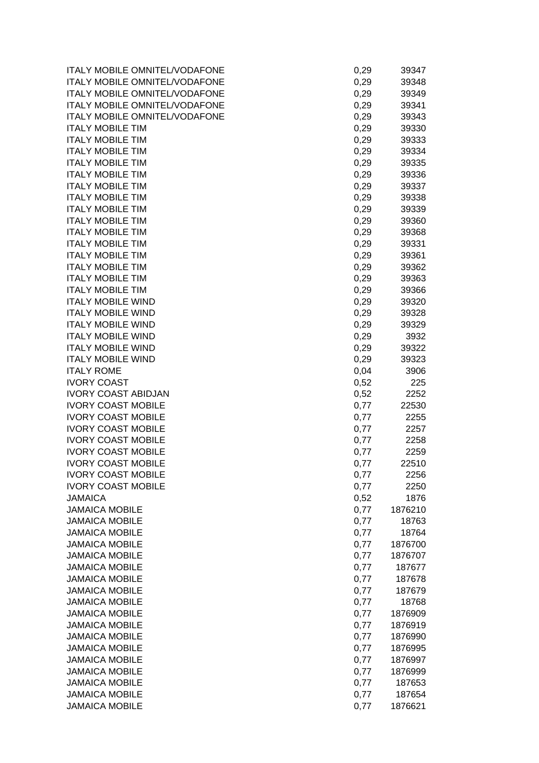| ITALY MOBILE OMNITEL/VODAFONE        | 0,29 | 39347   |
|--------------------------------------|------|---------|
| <b>ITALY MOBILE OMNITEL/VODAFONE</b> | 0,29 | 39348   |
| <b>ITALY MOBILE OMNITEL/VODAFONE</b> | 0,29 | 39349   |
| ITALY MOBILE OMNITEL/VODAFONE        | 0,29 | 39341   |
| <b>ITALY MOBILE OMNITEL/VODAFONE</b> | 0,29 | 39343   |
| <b>ITALY MOBILE TIM</b>              | 0,29 | 39330   |
| <b>ITALY MOBILE TIM</b>              | 0,29 | 39333   |
| <b>ITALY MOBILE TIM</b>              | 0,29 | 39334   |
| <b>ITALY MOBILE TIM</b>              | 0,29 | 39335   |
| <b>ITALY MOBILE TIM</b>              | 0,29 | 39336   |
| <b>ITALY MOBILE TIM</b>              | 0,29 | 39337   |
| <b>ITALY MOBILE TIM</b>              | 0,29 | 39338   |
| <b>ITALY MOBILE TIM</b>              |      | 39339   |
|                                      | 0,29 |         |
| <b>ITALY MOBILE TIM</b>              | 0,29 | 39360   |
| <b>ITALY MOBILE TIM</b>              | 0,29 | 39368   |
| <b>ITALY MOBILE TIM</b>              | 0,29 | 39331   |
| <b>ITALY MOBILE TIM</b>              | 0,29 | 39361   |
| <b>ITALY MOBILE TIM</b>              | 0,29 | 39362   |
| <b>ITALY MOBILE TIM</b>              | 0,29 | 39363   |
| <b>ITALY MOBILE TIM</b>              | 0,29 | 39366   |
| <b>ITALY MOBILE WIND</b>             | 0,29 | 39320   |
| <b>ITALY MOBILE WIND</b>             | 0,29 | 39328   |
| <b>ITALY MOBILE WIND</b>             | 0,29 | 39329   |
| <b>ITALY MOBILE WIND</b>             | 0,29 | 3932    |
| <b>ITALY MOBILE WIND</b>             | 0,29 | 39322   |
| <b>ITALY MOBILE WIND</b>             | 0,29 | 39323   |
| <b>ITALY ROME</b>                    | 0,04 | 3906    |
| <b>IVORY COAST</b>                   | 0,52 | 225     |
| <b>IVORY COAST ABIDJAN</b>           | 0,52 | 2252    |
| <b>IVORY COAST MOBILE</b>            | 0,77 | 22530   |
| <b>IVORY COAST MOBILE</b>            | 0,77 | 2255    |
| <b>IVORY COAST MOBILE</b>            | 0,77 | 2257    |
| <b>IVORY COAST MOBILE</b>            | 0,77 | 2258    |
| <b>IVORY COAST MOBILE</b>            | 0,77 | 2259    |
| <b>IVORY COAST MOBILE</b>            | 0,77 | 22510   |
| <b>IVORY COAST MOBILE</b>            |      | 2256    |
|                                      | 0,77 |         |
| <b>IVORY COAST MOBILE</b>            | 0,77 | 2250    |
| <b>JAMAICA</b>                       | 0,52 | 1876    |
| <b>JAMAICA MOBILE</b>                | 0,77 | 1876210 |
| <b>JAMAICA MOBILE</b>                | 0,77 | 18763   |
| <b>JAMAICA MOBILE</b>                | 0,77 | 18764   |
| <b>JAMAICA MOBILE</b>                | 0,77 | 1876700 |
| <b>JAMAICA MOBILE</b>                | 0,77 | 1876707 |
| <b>JAMAICA MOBILE</b>                | 0,77 | 187677  |
| <b>JAMAICA MOBILE</b>                | 0,77 | 187678  |
| <b>JAMAICA MOBILE</b>                | 0,77 | 187679  |
| <b>JAMAICA MOBILE</b>                | 0,77 | 18768   |
| <b>JAMAICA MOBILE</b>                | 0,77 | 1876909 |
| <b>JAMAICA MOBILE</b>                | 0,77 | 1876919 |
| <b>JAMAICA MOBILE</b>                | 0,77 | 1876990 |
| <b>JAMAICA MOBILE</b>                | 0,77 | 1876995 |
| <b>JAMAICA MOBILE</b>                | 0,77 | 1876997 |
| <b>JAMAICA MOBILE</b>                | 0,77 | 1876999 |
| <b>JAMAICA MOBILE</b>                | 0,77 | 187653  |
| <b>JAMAICA MOBILE</b>                | 0,77 | 187654  |
| <b>JAMAICA MOBILE</b>                | 0,77 | 1876621 |
|                                      |      |         |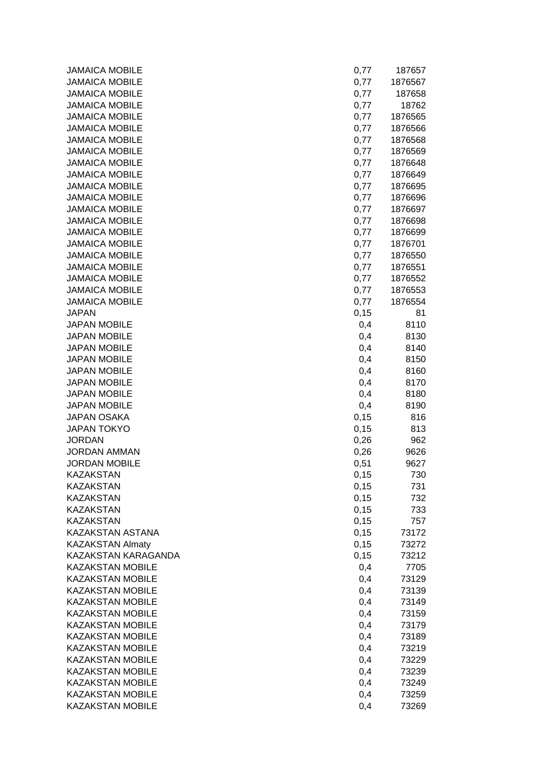| <b>JAMAICA MOBILE</b>                              | 0,77       | 187657         |
|----------------------------------------------------|------------|----------------|
| <b>JAMAICA MOBILE</b>                              | 0,77       | 1876567        |
| <b>JAMAICA MOBILE</b>                              | 0,77       | 187658         |
| <b>JAMAICA MOBILE</b>                              | 0,77       | 18762          |
| <b>JAMAICA MOBILE</b>                              | 0,77       | 1876565        |
| <b>JAMAICA MOBILE</b>                              | 0,77       | 1876566        |
| <b>JAMAICA MOBILE</b>                              | 0,77       | 1876568        |
| <b>JAMAICA MOBILE</b>                              | 0,77       | 1876569        |
| <b>JAMAICA MOBILE</b>                              | 0,77       | 1876648        |
| <b>JAMAICA MOBILE</b>                              | 0,77       | 1876649        |
| <b>JAMAICA MOBILE</b>                              | 0,77       | 1876695        |
| <b>JAMAICA MOBILE</b>                              | 0,77       | 1876696        |
| <b>JAMAICA MOBILE</b>                              | 0,77       | 1876697        |
| <b>JAMAICA MOBILE</b>                              | 0,77       | 1876698        |
| <b>JAMAICA MOBILE</b>                              | 0,77       | 1876699        |
| <b>JAMAICA MOBILE</b>                              | 0,77       | 1876701        |
| <b>JAMAICA MOBILE</b>                              | 0,77       | 1876550        |
| <b>JAMAICA MOBILE</b>                              | 0,77       | 1876551        |
| <b>JAMAICA MOBILE</b>                              | 0,77       | 1876552        |
| <b>JAMAICA MOBILE</b>                              | 0,77       | 1876553        |
| <b>JAMAICA MOBILE</b>                              | 0,77       | 1876554        |
| <b>JAPAN</b>                                       | 0,15       | 81             |
| <b>JAPAN MOBILE</b>                                | 0,4        | 8110           |
| <b>JAPAN MOBILE</b>                                | 0,4        | 8130           |
| <b>JAPAN MOBILE</b>                                | 0,4        | 8140           |
| <b>JAPAN MOBILE</b>                                | 0,4        | 8150           |
| <b>JAPAN MOBILE</b>                                | 0,4        | 8160           |
| <b>JAPAN MOBILE</b>                                | 0,4        | 8170           |
| <b>JAPAN MOBILE</b>                                | 0,4        | 8180           |
| <b>JAPAN MOBILE</b>                                | 0,4        | 8190           |
| <b>JAPAN OSAKA</b>                                 | 0,15       | 816            |
| <b>JAPAN TOKYO</b>                                 | 0,15       | 813            |
| <b>JORDAN</b>                                      | 0,26       | 962            |
| <b>JORDAN AMMAN</b>                                | 0,26       | 9626           |
| <b>JORDAN MOBILE</b>                               | 0,51       | 9627           |
| KAZAKSTAN                                          | 0,15       | 730            |
| <b>KAZAKSTAN</b>                                   | 0,15       | 731            |
| <b>KAZAKSTAN</b>                                   | 0,15       | 732            |
| <b>KAZAKSTAN</b>                                   | 0,15       | 733            |
| <b>KAZAKSTAN</b>                                   | 0,15       | 757            |
| KAZAKSTAN ASTANA                                   | 0,15       | 73172          |
| <b>KAZAKSTAN Almaty</b>                            | 0,15       | 73272          |
| KAZAKSTAN KARAGANDA                                | 0,15       | 73212          |
| KAZAKSTAN MOBILE                                   | 0,4        | 7705           |
| <b>KAZAKSTAN MOBILE</b>                            | 0,4        | 73129          |
| <b>KAZAKSTAN MOBILE</b>                            | 0,4        | 73139          |
| <b>KAZAKSTAN MOBILE</b>                            | 0,4        |                |
| <b>KAZAKSTAN MOBILE</b>                            | 0,4        | 73149<br>73159 |
|                                                    |            |                |
| <b>KAZAKSTAN MOBILE</b><br><b>KAZAKSTAN MOBILE</b> | 0,4<br>0,4 | 73179<br>73189 |
| <b>KAZAKSTAN MOBILE</b>                            |            |                |
| <b>KAZAKSTAN MOBILE</b>                            | 0,4        | 73219          |
|                                                    | 0,4        | 73229          |
| <b>KAZAKSTAN MOBILE</b>                            | 0,4        | 73239          |
| <b>KAZAKSTAN MOBILE</b>                            | 0,4        | 73249          |
| <b>KAZAKSTAN MOBILE</b><br><b>KAZAKSTAN MOBILE</b> | 0,4        | 73259          |
|                                                    | 0,4        | 73269          |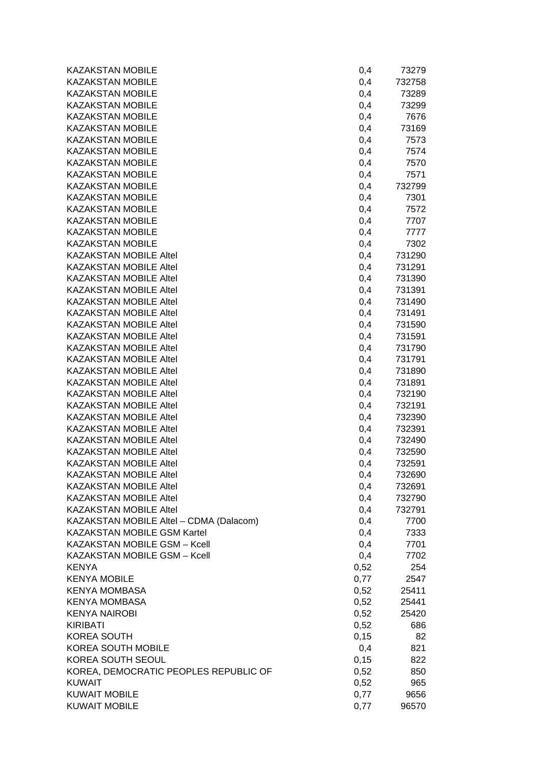| <b>KAZAKSTAN MOBILE</b><br>0,4<br>732758<br><b>KAZAKSTAN MOBILE</b><br>0,4<br>73289<br><b>KAZAKSTAN MOBILE</b><br>0,4<br>73299<br><b>KAZAKSTAN MOBILE</b><br>0,4<br>7676<br><b>KAZAKSTAN MOBILE</b><br>0,4<br>73169<br><b>KAZAKSTAN MOBILE</b><br>0,4<br>7573<br><b>KAZAKSTAN MOBILE</b><br>0,4<br>7574<br><b>KAZAKSTAN MOBILE</b><br>7570<br>0,4<br><b>KAZAKSTAN MOBILE</b><br>7571<br>0,4<br><b>KAZAKSTAN MOBILE</b><br>732799<br>0,4<br><b>KAZAKSTAN MOBILE</b><br>7301<br>0,4<br><b>KAZAKSTAN MOBILE</b><br>7572<br>0,4<br><b>KAZAKSTAN MOBILE</b><br>7707<br>0,4<br><b>KAZAKSTAN MOBILE</b><br>0,4<br>7777<br><b>KAZAKSTAN MOBILE</b><br>0,4<br>7302<br><b>KAZAKSTAN MOBILE Altel</b><br>731290<br>0,4<br><b>KAZAKSTAN MOBILE Altel</b><br>0,4<br>731291<br><b>KAZAKSTAN MOBILE Altel</b><br>0,4<br>731390<br><b>KAZAKSTAN MOBILE Altel</b><br>0,4<br>731391<br><b>KAZAKSTAN MOBILE Altel</b><br>0,4<br>731490<br><b>KAZAKSTAN MOBILE Altel</b><br>0,4<br>731491<br><b>KAZAKSTAN MOBILE Altel</b><br>0,4<br>731590<br><b>KAZAKSTAN MOBILE Altel</b><br>0,4<br>731591<br><b>KAZAKSTAN MOBILE Altel</b><br>0,4<br>731790<br><b>KAZAKSTAN MOBILE Altel</b><br>0,4<br>731791<br><b>KAZAKSTAN MOBILE Altel</b><br>731890<br>0,4<br><b>KAZAKSTAN MOBILE Altel</b><br>731891<br>0,4<br><b>KAZAKSTAN MOBILE Altel</b><br>732190<br>0,4<br><b>KAZAKSTAN MOBILE Altel</b><br>732191<br>0,4<br><b>KAZAKSTAN MOBILE Altel</b><br>0,4<br>732390<br><b>KAZAKSTAN MOBILE Altel</b><br>732391<br>0,4<br><b>KAZAKSTAN MOBILE Altel</b><br>732490<br>0,4<br><b>KAZAKSTAN MOBILE Altel</b><br>0,4<br>732590<br><b>KAZAKSTAN MOBILE Altel</b><br>732591<br>0,4<br><b>KAZAKSTAN MOBILE Altel</b><br>0,4<br>732690<br><b>KAZAKSTAN MOBILE Altel</b><br>732691<br>0,4<br><b>KAZAKSTAN MOBILE Altel</b><br>0,4<br>732790<br><b>KAZAKSTAN MOBILE Altel</b><br>0,4<br>732791<br>KAZAKSTAN MOBILE Altel - CDMA (Dalacom)<br>0,4<br>7700<br><b>KAZAKSTAN MOBILE GSM Kartel</b><br>0,4<br>7333<br>KAZAKSTAN MOBILE GSM - Kcell<br>0,4<br>7701<br>KAZAKSTAN MOBILE GSM - Kcell<br>0,4<br>7702<br>0,52<br><b>KENYA</b><br>254<br>0,77<br><b>KENYA MOBILE</b><br>2547<br><b>KENYA MOMBASA</b><br>0,52<br>25411<br><b>KENYA MOMBASA</b><br>0,52<br>25441<br><b>KENYA NAIROBI</b><br>0,52<br>25420<br><b>KIRIBATI</b><br>0,52<br>686<br>0, 15<br><b>KOREA SOUTH</b><br>82<br><b>KOREA SOUTH MOBILE</b><br>0,4<br>821<br>KOREA SOUTH SEOUL<br>0,15<br>822<br>KOREA, DEMOCRATIC PEOPLES REPUBLIC OF<br>0,52<br>850<br><b>KUWAIT</b><br>0,52<br>965<br><b>KUWAIT MOBILE</b><br>0,77<br>9656<br><b>KUWAIT MOBILE</b><br>0,77<br>96570 | <b>KAZAKSTAN MOBILE</b> | 0,4 | 73279 |
|------------------------------------------------------------------------------------------------------------------------------------------------------------------------------------------------------------------------------------------------------------------------------------------------------------------------------------------------------------------------------------------------------------------------------------------------------------------------------------------------------------------------------------------------------------------------------------------------------------------------------------------------------------------------------------------------------------------------------------------------------------------------------------------------------------------------------------------------------------------------------------------------------------------------------------------------------------------------------------------------------------------------------------------------------------------------------------------------------------------------------------------------------------------------------------------------------------------------------------------------------------------------------------------------------------------------------------------------------------------------------------------------------------------------------------------------------------------------------------------------------------------------------------------------------------------------------------------------------------------------------------------------------------------------------------------------------------------------------------------------------------------------------------------------------------------------------------------------------------------------------------------------------------------------------------------------------------------------------------------------------------------------------------------------------------------------------------------------------------------------------------------------------------------------------------------------------------------------------------------------------------------------------------------------------------------------------------------------------------------------------------------------------------------------------------------------------------------------------------------------------------------------------------------------------------------------------------------------------|-------------------------|-----|-------|
|                                                                                                                                                                                                                                                                                                                                                                                                                                                                                                                                                                                                                                                                                                                                                                                                                                                                                                                                                                                                                                                                                                                                                                                                                                                                                                                                                                                                                                                                                                                                                                                                                                                                                                                                                                                                                                                                                                                                                                                                                                                                                                                                                                                                                                                                                                                                                                                                                                                                                                                                                                                                      |                         |     |       |
|                                                                                                                                                                                                                                                                                                                                                                                                                                                                                                                                                                                                                                                                                                                                                                                                                                                                                                                                                                                                                                                                                                                                                                                                                                                                                                                                                                                                                                                                                                                                                                                                                                                                                                                                                                                                                                                                                                                                                                                                                                                                                                                                                                                                                                                                                                                                                                                                                                                                                                                                                                                                      |                         |     |       |
|                                                                                                                                                                                                                                                                                                                                                                                                                                                                                                                                                                                                                                                                                                                                                                                                                                                                                                                                                                                                                                                                                                                                                                                                                                                                                                                                                                                                                                                                                                                                                                                                                                                                                                                                                                                                                                                                                                                                                                                                                                                                                                                                                                                                                                                                                                                                                                                                                                                                                                                                                                                                      |                         |     |       |
|                                                                                                                                                                                                                                                                                                                                                                                                                                                                                                                                                                                                                                                                                                                                                                                                                                                                                                                                                                                                                                                                                                                                                                                                                                                                                                                                                                                                                                                                                                                                                                                                                                                                                                                                                                                                                                                                                                                                                                                                                                                                                                                                                                                                                                                                                                                                                                                                                                                                                                                                                                                                      |                         |     |       |
|                                                                                                                                                                                                                                                                                                                                                                                                                                                                                                                                                                                                                                                                                                                                                                                                                                                                                                                                                                                                                                                                                                                                                                                                                                                                                                                                                                                                                                                                                                                                                                                                                                                                                                                                                                                                                                                                                                                                                                                                                                                                                                                                                                                                                                                                                                                                                                                                                                                                                                                                                                                                      |                         |     |       |
|                                                                                                                                                                                                                                                                                                                                                                                                                                                                                                                                                                                                                                                                                                                                                                                                                                                                                                                                                                                                                                                                                                                                                                                                                                                                                                                                                                                                                                                                                                                                                                                                                                                                                                                                                                                                                                                                                                                                                                                                                                                                                                                                                                                                                                                                                                                                                                                                                                                                                                                                                                                                      |                         |     |       |
|                                                                                                                                                                                                                                                                                                                                                                                                                                                                                                                                                                                                                                                                                                                                                                                                                                                                                                                                                                                                                                                                                                                                                                                                                                                                                                                                                                                                                                                                                                                                                                                                                                                                                                                                                                                                                                                                                                                                                                                                                                                                                                                                                                                                                                                                                                                                                                                                                                                                                                                                                                                                      |                         |     |       |
|                                                                                                                                                                                                                                                                                                                                                                                                                                                                                                                                                                                                                                                                                                                                                                                                                                                                                                                                                                                                                                                                                                                                                                                                                                                                                                                                                                                                                                                                                                                                                                                                                                                                                                                                                                                                                                                                                                                                                                                                                                                                                                                                                                                                                                                                                                                                                                                                                                                                                                                                                                                                      |                         |     |       |
|                                                                                                                                                                                                                                                                                                                                                                                                                                                                                                                                                                                                                                                                                                                                                                                                                                                                                                                                                                                                                                                                                                                                                                                                                                                                                                                                                                                                                                                                                                                                                                                                                                                                                                                                                                                                                                                                                                                                                                                                                                                                                                                                                                                                                                                                                                                                                                                                                                                                                                                                                                                                      |                         |     |       |
|                                                                                                                                                                                                                                                                                                                                                                                                                                                                                                                                                                                                                                                                                                                                                                                                                                                                                                                                                                                                                                                                                                                                                                                                                                                                                                                                                                                                                                                                                                                                                                                                                                                                                                                                                                                                                                                                                                                                                                                                                                                                                                                                                                                                                                                                                                                                                                                                                                                                                                                                                                                                      |                         |     |       |
|                                                                                                                                                                                                                                                                                                                                                                                                                                                                                                                                                                                                                                                                                                                                                                                                                                                                                                                                                                                                                                                                                                                                                                                                                                                                                                                                                                                                                                                                                                                                                                                                                                                                                                                                                                                                                                                                                                                                                                                                                                                                                                                                                                                                                                                                                                                                                                                                                                                                                                                                                                                                      |                         |     |       |
|                                                                                                                                                                                                                                                                                                                                                                                                                                                                                                                                                                                                                                                                                                                                                                                                                                                                                                                                                                                                                                                                                                                                                                                                                                                                                                                                                                                                                                                                                                                                                                                                                                                                                                                                                                                                                                                                                                                                                                                                                                                                                                                                                                                                                                                                                                                                                                                                                                                                                                                                                                                                      |                         |     |       |
|                                                                                                                                                                                                                                                                                                                                                                                                                                                                                                                                                                                                                                                                                                                                                                                                                                                                                                                                                                                                                                                                                                                                                                                                                                                                                                                                                                                                                                                                                                                                                                                                                                                                                                                                                                                                                                                                                                                                                                                                                                                                                                                                                                                                                                                                                                                                                                                                                                                                                                                                                                                                      |                         |     |       |
|                                                                                                                                                                                                                                                                                                                                                                                                                                                                                                                                                                                                                                                                                                                                                                                                                                                                                                                                                                                                                                                                                                                                                                                                                                                                                                                                                                                                                                                                                                                                                                                                                                                                                                                                                                                                                                                                                                                                                                                                                                                                                                                                                                                                                                                                                                                                                                                                                                                                                                                                                                                                      |                         |     |       |
|                                                                                                                                                                                                                                                                                                                                                                                                                                                                                                                                                                                                                                                                                                                                                                                                                                                                                                                                                                                                                                                                                                                                                                                                                                                                                                                                                                                                                                                                                                                                                                                                                                                                                                                                                                                                                                                                                                                                                                                                                                                                                                                                                                                                                                                                                                                                                                                                                                                                                                                                                                                                      |                         |     |       |
|                                                                                                                                                                                                                                                                                                                                                                                                                                                                                                                                                                                                                                                                                                                                                                                                                                                                                                                                                                                                                                                                                                                                                                                                                                                                                                                                                                                                                                                                                                                                                                                                                                                                                                                                                                                                                                                                                                                                                                                                                                                                                                                                                                                                                                                                                                                                                                                                                                                                                                                                                                                                      |                         |     |       |
|                                                                                                                                                                                                                                                                                                                                                                                                                                                                                                                                                                                                                                                                                                                                                                                                                                                                                                                                                                                                                                                                                                                                                                                                                                                                                                                                                                                                                                                                                                                                                                                                                                                                                                                                                                                                                                                                                                                                                                                                                                                                                                                                                                                                                                                                                                                                                                                                                                                                                                                                                                                                      |                         |     |       |
|                                                                                                                                                                                                                                                                                                                                                                                                                                                                                                                                                                                                                                                                                                                                                                                                                                                                                                                                                                                                                                                                                                                                                                                                                                                                                                                                                                                                                                                                                                                                                                                                                                                                                                                                                                                                                                                                                                                                                                                                                                                                                                                                                                                                                                                                                                                                                                                                                                                                                                                                                                                                      |                         |     |       |
|                                                                                                                                                                                                                                                                                                                                                                                                                                                                                                                                                                                                                                                                                                                                                                                                                                                                                                                                                                                                                                                                                                                                                                                                                                                                                                                                                                                                                                                                                                                                                                                                                                                                                                                                                                                                                                                                                                                                                                                                                                                                                                                                                                                                                                                                                                                                                                                                                                                                                                                                                                                                      |                         |     |       |
|                                                                                                                                                                                                                                                                                                                                                                                                                                                                                                                                                                                                                                                                                                                                                                                                                                                                                                                                                                                                                                                                                                                                                                                                                                                                                                                                                                                                                                                                                                                                                                                                                                                                                                                                                                                                                                                                                                                                                                                                                                                                                                                                                                                                                                                                                                                                                                                                                                                                                                                                                                                                      |                         |     |       |
|                                                                                                                                                                                                                                                                                                                                                                                                                                                                                                                                                                                                                                                                                                                                                                                                                                                                                                                                                                                                                                                                                                                                                                                                                                                                                                                                                                                                                                                                                                                                                                                                                                                                                                                                                                                                                                                                                                                                                                                                                                                                                                                                                                                                                                                                                                                                                                                                                                                                                                                                                                                                      |                         |     |       |
|                                                                                                                                                                                                                                                                                                                                                                                                                                                                                                                                                                                                                                                                                                                                                                                                                                                                                                                                                                                                                                                                                                                                                                                                                                                                                                                                                                                                                                                                                                                                                                                                                                                                                                                                                                                                                                                                                                                                                                                                                                                                                                                                                                                                                                                                                                                                                                                                                                                                                                                                                                                                      |                         |     |       |
|                                                                                                                                                                                                                                                                                                                                                                                                                                                                                                                                                                                                                                                                                                                                                                                                                                                                                                                                                                                                                                                                                                                                                                                                                                                                                                                                                                                                                                                                                                                                                                                                                                                                                                                                                                                                                                                                                                                                                                                                                                                                                                                                                                                                                                                                                                                                                                                                                                                                                                                                                                                                      |                         |     |       |
|                                                                                                                                                                                                                                                                                                                                                                                                                                                                                                                                                                                                                                                                                                                                                                                                                                                                                                                                                                                                                                                                                                                                                                                                                                                                                                                                                                                                                                                                                                                                                                                                                                                                                                                                                                                                                                                                                                                                                                                                                                                                                                                                                                                                                                                                                                                                                                                                                                                                                                                                                                                                      |                         |     |       |
|                                                                                                                                                                                                                                                                                                                                                                                                                                                                                                                                                                                                                                                                                                                                                                                                                                                                                                                                                                                                                                                                                                                                                                                                                                                                                                                                                                                                                                                                                                                                                                                                                                                                                                                                                                                                                                                                                                                                                                                                                                                                                                                                                                                                                                                                                                                                                                                                                                                                                                                                                                                                      |                         |     |       |
|                                                                                                                                                                                                                                                                                                                                                                                                                                                                                                                                                                                                                                                                                                                                                                                                                                                                                                                                                                                                                                                                                                                                                                                                                                                                                                                                                                                                                                                                                                                                                                                                                                                                                                                                                                                                                                                                                                                                                                                                                                                                                                                                                                                                                                                                                                                                                                                                                                                                                                                                                                                                      |                         |     |       |
|                                                                                                                                                                                                                                                                                                                                                                                                                                                                                                                                                                                                                                                                                                                                                                                                                                                                                                                                                                                                                                                                                                                                                                                                                                                                                                                                                                                                                                                                                                                                                                                                                                                                                                                                                                                                                                                                                                                                                                                                                                                                                                                                                                                                                                                                                                                                                                                                                                                                                                                                                                                                      |                         |     |       |
|                                                                                                                                                                                                                                                                                                                                                                                                                                                                                                                                                                                                                                                                                                                                                                                                                                                                                                                                                                                                                                                                                                                                                                                                                                                                                                                                                                                                                                                                                                                                                                                                                                                                                                                                                                                                                                                                                                                                                                                                                                                                                                                                                                                                                                                                                                                                                                                                                                                                                                                                                                                                      |                         |     |       |
|                                                                                                                                                                                                                                                                                                                                                                                                                                                                                                                                                                                                                                                                                                                                                                                                                                                                                                                                                                                                                                                                                                                                                                                                                                                                                                                                                                                                                                                                                                                                                                                                                                                                                                                                                                                                                                                                                                                                                                                                                                                                                                                                                                                                                                                                                                                                                                                                                                                                                                                                                                                                      |                         |     |       |
|                                                                                                                                                                                                                                                                                                                                                                                                                                                                                                                                                                                                                                                                                                                                                                                                                                                                                                                                                                                                                                                                                                                                                                                                                                                                                                                                                                                                                                                                                                                                                                                                                                                                                                                                                                                                                                                                                                                                                                                                                                                                                                                                                                                                                                                                                                                                                                                                                                                                                                                                                                                                      |                         |     |       |
|                                                                                                                                                                                                                                                                                                                                                                                                                                                                                                                                                                                                                                                                                                                                                                                                                                                                                                                                                                                                                                                                                                                                                                                                                                                                                                                                                                                                                                                                                                                                                                                                                                                                                                                                                                                                                                                                                                                                                                                                                                                                                                                                                                                                                                                                                                                                                                                                                                                                                                                                                                                                      |                         |     |       |
|                                                                                                                                                                                                                                                                                                                                                                                                                                                                                                                                                                                                                                                                                                                                                                                                                                                                                                                                                                                                                                                                                                                                                                                                                                                                                                                                                                                                                                                                                                                                                                                                                                                                                                                                                                                                                                                                                                                                                                                                                                                                                                                                                                                                                                                                                                                                                                                                                                                                                                                                                                                                      |                         |     |       |
|                                                                                                                                                                                                                                                                                                                                                                                                                                                                                                                                                                                                                                                                                                                                                                                                                                                                                                                                                                                                                                                                                                                                                                                                                                                                                                                                                                                                                                                                                                                                                                                                                                                                                                                                                                                                                                                                                                                                                                                                                                                                                                                                                                                                                                                                                                                                                                                                                                                                                                                                                                                                      |                         |     |       |
|                                                                                                                                                                                                                                                                                                                                                                                                                                                                                                                                                                                                                                                                                                                                                                                                                                                                                                                                                                                                                                                                                                                                                                                                                                                                                                                                                                                                                                                                                                                                                                                                                                                                                                                                                                                                                                                                                                                                                                                                                                                                                                                                                                                                                                                                                                                                                                                                                                                                                                                                                                                                      |                         |     |       |
|                                                                                                                                                                                                                                                                                                                                                                                                                                                                                                                                                                                                                                                                                                                                                                                                                                                                                                                                                                                                                                                                                                                                                                                                                                                                                                                                                                                                                                                                                                                                                                                                                                                                                                                                                                                                                                                                                                                                                                                                                                                                                                                                                                                                                                                                                                                                                                                                                                                                                                                                                                                                      |                         |     |       |
|                                                                                                                                                                                                                                                                                                                                                                                                                                                                                                                                                                                                                                                                                                                                                                                                                                                                                                                                                                                                                                                                                                                                                                                                                                                                                                                                                                                                                                                                                                                                                                                                                                                                                                                                                                                                                                                                                                                                                                                                                                                                                                                                                                                                                                                                                                                                                                                                                                                                                                                                                                                                      |                         |     |       |
|                                                                                                                                                                                                                                                                                                                                                                                                                                                                                                                                                                                                                                                                                                                                                                                                                                                                                                                                                                                                                                                                                                                                                                                                                                                                                                                                                                                                                                                                                                                                                                                                                                                                                                                                                                                                                                                                                                                                                                                                                                                                                                                                                                                                                                                                                                                                                                                                                                                                                                                                                                                                      |                         |     |       |
|                                                                                                                                                                                                                                                                                                                                                                                                                                                                                                                                                                                                                                                                                                                                                                                                                                                                                                                                                                                                                                                                                                                                                                                                                                                                                                                                                                                                                                                                                                                                                                                                                                                                                                                                                                                                                                                                                                                                                                                                                                                                                                                                                                                                                                                                                                                                                                                                                                                                                                                                                                                                      |                         |     |       |
|                                                                                                                                                                                                                                                                                                                                                                                                                                                                                                                                                                                                                                                                                                                                                                                                                                                                                                                                                                                                                                                                                                                                                                                                                                                                                                                                                                                                                                                                                                                                                                                                                                                                                                                                                                                                                                                                                                                                                                                                                                                                                                                                                                                                                                                                                                                                                                                                                                                                                                                                                                                                      |                         |     |       |
|                                                                                                                                                                                                                                                                                                                                                                                                                                                                                                                                                                                                                                                                                                                                                                                                                                                                                                                                                                                                                                                                                                                                                                                                                                                                                                                                                                                                                                                                                                                                                                                                                                                                                                                                                                                                                                                                                                                                                                                                                                                                                                                                                                                                                                                                                                                                                                                                                                                                                                                                                                                                      |                         |     |       |
|                                                                                                                                                                                                                                                                                                                                                                                                                                                                                                                                                                                                                                                                                                                                                                                                                                                                                                                                                                                                                                                                                                                                                                                                                                                                                                                                                                                                                                                                                                                                                                                                                                                                                                                                                                                                                                                                                                                                                                                                                                                                                                                                                                                                                                                                                                                                                                                                                                                                                                                                                                                                      |                         |     |       |
|                                                                                                                                                                                                                                                                                                                                                                                                                                                                                                                                                                                                                                                                                                                                                                                                                                                                                                                                                                                                                                                                                                                                                                                                                                                                                                                                                                                                                                                                                                                                                                                                                                                                                                                                                                                                                                                                                                                                                                                                                                                                                                                                                                                                                                                                                                                                                                                                                                                                                                                                                                                                      |                         |     |       |
|                                                                                                                                                                                                                                                                                                                                                                                                                                                                                                                                                                                                                                                                                                                                                                                                                                                                                                                                                                                                                                                                                                                                                                                                                                                                                                                                                                                                                                                                                                                                                                                                                                                                                                                                                                                                                                                                                                                                                                                                                                                                                                                                                                                                                                                                                                                                                                                                                                                                                                                                                                                                      |                         |     |       |
|                                                                                                                                                                                                                                                                                                                                                                                                                                                                                                                                                                                                                                                                                                                                                                                                                                                                                                                                                                                                                                                                                                                                                                                                                                                                                                                                                                                                                                                                                                                                                                                                                                                                                                                                                                                                                                                                                                                                                                                                                                                                                                                                                                                                                                                                                                                                                                                                                                                                                                                                                                                                      |                         |     |       |
|                                                                                                                                                                                                                                                                                                                                                                                                                                                                                                                                                                                                                                                                                                                                                                                                                                                                                                                                                                                                                                                                                                                                                                                                                                                                                                                                                                                                                                                                                                                                                                                                                                                                                                                                                                                                                                                                                                                                                                                                                                                                                                                                                                                                                                                                                                                                                                                                                                                                                                                                                                                                      |                         |     |       |
|                                                                                                                                                                                                                                                                                                                                                                                                                                                                                                                                                                                                                                                                                                                                                                                                                                                                                                                                                                                                                                                                                                                                                                                                                                                                                                                                                                                                                                                                                                                                                                                                                                                                                                                                                                                                                                                                                                                                                                                                                                                                                                                                                                                                                                                                                                                                                                                                                                                                                                                                                                                                      |                         |     |       |
|                                                                                                                                                                                                                                                                                                                                                                                                                                                                                                                                                                                                                                                                                                                                                                                                                                                                                                                                                                                                                                                                                                                                                                                                                                                                                                                                                                                                                                                                                                                                                                                                                                                                                                                                                                                                                                                                                                                                                                                                                                                                                                                                                                                                                                                                                                                                                                                                                                                                                                                                                                                                      |                         |     |       |
|                                                                                                                                                                                                                                                                                                                                                                                                                                                                                                                                                                                                                                                                                                                                                                                                                                                                                                                                                                                                                                                                                                                                                                                                                                                                                                                                                                                                                                                                                                                                                                                                                                                                                                                                                                                                                                                                                                                                                                                                                                                                                                                                                                                                                                                                                                                                                                                                                                                                                                                                                                                                      |                         |     |       |
|                                                                                                                                                                                                                                                                                                                                                                                                                                                                                                                                                                                                                                                                                                                                                                                                                                                                                                                                                                                                                                                                                                                                                                                                                                                                                                                                                                                                                                                                                                                                                                                                                                                                                                                                                                                                                                                                                                                                                                                                                                                                                                                                                                                                                                                                                                                                                                                                                                                                                                                                                                                                      |                         |     |       |
|                                                                                                                                                                                                                                                                                                                                                                                                                                                                                                                                                                                                                                                                                                                                                                                                                                                                                                                                                                                                                                                                                                                                                                                                                                                                                                                                                                                                                                                                                                                                                                                                                                                                                                                                                                                                                                                                                                                                                                                                                                                                                                                                                                                                                                                                                                                                                                                                                                                                                                                                                                                                      |                         |     |       |
|                                                                                                                                                                                                                                                                                                                                                                                                                                                                                                                                                                                                                                                                                                                                                                                                                                                                                                                                                                                                                                                                                                                                                                                                                                                                                                                                                                                                                                                                                                                                                                                                                                                                                                                                                                                                                                                                                                                                                                                                                                                                                                                                                                                                                                                                                                                                                                                                                                                                                                                                                                                                      |                         |     |       |
|                                                                                                                                                                                                                                                                                                                                                                                                                                                                                                                                                                                                                                                                                                                                                                                                                                                                                                                                                                                                                                                                                                                                                                                                                                                                                                                                                                                                                                                                                                                                                                                                                                                                                                                                                                                                                                                                                                                                                                                                                                                                                                                                                                                                                                                                                                                                                                                                                                                                                                                                                                                                      |                         |     |       |
|                                                                                                                                                                                                                                                                                                                                                                                                                                                                                                                                                                                                                                                                                                                                                                                                                                                                                                                                                                                                                                                                                                                                                                                                                                                                                                                                                                                                                                                                                                                                                                                                                                                                                                                                                                                                                                                                                                                                                                                                                                                                                                                                                                                                                                                                                                                                                                                                                                                                                                                                                                                                      |                         |     |       |
|                                                                                                                                                                                                                                                                                                                                                                                                                                                                                                                                                                                                                                                                                                                                                                                                                                                                                                                                                                                                                                                                                                                                                                                                                                                                                                                                                                                                                                                                                                                                                                                                                                                                                                                                                                                                                                                                                                                                                                                                                                                                                                                                                                                                                                                                                                                                                                                                                                                                                                                                                                                                      |                         |     |       |
|                                                                                                                                                                                                                                                                                                                                                                                                                                                                                                                                                                                                                                                                                                                                                                                                                                                                                                                                                                                                                                                                                                                                                                                                                                                                                                                                                                                                                                                                                                                                                                                                                                                                                                                                                                                                                                                                                                                                                                                                                                                                                                                                                                                                                                                                                                                                                                                                                                                                                                                                                                                                      |                         |     |       |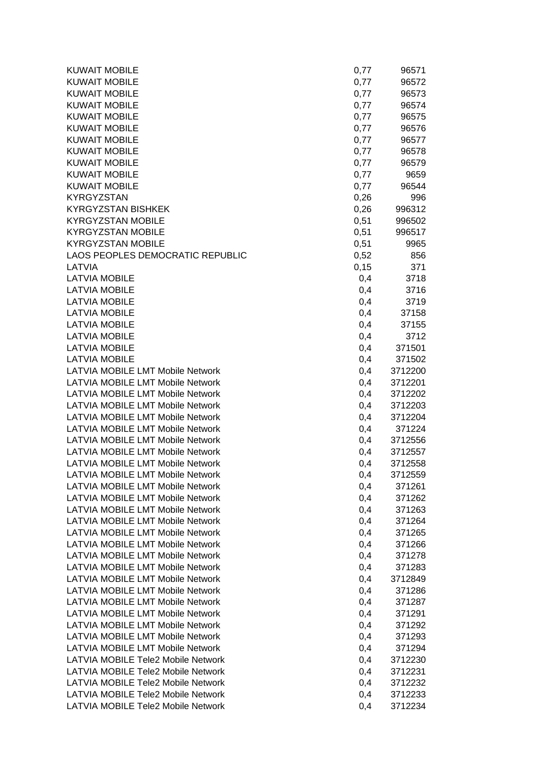| <b>KUWAIT MOBILE</b>                      | 0,77 | 96571   |
|-------------------------------------------|------|---------|
| <b>KUWAIT MOBILE</b>                      | 0,77 | 96572   |
| <b>KUWAIT MOBILE</b>                      | 0,77 | 96573   |
| <b>KUWAIT MOBILE</b>                      | 0,77 | 96574   |
| <b>KUWAIT MOBILE</b>                      | 0,77 | 96575   |
| <b>KUWAIT MOBILE</b>                      | 0,77 | 96576   |
| <b>KUWAIT MOBILE</b>                      | 0,77 | 96577   |
| <b>KUWAIT MOBILE</b>                      | 0,77 | 96578   |
| <b>KUWAIT MOBILE</b>                      | 0,77 | 96579   |
| <b>KUWAIT MOBILE</b>                      | 0,77 | 9659    |
| <b>KUWAIT MOBILE</b>                      | 0,77 | 96544   |
| <b>KYRGYZSTAN</b>                         | 0,26 | 996     |
| <b>KYRGYZSTAN BISHKEK</b>                 | 0,26 | 996312  |
| <b>KYRGYZSTAN MOBILE</b>                  | 0,51 | 996502  |
| <b>KYRGYZSTAN MOBILE</b>                  | 0,51 | 996517  |
| <b>KYRGYZSTAN MOBILE</b>                  | 0,51 | 9965    |
| LAOS PEOPLES DEMOCRATIC REPUBLIC          | 0,52 | 856     |
| <b>LATVIA</b>                             | 0,15 | 371     |
| <b>LATVIA MOBILE</b>                      | 0,4  | 3718    |
| <b>LATVIA MOBILE</b>                      | 0,4  | 3716    |
| <b>LATVIA MOBILE</b>                      | 0,4  | 3719    |
| <b>LATVIA MOBILE</b>                      | 0,4  | 37158   |
| <b>LATVIA MOBILE</b>                      | 0,4  | 37155   |
| <b>LATVIA MOBILE</b>                      | 0,4  | 3712    |
| <b>LATVIA MOBILE</b>                      | 0,4  | 371501  |
| <b>LATVIA MOBILE</b>                      | 0,4  | 371502  |
| <b>LATVIA MOBILE LMT Mobile Network</b>   | 0,4  | 3712200 |
| <b>LATVIA MOBILE LMT Mobile Network</b>   | 0,4  | 3712201 |
| <b>LATVIA MOBILE LMT Mobile Network</b>   | 0,4  | 3712202 |
| <b>LATVIA MOBILE LMT Mobile Network</b>   | 0,4  | 3712203 |
| <b>LATVIA MOBILE LMT Mobile Network</b>   | 0,4  | 3712204 |
| <b>LATVIA MOBILE LMT Mobile Network</b>   | 0,4  | 371224  |
| <b>LATVIA MOBILE LMT Mobile Network</b>   | 0,4  | 3712556 |
| <b>LATVIA MOBILE LMT Mobile Network</b>   | 0,4  | 3712557 |
| <b>LATVIA MOBILE LMT Mobile Network</b>   | 0,4  | 3712558 |
| <b>LATVIA MOBILE LMT Mobile Network</b>   | 0,4  | 3712559 |
| <b>LATVIA MOBILE LMT Mobile Network</b>   | 0,4  | 371261  |
| <b>LATVIA MOBILE LMT Mobile Network</b>   | 0,4  | 371262  |
| <b>LATVIA MOBILE LMT Mobile Network</b>   | 0,4  | 371263  |
| <b>LATVIA MOBILE LMT Mobile Network</b>   | 0,4  | 371264  |
| <b>LATVIA MOBILE LMT Mobile Network</b>   | 0,4  | 371265  |
| <b>LATVIA MOBILE LMT Mobile Network</b>   | 0,4  | 371266  |
| LATVIA MOBILE LMT Mobile Network          | 0,4  | 371278  |
| <b>LATVIA MOBILE LMT Mobile Network</b>   | 0,4  | 371283  |
| <b>LATVIA MOBILE LMT Mobile Network</b>   | 0,4  | 3712849 |
| <b>LATVIA MOBILE LMT Mobile Network</b>   | 0,4  | 371286  |
| <b>LATVIA MOBILE LMT Mobile Network</b>   | 0,4  | 371287  |
| LATVIA MOBILE LMT Mobile Network          | 0,4  | 371291  |
| <b>LATVIA MOBILE LMT Mobile Network</b>   | 0,4  | 371292  |
| LATVIA MOBILE LMT Mobile Network          | 0,4  | 371293  |
| <b>LATVIA MOBILE LMT Mobile Network</b>   | 0,4  | 371294  |
| <b>LATVIA MOBILE Tele2 Mobile Network</b> | 0,4  | 3712230 |
| <b>LATVIA MOBILE Tele2 Mobile Network</b> | 0,4  | 3712231 |
| LATVIA MOBILE Tele2 Mobile Network        | 0,4  | 3712232 |
| LATVIA MOBILE Tele2 Mobile Network        | 0,4  | 3712233 |
| LATVIA MOBILE Tele2 Mobile Network        | 0,4  | 3712234 |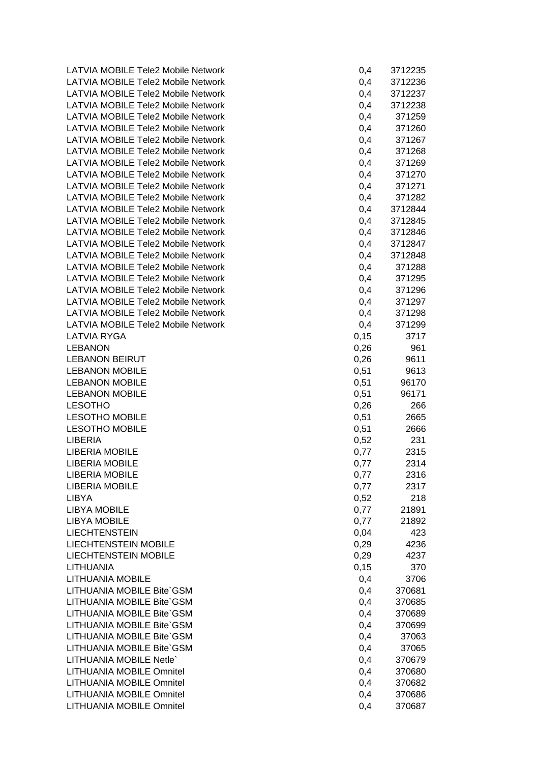| LATVIA MOBILE Tele2 Mobile Network        | 0,4  | 3712235 |
|-------------------------------------------|------|---------|
| <b>LATVIA MOBILE Tele2 Mobile Network</b> | 0,4  | 3712236 |
| <b>LATVIA MOBILE Tele2 Mobile Network</b> | 0,4  | 3712237 |
| LATVIA MOBILE Tele2 Mobile Network        | 0,4  | 3712238 |
| <b>LATVIA MOBILE Tele2 Mobile Network</b> | 0,4  | 371259  |
| <b>LATVIA MOBILE Tele2 Mobile Network</b> | 0,4  | 371260  |
| LATVIA MOBILE Tele2 Mobile Network        | 0,4  | 371267  |
| <b>LATVIA MOBILE Tele2 Mobile Network</b> | 0,4  | 371268  |
| <b>LATVIA MOBILE Tele2 Mobile Network</b> | 0,4  | 371269  |
| <b>LATVIA MOBILE Tele2 Mobile Network</b> | 0,4  | 371270  |
| <b>LATVIA MOBILE Tele2 Mobile Network</b> | 0,4  | 371271  |
| <b>LATVIA MOBILE Tele2 Mobile Network</b> | 0,4  | 371282  |
| <b>LATVIA MOBILE Tele2 Mobile Network</b> | 0,4  | 3712844 |
| <b>LATVIA MOBILE Tele2 Mobile Network</b> | 0,4  | 3712845 |
| LATVIA MOBILE Tele2 Mobile Network        | 0,4  | 3712846 |
| <b>LATVIA MOBILE Tele2 Mobile Network</b> | 0,4  | 3712847 |
| <b>LATVIA MOBILE Tele2 Mobile Network</b> | 0,4  | 3712848 |
| <b>LATVIA MOBILE Tele2 Mobile Network</b> | 0,4  | 371288  |
| <b>LATVIA MOBILE Tele2 Mobile Network</b> | 0,4  | 371295  |
| <b>LATVIA MOBILE Tele2 Mobile Network</b> | 0,4  | 371296  |
| <b>LATVIA MOBILE Tele2 Mobile Network</b> | 0,4  | 371297  |
| <b>LATVIA MOBILE Tele2 Mobile Network</b> | 0,4  | 371298  |
| <b>LATVIA MOBILE Tele2 Mobile Network</b> | 0,4  | 371299  |
| <b>LATVIA RYGA</b>                        | 0,15 | 3717    |
| <b>LEBANON</b>                            | 0,26 | 961     |
| <b>LEBANON BEIRUT</b>                     | 0,26 | 9611    |
| <b>LEBANON MOBILE</b>                     | 0,51 | 9613    |
| <b>LEBANON MOBILE</b>                     | 0,51 | 96170   |
| <b>LEBANON MOBILE</b>                     | 0,51 | 96171   |
| <b>LESOTHO</b>                            | 0,26 | 266     |
| <b>LESOTHO MOBILE</b>                     | 0,51 | 2665    |
| <b>LESOTHO MOBILE</b>                     | 0,51 | 2666    |
| <b>LIBERIA</b>                            | 0,52 | 231     |
| <b>LIBERIA MOBILE</b>                     | 0,77 | 2315    |
| <b>LIBERIA MOBILE</b>                     | 0,77 | 2314    |
| <b>LIBERIA MOBILE</b>                     | 0,77 | 2316    |
| <b>LIBERIA MOBILE</b>                     | 0,77 | 2317    |
| <b>LIBYA</b>                              | 0,52 | 218     |
| <b>LIBYA MOBILE</b>                       | 0,77 | 21891   |
| <b>LIBYA MOBILE</b>                       | 0,77 | 21892   |
| <b>LIECHTENSTEIN</b>                      | 0,04 | 423     |
| <b>LIECHTENSTEIN MOBILE</b>               | 0,29 | 4236    |
| <b>LIECHTENSTEIN MOBILE</b>               | 0,29 | 4237    |
| <b>LITHUANIA</b>                          | 0,15 | 370     |
| <b>LITHUANIA MOBILE</b>                   | 0,4  | 3706    |
| LITHUANIA MOBILE Bite`GSM                 | 0,4  | 370681  |
| LITHUANIA MOBILE Bite`GSM                 | 0,4  | 370685  |
| LITHUANIA MOBILE Bite`GSM                 | 0,4  | 370689  |
| LITHUANIA MOBILE Bite`GSM                 | 0,4  | 370699  |
| LITHUANIA MOBILE Bite`GSM                 | 0,4  | 37063   |
| LITHUANIA MOBILE Bite`GSM                 | 0,4  | 37065   |
| LITHUANIA MOBILE Netle`                   | 0,4  | 370679  |
| <b>LITHUANIA MOBILE Omnitel</b>           | 0,4  | 370680  |
| <b>LITHUANIA MOBILE Omnitel</b>           | 0,4  | 370682  |
| LITHUANIA MOBILE Omnitel                  | 0,4  | 370686  |
| LITHUANIA MOBILE Omnitel                  | 0,4  | 370687  |
|                                           |      |         |

| 0,4      | 3712235 |
|----------|---------|
| 0,4      | 3712236 |
| $_{0,4}$ | 3712237 |
|          |         |
| 0,4      | 3712238 |
| 0,4      | 371259  |
| 0,4      | 371260  |
| $_{0,4}$ | 371267  |
| $_{0,4}$ | 371268  |
|          | 371269  |
| 0,4      |         |
| 0,4      | 371270  |
| $_{0,4}$ | 371271  |
| $_{0,4}$ | 371282  |
| 0,4      | 3712844 |
| 0,4      | 3712845 |
|          |         |
| 0,4      | 3712846 |
| 0,4      | 3712847 |
| 0,4      | 3712848 |
| 0,4      | 371288  |
| $_{0,4}$ | 371295  |
|          |         |
| 0,4      | 371296  |
| 0,4      | 371297  |
| 0,4      | 371298  |
| 0,4      | 371299  |
| 0,15     | 3717    |
|          |         |
| 0,26     | 961     |
| 0,26     | 9611    |
| 0,51     | 9613    |
| 0,51     | 96170   |
| 0,51     | 96171   |
| 0,26     |         |
|          | 266     |
| 0,51     | 2665    |
| 0,51     | 2666    |
| 0,52     | 231     |
| 0,77     | 2315    |
| 0,77     | 2314    |
|          |         |
| 0,77     | 2316    |
| 0,77     | 2317    |
| 0,52     | 218     |
| 0,77     | 21891   |
| 0,77     | 21892   |
| 0,04     | 423     |
|          |         |
| 0,29     | 4236    |
| 0,29     | 4237    |
| 0, 15    | 370     |
| 0,4      | 3706    |
| 0,4      | 370681  |
|          |         |
| 0,4      | 370685  |
| 0,4      | 370689  |
| 0,4      | 370699  |
| 0,4      | 37063   |
| 0,4      | 37065   |
|          |         |
| 0,4      | 370679  |
| 0,4      | 370680  |
| 0,4      | 370682  |
| 0,4      | 370686  |
| 0,4      | 370687  |
|          |         |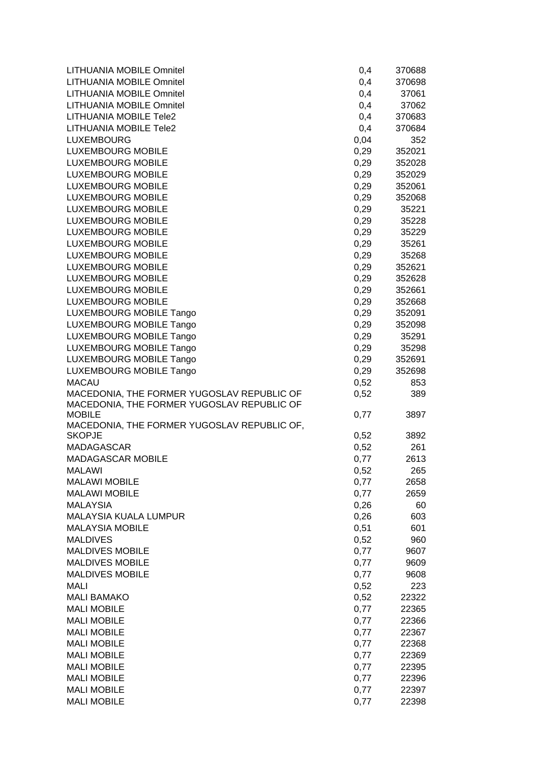| LITHUANIA MOBILE Omnitel                                                                 | 0,4          | 370688         |
|------------------------------------------------------------------------------------------|--------------|----------------|
| <b>LITHUANIA MOBILE Omnitel</b>                                                          | 0,4          | 370698         |
| <b>LITHUANIA MOBILE Omnitel</b>                                                          | 0,4          | 37061          |
| <b>LITHUANIA MOBILE Omnitel</b>                                                          | 0,4          | 37062          |
| <b>LITHUANIA MOBILE Tele2</b>                                                            | 0,4          | 370683         |
| LITHUANIA MOBILE Tele2                                                                   | 0,4          | 370684         |
| <b>LUXEMBOURG</b>                                                                        | 0,04         | 352            |
| <b>LUXEMBOURG MOBILE</b>                                                                 | 0,29         | 352021         |
| <b>LUXEMBOURG MOBILE</b>                                                                 | 0,29         | 352028         |
| <b>LUXEMBOURG MOBILE</b>                                                                 | 0,29         | 352029         |
| <b>LUXEMBOURG MOBILE</b>                                                                 | 0,29         | 352061         |
| <b>LUXEMBOURG MOBILE</b>                                                                 | 0,29         | 352068         |
| <b>LUXEMBOURG MOBILE</b>                                                                 | 0,29         | 35221          |
| <b>LUXEMBOURG MOBILE</b>                                                                 | 0,29         | 35228          |
| <b>LUXEMBOURG MOBILE</b>                                                                 | 0,29         | 35229          |
| <b>LUXEMBOURG MOBILE</b>                                                                 | 0,29         | 35261          |
| <b>LUXEMBOURG MOBILE</b>                                                                 | 0,29         | 35268          |
| <b>LUXEMBOURG MOBILE</b>                                                                 | 0,29         | 352621         |
| <b>LUXEMBOURG MOBILE</b>                                                                 | 0,29         | 352628         |
| <b>LUXEMBOURG MOBILE</b>                                                                 | 0,29         | 352661         |
| <b>LUXEMBOURG MOBILE</b>                                                                 | 0,29         | 352668         |
| LUXEMBOURG MOBILE Tango                                                                  | 0,29         | 352091         |
| <b>LUXEMBOURG MOBILE Tango</b>                                                           | 0,29         | 352098         |
| LUXEMBOURG MOBILE Tango                                                                  | 0,29         | 35291          |
| LUXEMBOURG MOBILE Tango                                                                  | 0,29         | 35298          |
| LUXEMBOURG MOBILE Tango                                                                  | 0,29         | 352691         |
| LUXEMBOURG MOBILE Tango                                                                  | 0,29         | 352698         |
| <b>MACAU</b>                                                                             | 0,52         | 853            |
| MACEDONIA, THE FORMER YUGOSLAV REPUBLIC OF<br>MACEDONIA, THE FORMER YUGOSLAV REPUBLIC OF | 0,52         | 389            |
| <b>MOBILE</b>                                                                            | 0,77         | 3897           |
| MACEDONIA, THE FORMER YUGOSLAV REPUBLIC OF,<br><b>SKOPJE</b>                             | 0,52         | 3892           |
| <b>MADAGASCAR</b>                                                                        | 0,52         | 261            |
| <b>MADAGASCAR MOBILE</b>                                                                 | 0,77         | 2613           |
| <b>MALAWI</b>                                                                            | 0,52         | 265            |
| <b>MALAWI MOBILE</b>                                                                     | 0,77         | 2658           |
| <b>MALAWI MOBILE</b>                                                                     | 0,77         | 2659           |
| <b>MALAYSIA</b>                                                                          | 0,26         | 60             |
| MALAYSIA KUALA LUMPUR                                                                    | 0,26         | 603            |
| <b>MALAYSIA MOBILE</b>                                                                   | 0,51         | 601            |
| <b>MALDIVES</b>                                                                          | 0,52         | 960            |
| <b>MALDIVES MOBILE</b>                                                                   | 0,77         | 9607           |
| <b>MALDIVES MOBILE</b>                                                                   | 0,77         | 9609           |
| <b>MALDIVES MOBILE</b>                                                                   | 0,77         | 9608           |
| <b>MALI</b>                                                                              | 0,52         | 223            |
| <b>MALI BAMAKO</b>                                                                       | 0,52         | 22322          |
| <b>MALI MOBILE</b>                                                                       | 0,77         | 22365          |
| <b>MALI MOBILE</b>                                                                       | 0,77         | 22366          |
| <b>MALI MOBILE</b>                                                                       | 0,77         | 22367          |
| <b>MALI MOBILE</b>                                                                       | 0,77         | 22368          |
| <b>MALI MOBILE</b>                                                                       | 0,77         | 22369          |
| <b>MALI MOBILE</b>                                                                       | 0,77         | 22395          |
| <b>MALI MOBILE</b>                                                                       |              |                |
|                                                                                          |              |                |
|                                                                                          | 0,77         | 22396          |
| <b>MALI MOBILE</b><br><b>MALI MOBILE</b>                                                 | 0,77<br>0,77 | 22397<br>22398 |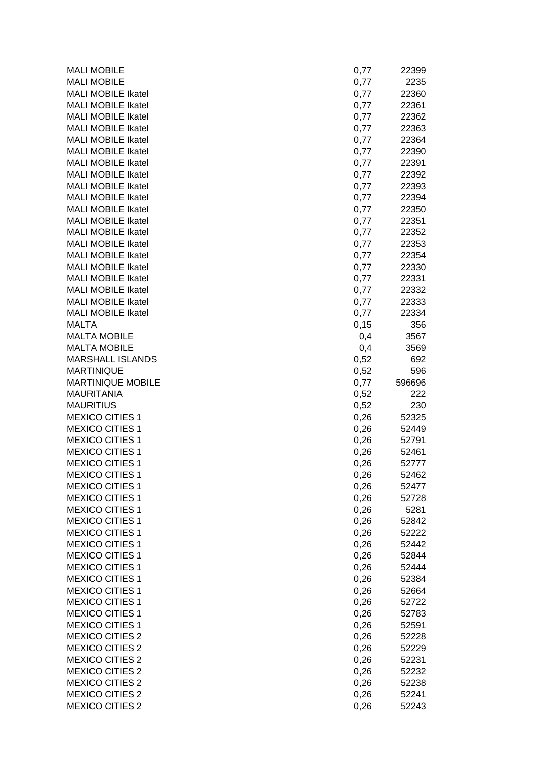| <b>MALI MOBILE</b>        | 0,77 | 22399  |
|---------------------------|------|--------|
| <b>MALI MOBILE</b>        | 0,77 | 2235   |
| <b>MALI MOBILE Ikatel</b> | 0,77 | 22360  |
| <b>MALI MOBILE Ikatel</b> | 0,77 | 22361  |
| MALI MOBILE Ikatel        | 0,77 | 22362  |
| MALI MOBILE Ikatel        | 0,77 | 22363  |
| <b>MALI MOBILE Ikatel</b> | 0,77 | 22364  |
| <b>MALI MOBILE Ikatel</b> | 0,77 | 22390  |
| <b>MALI MOBILE Ikatel</b> | 0,77 | 22391  |
| <b>MALI MOBILE Ikatel</b> | 0,77 | 22392  |
| <b>MALI MOBILE Ikatel</b> | 0,77 | 22393  |
| <b>MALI MOBILE Ikatel</b> | 0,77 | 22394  |
| <b>MALI MOBILE Ikatel</b> | 0,77 | 22350  |
| <b>MALI MOBILE Ikatel</b> | 0,77 | 22351  |
| <b>MALI MOBILE Ikatel</b> | 0,77 | 22352  |
| <b>MALI MOBILE Ikatel</b> | 0,77 | 22353  |
| <b>MALI MOBILE Ikatel</b> | 0,77 | 22354  |
| <b>MALI MOBILE Ikatel</b> | 0,77 | 22330  |
| <b>MALI MOBILE Ikatel</b> | 0,77 | 22331  |
| <b>MALI MOBILE Ikatel</b> | 0,77 | 22332  |
| MALI MOBILE Ikatel        | 0,77 | 22333  |
| <b>MALI MOBILE Ikatel</b> | 0,77 | 22334  |
| <b>MALTA</b>              | 0,15 | 356    |
| <b>MALTA MOBILE</b>       | 0,4  | 3567   |
| <b>MALTA MOBILE</b>       | 0,4  | 3569   |
| <b>MARSHALL ISLANDS</b>   | 0,52 | 692    |
| <b>MARTINIQUE</b>         | 0,52 | 596    |
| <b>MARTINIQUE MOBILE</b>  | 0,77 | 596696 |
| <b>MAURITANIA</b>         | 0,52 | 222    |
| <b>MAURITIUS</b>          | 0,52 | 230    |
| <b>MEXICO CITIES 1</b>    | 0,26 | 52325  |
| <b>MEXICO CITIES 1</b>    | 0,26 | 52449  |
| <b>MEXICO CITIES 1</b>    | 0,26 | 52791  |
| <b>MEXICO CITIES 1</b>    | 0,26 | 52461  |
| <b>MEXICO CITIES 1</b>    | 0,26 | 52777  |
| <b>MEXICO CITIES 1</b>    | 0,26 | 52462  |
| <b>MEXICO CITIES 1</b>    | 0,26 | 52477  |
| <b>MEXICO CITIES 1</b>    | 0,26 | 52728  |
| <b>MEXICO CITIES 1</b>    | 0,26 | 5281   |
| <b>MEXICO CITIES 1</b>    | 0,26 | 52842  |
| <b>MEXICO CITIES 1</b>    | 0,26 | 52222  |
| <b>MEXICO CITIES 1</b>    | 0,26 | 52442  |
| <b>MEXICO CITIES 1</b>    | 0,26 | 52844  |
| <b>MEXICO CITIES 1</b>    | 0,26 | 52444  |
| <b>MEXICO CITIES 1</b>    | 0,26 | 52384  |
| <b>MEXICO CITIES 1</b>    | 0,26 | 52664  |
| <b>MEXICO CITIES 1</b>    | 0,26 | 52722  |
| <b>MEXICO CITIES 1</b>    | 0,26 | 52783  |
| <b>MEXICO CITIES 1</b>    | 0,26 | 52591  |
| <b>MEXICO CITIES 2</b>    | 0,26 | 52228  |
| <b>MEXICO CITIES 2</b>    | 0,26 | 52229  |
| <b>MEXICO CITIES 2</b>    | 0,26 | 52231  |
| <b>MEXICO CITIES 2</b>    | 0,26 | 52232  |
| <b>MEXICO CITIES 2</b>    | 0,26 |        |
| <b>MEXICO CITIES 2</b>    |      | 52238  |
|                           | 0,26 | 52241  |
| <b>MEXICO CITIES 2</b>    | 0,26 | 52243  |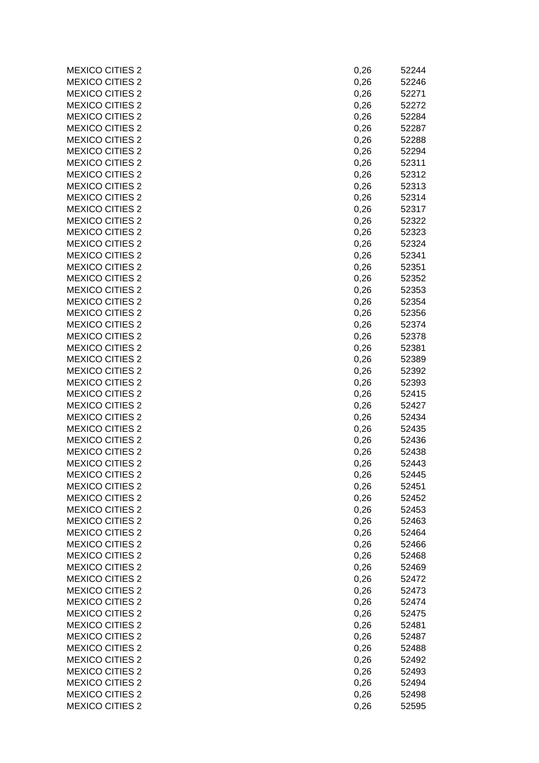| <b>MEXICO CITIES 2</b> | 0,26 | 52244 |
|------------------------|------|-------|
| <b>MEXICO CITIES 2</b> | 0,26 | 52246 |
| <b>MEXICO CITIES 2</b> | 0,26 | 52271 |
| <b>MEXICO CITIES 2</b> | 0,26 | 52272 |
| <b>MEXICO CITIES 2</b> | 0,26 | 52284 |
| <b>MEXICO CITIES 2</b> | 0,26 | 52287 |
| <b>MEXICO CITIES 2</b> | 0,26 | 52288 |
| <b>MEXICO CITIES 2</b> | 0,26 | 52294 |
| <b>MEXICO CITIES 2</b> | 0,26 | 52311 |
| <b>MEXICO CITIES 2</b> | 0,26 | 52312 |
| <b>MEXICO CITIES 2</b> | 0,26 | 52313 |
| <b>MEXICO CITIES 2</b> | 0,26 | 52314 |
| <b>MEXICO CITIES 2</b> | 0,26 | 52317 |
| <b>MEXICO CITIES 2</b> | 0,26 | 52322 |
| <b>MEXICO CITIES 2</b> | 0,26 | 52323 |
| <b>MEXICO CITIES 2</b> | 0,26 | 52324 |
| <b>MEXICO CITIES 2</b> | 0,26 | 52341 |
| <b>MEXICO CITIES 2</b> | 0,26 | 52351 |
| <b>MEXICO CITIES 2</b> | 0,26 | 52352 |
| <b>MEXICO CITIES 2</b> | 0,26 | 52353 |
| <b>MEXICO CITIES 2</b> | 0,26 | 52354 |
| <b>MEXICO CITIES 2</b> | 0,26 | 52356 |
| <b>MEXICO CITIES 2</b> | 0,26 | 52374 |
| <b>MEXICO CITIES 2</b> | 0,26 | 52378 |
| <b>MEXICO CITIES 2</b> | 0,26 | 52381 |
| <b>MEXICO CITIES 2</b> | 0,26 | 52389 |
| <b>MEXICO CITIES 2</b> | 0,26 | 52392 |
| <b>MEXICO CITIES 2</b> | 0,26 | 52393 |
| <b>MEXICO CITIES 2</b> | 0,26 | 52415 |
| <b>MEXICO CITIES 2</b> | 0,26 | 52427 |
| <b>MEXICO CITIES 2</b> | 0,26 | 52434 |
| <b>MEXICO CITIES 2</b> | 0,26 | 52435 |
| <b>MEXICO CITIES 2</b> | 0,26 | 52436 |
| <b>MEXICO CITIES 2</b> | 0,26 | 52438 |
| <b>MEXICO CITIES 2</b> | 0,26 | 52443 |
| <b>MEXICO CITIES 2</b> | 0,26 | 52445 |
| <b>MEXICO CITIES 2</b> | 0,26 | 52451 |
| <b>MEXICO CITIES 2</b> | 0,26 | 52452 |
| <b>MEXICO CITIES 2</b> | 0,26 | 52453 |
| <b>MEXICO CITIES 2</b> | 0,26 | 52463 |
| <b>MEXICO CITIES 2</b> | 0,26 | 52464 |
| <b>MEXICO CITIES 2</b> | 0,26 | 52466 |
| <b>MEXICO CITIES 2</b> | 0,26 | 52468 |
| <b>MEXICO CITIES 2</b> | 0,26 | 52469 |
| <b>MEXICO CITIES 2</b> | 0,26 | 52472 |
| <b>MEXICO CITIES 2</b> | 0,26 | 52473 |
| <b>MEXICO CITIES 2</b> | 0,26 | 52474 |
| <b>MEXICO CITIES 2</b> | 0,26 | 52475 |
| <b>MEXICO CITIES 2</b> | 0,26 | 52481 |
| <b>MEXICO CITIES 2</b> | 0,26 | 52487 |
| <b>MEXICO CITIES 2</b> | 0,26 | 52488 |
| <b>MEXICO CITIES 2</b> | 0,26 | 52492 |
| <b>MEXICO CITIES 2</b> | 0,26 | 52493 |
| <b>MEXICO CITIES 2</b> | 0,26 | 52494 |
| <b>MEXICO CITIES 2</b> | 0,26 | 52498 |
| <b>MEXICO CITIES 2</b> | 0,26 | 52595 |
|                        |      |       |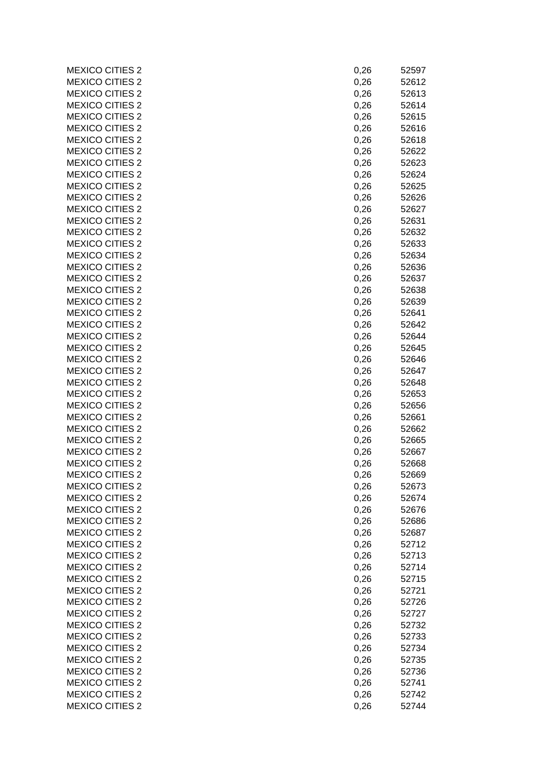| <b>MEXICO CITIES 2</b> | 0,26 | 52597 |
|------------------------|------|-------|
| <b>MEXICO CITIES 2</b> | 0,26 | 52612 |
| <b>MEXICO CITIES 2</b> | 0,26 | 52613 |
| <b>MEXICO CITIES 2</b> | 0,26 | 52614 |
| <b>MEXICO CITIES 2</b> | 0,26 | 52615 |
| <b>MEXICO CITIES 2</b> | 0,26 | 52616 |
| <b>MEXICO CITIES 2</b> | 0,26 | 52618 |
| <b>MEXICO CITIES 2</b> | 0,26 | 52622 |
| <b>MEXICO CITIES 2</b> | 0,26 | 52623 |
| <b>MEXICO CITIES 2</b> | 0,26 | 52624 |
| <b>MEXICO CITIES 2</b> | 0,26 | 52625 |
| <b>MEXICO CITIES 2</b> | 0,26 | 52626 |
| <b>MEXICO CITIES 2</b> | 0,26 | 52627 |
| <b>MEXICO CITIES 2</b> | 0,26 | 52631 |
| <b>MEXICO CITIES 2</b> | 0,26 | 52632 |
| <b>MEXICO CITIES 2</b> | 0,26 | 52633 |
| <b>MEXICO CITIES 2</b> | 0,26 | 52634 |
| <b>MEXICO CITIES 2</b> | 0,26 | 52636 |
| <b>MEXICO CITIES 2</b> | 0,26 | 52637 |
| <b>MEXICO CITIES 2</b> |      |       |
|                        | 0,26 | 52638 |
| <b>MEXICO CITIES 2</b> | 0,26 | 52639 |
| <b>MEXICO CITIES 2</b> | 0,26 | 52641 |
| <b>MEXICO CITIES 2</b> | 0,26 | 52642 |
| <b>MEXICO CITIES 2</b> | 0,26 | 52644 |
| <b>MEXICO CITIES 2</b> | 0,26 | 52645 |
| <b>MEXICO CITIES 2</b> | 0,26 | 52646 |
| <b>MEXICO CITIES 2</b> | 0,26 | 52647 |
| <b>MEXICO CITIES 2</b> | 0,26 | 52648 |
| <b>MEXICO CITIES 2</b> | 0,26 | 52653 |
| <b>MEXICO CITIES 2</b> | 0,26 | 52656 |
| <b>MEXICO CITIES 2</b> | 0,26 | 52661 |
| <b>MEXICO CITIES 2</b> | 0,26 | 52662 |
| <b>MEXICO CITIES 2</b> | 0,26 | 52665 |
| <b>MEXICO CITIES 2</b> | 0,26 | 52667 |
| <b>MEXICO CITIES 2</b> | 0,26 | 52668 |
| <b>MEXICO CITIES 2</b> | 0,26 | 52669 |
| <b>MEXICO CITIES 2</b> | 0,26 | 52673 |
| <b>MEXICO CITIES 2</b> | 0,26 | 52674 |
| <b>MEXICO CITIES 2</b> | 0,26 | 52676 |
| <b>MEXICO CITIES 2</b> | 0,26 | 52686 |
| <b>MEXICO CITIES 2</b> | 0,26 | 52687 |
| <b>MEXICO CITIES 2</b> | 0,26 | 52712 |
| <b>MEXICO CITIES 2</b> | 0,26 | 52713 |
| <b>MEXICO CITIES 2</b> | 0,26 | 52714 |
| <b>MEXICO CITIES 2</b> | 0,26 | 52715 |
| <b>MEXICO CITIES 2</b> | 0,26 | 52721 |
| <b>MEXICO CITIES 2</b> | 0,26 | 52726 |
| <b>MEXICO CITIES 2</b> | 0,26 | 52727 |
| <b>MEXICO CITIES 2</b> | 0,26 | 52732 |
| <b>MEXICO CITIES 2</b> | 0,26 | 52733 |
| <b>MEXICO CITIES 2</b> | 0,26 | 52734 |
| <b>MEXICO CITIES 2</b> | 0,26 | 52735 |
| <b>MEXICO CITIES 2</b> | 0,26 | 52736 |
| <b>MEXICO CITIES 2</b> | 0,26 | 52741 |
| <b>MEXICO CITIES 2</b> | 0,26 | 52742 |
| <b>MEXICO CITIES 2</b> | 0,26 | 52744 |
|                        |      |       |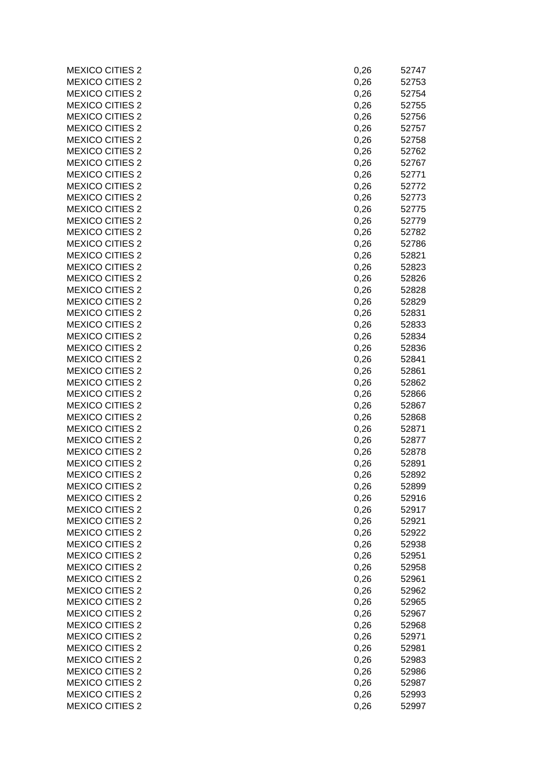| <b>MEXICO CITIES 2</b> | 0,26 | 52747 |
|------------------------|------|-------|
| <b>MEXICO CITIES 2</b> | 0,26 | 52753 |
| <b>MEXICO CITIES 2</b> | 0,26 | 52754 |
| <b>MEXICO CITIES 2</b> | 0,26 | 52755 |
| <b>MEXICO CITIES 2</b> | 0,26 | 52756 |
| <b>MEXICO CITIES 2</b> | 0,26 | 52757 |
| <b>MEXICO CITIES 2</b> | 0,26 | 52758 |
| <b>MEXICO CITIES 2</b> | 0,26 | 52762 |
| <b>MEXICO CITIES 2</b> | 0,26 | 52767 |
| <b>MEXICO CITIES 2</b> | 0,26 | 52771 |
| <b>MEXICO CITIES 2</b> | 0,26 | 52772 |
| <b>MEXICO CITIES 2</b> | 0,26 | 52773 |
| <b>MEXICO CITIES 2</b> | 0,26 | 52775 |
| <b>MEXICO CITIES 2</b> | 0,26 | 52779 |
| <b>MEXICO CITIES 2</b> | 0,26 | 52782 |
| <b>MEXICO CITIES 2</b> | 0,26 | 52786 |
| <b>MEXICO CITIES 2</b> | 0,26 | 52821 |
| <b>MEXICO CITIES 2</b> | 0,26 | 52823 |
| <b>MEXICO CITIES 2</b> | 0,26 | 52826 |
| <b>MEXICO CITIES 2</b> |      | 52828 |
| <b>MEXICO CITIES 2</b> | 0,26 |       |
|                        | 0,26 | 52829 |
| <b>MEXICO CITIES 2</b> | 0,26 | 52831 |
| <b>MEXICO CITIES 2</b> | 0,26 | 52833 |
| <b>MEXICO CITIES 2</b> | 0,26 | 52834 |
| <b>MEXICO CITIES 2</b> | 0,26 | 52836 |
| <b>MEXICO CITIES 2</b> | 0,26 | 52841 |
| <b>MEXICO CITIES 2</b> | 0,26 | 52861 |
| <b>MEXICO CITIES 2</b> | 0,26 | 52862 |
| <b>MEXICO CITIES 2</b> | 0,26 | 52866 |
| <b>MEXICO CITIES 2</b> | 0,26 | 52867 |
| <b>MEXICO CITIES 2</b> | 0,26 | 52868 |
| <b>MEXICO CITIES 2</b> | 0,26 | 52871 |
| <b>MEXICO CITIES 2</b> | 0,26 | 52877 |
| <b>MEXICO CITIES 2</b> | 0,26 | 52878 |
| <b>MEXICO CITIES 2</b> | 0,26 | 52891 |
| <b>MEXICO CITIES 2</b> | 0,26 | 52892 |
| <b>MEXICO CITIES 2</b> | 0,26 | 52899 |
| <b>MEXICO CITIES 2</b> | 0,26 | 52916 |
| <b>MEXICO CITIES 2</b> | 0,26 | 52917 |
| <b>MEXICO CITIES 2</b> | 0,26 | 52921 |
| <b>MEXICO CITIES 2</b> | 0,26 | 52922 |
| <b>MEXICO CITIES 2</b> | 0,26 | 52938 |
| <b>MEXICO CITIES 2</b> | 0,26 | 52951 |
| <b>MEXICO CITIES 2</b> | 0,26 | 52958 |
| <b>MEXICO CITIES 2</b> | 0,26 | 52961 |
| <b>MEXICO CITIES 2</b> | 0,26 | 52962 |
| <b>MEXICO CITIES 2</b> | 0,26 | 52965 |
| <b>MEXICO CITIES 2</b> | 0,26 | 52967 |
| <b>MEXICO CITIES 2</b> | 0,26 | 52968 |
| <b>MEXICO CITIES 2</b> | 0,26 | 52971 |
| <b>MEXICO CITIES 2</b> | 0,26 | 52981 |
| <b>MEXICO CITIES 2</b> | 0,26 | 52983 |
| <b>MEXICO CITIES 2</b> | 0,26 | 52986 |
| <b>MEXICO CITIES 2</b> | 0,26 | 52987 |
| <b>MEXICO CITIES 2</b> | 0,26 | 52993 |
| <b>MEXICO CITIES 2</b> | 0,26 | 52997 |
|                        |      |       |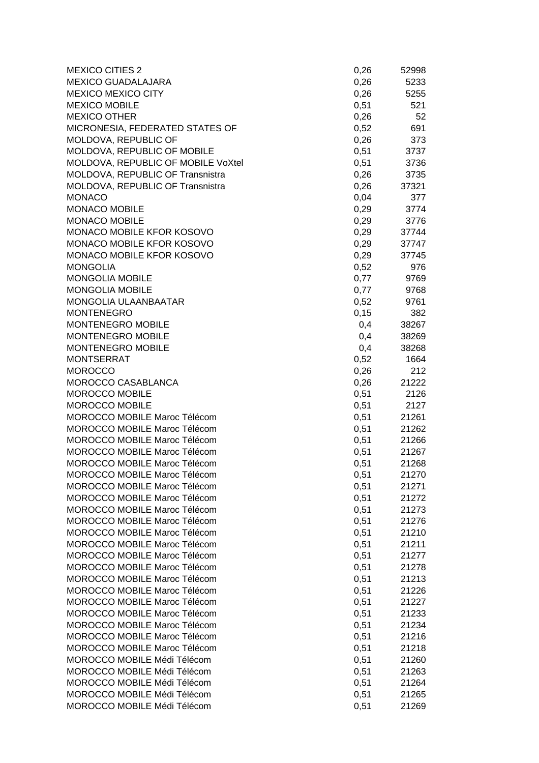| <b>MEXICO CITIES 2</b>              | 0,26 | 52998 |
|-------------------------------------|------|-------|
| <b>MEXICO GUADALAJARA</b>           | 0,26 | 5233  |
| <b>MEXICO MEXICO CITY</b>           | 0,26 | 5255  |
| <b>MEXICO MOBILE</b>                | 0,51 | 521   |
| <b>MEXICO OTHER</b>                 | 0,26 | 52    |
| MICRONESIA, FEDERATED STATES OF     | 0,52 | 691   |
| MOLDOVA, REPUBLIC OF                | 0,26 | 373   |
| MOLDOVA, REPUBLIC OF MOBILE         | 0,51 | 3737  |
| MOLDOVA, REPUBLIC OF MOBILE VoXtel  | 0,51 | 3736  |
| MOLDOVA, REPUBLIC OF Transnistra    | 0,26 | 3735  |
| MOLDOVA, REPUBLIC OF Transnistra    | 0,26 | 37321 |
| <b>MONACO</b>                       | 0,04 | 377   |
| <b>MONACO MOBILE</b>                | 0,29 | 3774  |
| <b>MONACO MOBILE</b>                | 0,29 | 3776  |
| MONACO MOBILE KFOR KOSOVO           | 0,29 | 37744 |
| MONACO MOBILE KFOR KOSOVO           | 0,29 | 37747 |
| MONACO MOBILE KFOR KOSOVO           | 0,29 | 37745 |
| <b>MONGOLIA</b>                     | 0,52 | 976   |
| <b>MONGOLIA MOBILE</b>              | 0,77 | 9769  |
| <b>MONGOLIA MOBILE</b>              | 0,77 | 9768  |
| <b>MONGOLIA ULAANBAATAR</b>         | 0,52 | 9761  |
| <b>MONTENEGRO</b>                   | 0,15 | 382   |
| <b>MONTENEGRO MOBILE</b>            | 0,4  | 38267 |
| <b>MONTENEGRO MOBILE</b>            | 0,4  | 38269 |
| MONTENEGRO MOBILE                   | 0,4  | 38268 |
| <b>MONTSERRAT</b>                   | 0,52 | 1664  |
| <b>MOROCCO</b>                      | 0,26 | 212   |
| MOROCCO CASABLANCA                  | 0,26 | 21222 |
| <b>MOROCCO MOBILE</b>               | 0,51 | 2126  |
| <b>MOROCCO MOBILE</b>               | 0,51 | 2127  |
| MOROCCO MOBILE Maroc Télécom        | 0,51 | 21261 |
| <b>MOROCCO MOBILE Maroc Télécom</b> | 0,51 | 21262 |
| <b>MOROCCO MOBILE Maroc Télécom</b> | 0,51 | 21266 |
| MOROCCO MOBILE Maroc Télécom        | 0,51 | 21267 |
| MOROCCO MOBILE Maroc Télécom        | 0,51 | 21268 |
| MOROCCO MOBILE Maroc Télécom        | 0,51 | 21270 |
| MOROCCO MOBILE Maroc Télécom        | 0,51 | 21271 |
| MOROCCO MOBILE Maroc Télécom        | 0,51 | 21272 |
| MOROCCO MOBILE Maroc Télécom        | 0,51 | 21273 |
| MOROCCO MOBILE Maroc Télécom        | 0,51 | 21276 |
| MOROCCO MOBILE Maroc Télécom        | 0,51 | 21210 |
| MOROCCO MOBILE Maroc Télécom        | 0,51 | 21211 |
| MOROCCO MOBILE Maroc Télécom        | 0,51 | 21277 |
| MOROCCO MOBILE Maroc Télécom        | 0,51 | 21278 |
| MOROCCO MOBILE Maroc Télécom        | 0,51 | 21213 |
| MOROCCO MOBILE Maroc Télécom        | 0,51 | 21226 |
| MOROCCO MOBILE Maroc Télécom        | 0,51 | 21227 |
| MOROCCO MOBILE Maroc Télécom        | 0,51 | 21233 |
| MOROCCO MOBILE Maroc Télécom        | 0,51 | 21234 |
| MOROCCO MOBILE Maroc Télécom        | 0,51 | 21216 |
| <b>MOROCCO MOBILE Maroc Télécom</b> | 0,51 | 21218 |
| MOROCCO MOBILE Médi Télécom         | 0,51 | 21260 |
| MOROCCO MOBILE Médi Télécom         | 0,51 | 21263 |
| MOROCCO MOBILE Médi Télécom         | 0,51 | 21264 |
| MOROCCO MOBILE Médi Télécom         | 0,51 | 21265 |
| MOROCCO MOBILE Médi Télécom         | 0,51 | 21269 |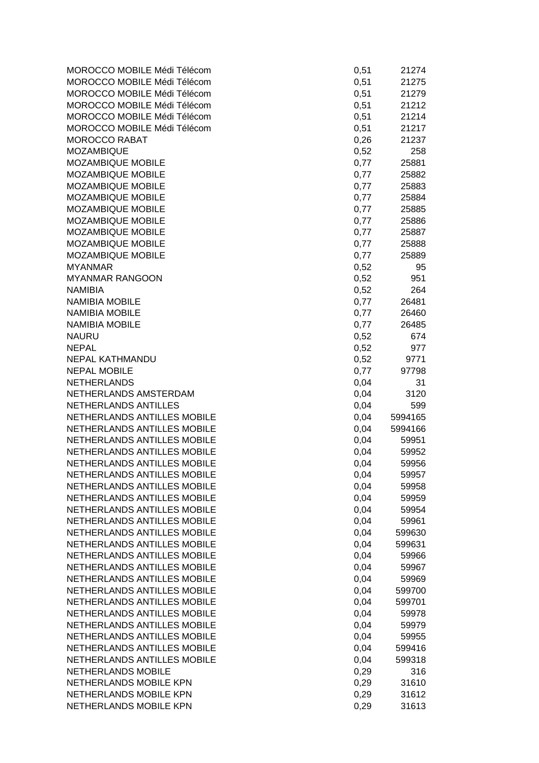| MOROCCO MOBILE Médi Télécom | 0,51 | 21274   |
|-----------------------------|------|---------|
| MOROCCO MOBILE Médi Télécom | 0,51 | 21275   |
| MOROCCO MOBILE Médi Télécom | 0,51 | 21279   |
| MOROCCO MOBILE Médi Télécom | 0,51 | 21212   |
| MOROCCO MOBILE Médi Télécom | 0,51 | 21214   |
| MOROCCO MOBILE Médi Télécom | 0,51 | 21217   |
| <b>MOROCCO RABAT</b>        | 0,26 | 21237   |
| <b>MOZAMBIQUE</b>           | 0,52 | 258     |
| MOZAMBIQUE MOBILE           | 0,77 | 25881   |
| MOZAMBIQUE MOBILE           | 0,77 | 25882   |
| <b>MOZAMBIQUE MOBILE</b>    | 0,77 | 25883   |
| MOZAMBIQUE MOBILE           | 0,77 | 25884   |
| MOZAMBIQUE MOBILE           | 0,77 | 25885   |
| MOZAMBIQUE MOBILE           | 0,77 | 25886   |
| MOZAMBIQUE MOBILE           | 0,77 | 25887   |
| MOZAMBIQUE MOBILE           | 0,77 | 25888   |
| MOZAMBIQUE MOBILE           | 0,77 | 25889   |
| <b>MYANMAR</b>              | 0,52 | 95      |
| <b>MYANMAR RANGOON</b>      | 0,52 | 951     |
| <b>NAMIBIA</b>              | 0,52 | 264     |
| <b>NAMIBIA MOBILE</b>       | 0,77 | 26481   |
| <b>NAMIBIA MOBILE</b>       | 0,77 | 26460   |
| <b>NAMIBIA MOBILE</b>       | 0,77 | 26485   |
| <b>NAURU</b>                | 0,52 | 674     |
| <b>NEPAL</b>                | 0,52 | 977     |
| <b>NEPAL KATHMANDU</b>      | 0,52 | 9771    |
| <b>NEPAL MOBILE</b>         | 0,77 | 97798   |
| <b>NETHERLANDS</b>          | 0,04 | 31      |
| NETHERLANDS AMSTERDAM       | 0,04 | 3120    |
| NETHERLANDS ANTILLES        | 0,04 | 599     |
| NETHERLANDS ANTILLES MOBILE | 0,04 | 5994165 |
| NETHERLANDS ANTILLES MOBILE | 0,04 | 5994166 |
| NETHERLANDS ANTILLES MOBILE | 0,04 | 59951   |
| NETHERLANDS ANTILLES MOBILE | 0,04 | 59952   |
| NETHERLANDS ANTILLES MOBILE | 0,04 | 59956   |
| NETHERLANDS ANTILLES MOBILE | 0,04 | 59957   |
| NETHERLANDS ANTILLES MOBILE | 0,04 | 59958   |
| NETHERLANDS ANTILLES MOBILE | 0,04 | 59959   |
| NETHERLANDS ANTILLES MOBILE | 0,04 | 59954   |
| NETHERLANDS ANTILLES MOBILE | 0,04 | 59961   |
| NETHERLANDS ANTILLES MOBILE | 0,04 | 599630  |
| NETHERLANDS ANTILLES MOBILE | 0,04 | 599631  |
| NETHERLANDS ANTILLES MOBILE | 0,04 | 59966   |
| NETHERLANDS ANTILLES MOBILE | 0,04 | 59967   |
| NETHERLANDS ANTILLES MOBILE | 0,04 | 59969   |
| NETHERLANDS ANTILLES MOBILE | 0,04 | 599700  |
| NETHERLANDS ANTILLES MOBILE | 0,04 | 599701  |
| NETHERLANDS ANTILLES MOBILE | 0,04 | 59978   |
| NETHERLANDS ANTILLES MOBILE | 0,04 | 59979   |
| NETHERLANDS ANTILLES MOBILE | 0,04 | 59955   |
| NETHERLANDS ANTILLES MOBILE | 0,04 | 599416  |
| NETHERLANDS ANTILLES MOBILE | 0,04 | 599318  |
| <b>NETHERLANDS MOBILE</b>   | 0,29 | 316     |
| NETHERLANDS MOBILE KPN      | 0,29 | 31610   |
| NETHERLANDS MOBILE KPN      | 0,29 | 31612   |
| NETHERLANDS MOBILE KPN      | 0,29 | 31613   |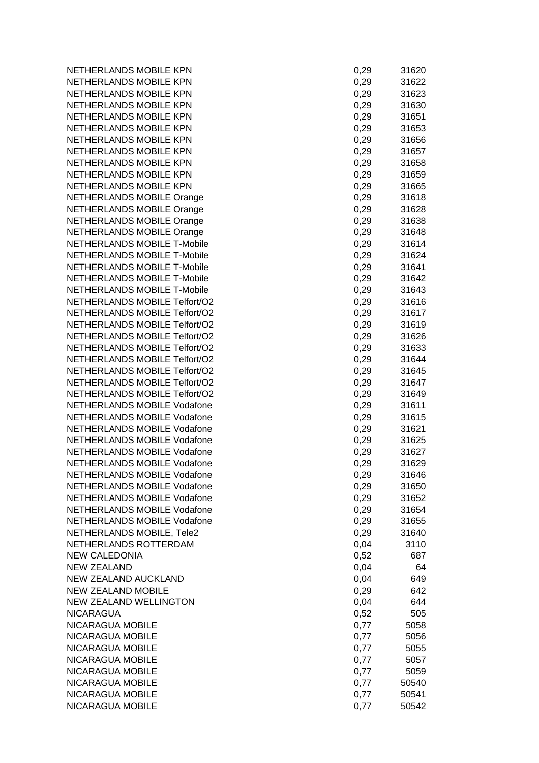NETHERLANDS MOBILE KPN NETHERLANDS MOBILE KPN NETHERLANDS MOBILE KPN **NETHERLANDS MOBILE KPN** NETHERLANDS MOBILE KPN NETHERLANDS MOBILE KPN NETHERLANDS MOBILE KPN NETHERLANDS MOBILE KPN NETHERLANDS MOBILE KPN **NETHERLANDS MOBILE KPN** NETHERLANDS MOBILE KPN NETHERLANDS MOBILE Orange NETHERLANDS MOBILE Orange NETHERLANDS MOBILE Orange NETHERLANDS MOBILE Orange **NETHERLANDS MOBILE T-Mobile NETHERLANDS MOBILE T-Mobile NETHERLANDS MOBILE T-Mobile** NETHERLANDS MOBILE T-Mobile **NETHERLANDS MOBILE T-Mobile** NETHERLANDS MOBILE Telfort/O2 **NETHERLANDS MOBILE Telfort/O2** NETHERLANDS MOBILE Telfort/O2 **NETHERLANDS MOBILE Telfort/O2** NETHERLANDS MOBILE Telfort/O2 NETHERLANDS MOBILE Telfort/O2 NETHERLANDS MOBILE Telfort/O2 NETHERLANDS MOBILE Telfort/O2 NETHERLANDS MOBILE Telfort/O2 **NETHERLANDS MOBILE Vodafone** NETHERLANDS MOBILE Vodafone NETHERLANDS MOBILE Vodafone **NETHERLANDS MOBILE Vodafone NETHERLANDS MOBILE Vodafone** NETHERLANDS MOBILE Vodafone NETHERLANDS MOBILE Vodafone NETHERLANDS MOBILE Vodafone NETHERLANDS MOBILE Vodafone NETHERLANDS MOBILE Vodafone **NETHERLANDS MOBILE Vodafone** NETHERLANDS MOBILE, Tele2 NETHERLANDS ROTTERDAM NEW CALEDONIA NEW ZEALAND NEW ZEALAND AUCKLAND **NEW ZEALAND MOBILE** NEW ZEALAND WELLINGTON **NICARAGUA** NICARAGUA MOBILE NICARAGUA MOBILE NICARAGUA MOBILE NICARAGUA MOBILE NICARAGUA MOBILE NICARAGUA MOBILE NICARAGUA MOBILE NICARAGUA MOBILE

| 0,29 | 31620 |
|------|-------|
|      |       |
| 0,29 | 31622 |
| 0,29 | 31623 |
| 0,29 | 31630 |
|      |       |
| 0,29 | 31651 |
| 0,29 | 31653 |
| 0,29 | 31656 |
|      |       |
| 0,29 | 31657 |
| 0,29 | 31658 |
| 0,29 | 31659 |
|      |       |
| 0,29 | 31665 |
| 0,29 | 31618 |
| 0,29 | 31628 |
|      |       |
| 0,29 | 31638 |
| 0,29 | 31648 |
| 0,29 | 31614 |
|      |       |
| 0,29 | 31624 |
| 0,29 | 31641 |
| 0,29 | 31642 |
|      | 31643 |
| 0,29 |       |
| 0,29 | 31616 |
| 0,29 | 31617 |
|      | 31619 |
| 0,29 |       |
| 0,29 | 31626 |
| 0,29 | 31633 |
| 0,29 | 31644 |
|      |       |
| 0,29 | 31645 |
| 0,29 | 31647 |
| 0,29 | 31649 |
|      |       |
| 0,29 | 31611 |
| 0,29 | 31615 |
| 0,29 | 31621 |
|      |       |
| 0,29 | 31625 |
| 0,29 | 31627 |
| 0,29 | 31629 |
|      |       |
| 0,29 | 31646 |
| 0,29 | 31650 |
| 0,29 | 31652 |
| 0,29 | 31654 |
|      |       |
| 0,29 | 31655 |
| 0,29 | 31640 |
| 0,04 | 3110  |
|      |       |
| 0,52 | 687   |
| 0,04 | 64    |
| 0,04 | 649   |
|      |       |
| 0,29 | 642   |
| 0,04 | 644   |
| 0,52 | 505   |
|      |       |
| 0,77 | 5058  |
| 0,77 | 5056  |
| 0,77 | 5055  |
|      |       |
| 0,77 | 5057  |
| 0,77 | 5059  |
| 0,77 | 50540 |
| 0,77 | 50541 |
|      |       |
| 0,77 | 50542 |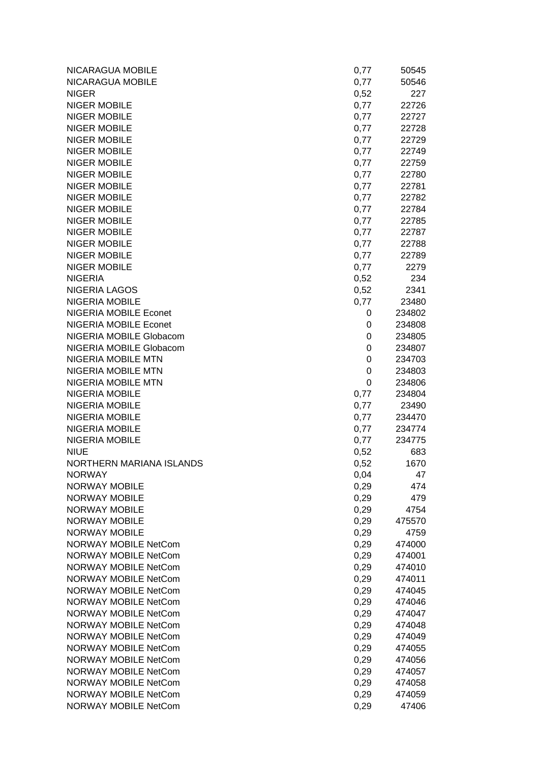| NICARAGUA MOBILE             | 0,77         | 50545  |
|------------------------------|--------------|--------|
| NICARAGUA MOBILE             | 0,77         | 50546  |
| <b>NIGER</b>                 | 0,52         | 227    |
| <b>NIGER MOBILE</b>          | 0,77         | 22726  |
| <b>NIGER MOBILE</b>          | 0,77         | 22727  |
| <b>NIGER MOBILE</b>          | 0,77         | 22728  |
| <b>NIGER MOBILE</b>          | 0,77         | 22729  |
| <b>NIGER MOBILE</b>          | 0,77         | 22749  |
| <b>NIGER MOBILE</b>          | 0,77         | 22759  |
| <b>NIGER MOBILE</b>          | 0,77         | 22780  |
| <b>NIGER MOBILE</b>          | 0,77         | 22781  |
| <b>NIGER MOBILE</b>          | 0,77         | 22782  |
| <b>NIGER MOBILE</b>          | 0,77         | 22784  |
| <b>NIGER MOBILE</b>          | 0,77         | 22785  |
| <b>NIGER MOBILE</b>          | 0,77         | 22787  |
| <b>NIGER MOBILE</b>          | 0,77         | 22788  |
| <b>NIGER MOBILE</b>          | 0,77         | 22789  |
| <b>NIGER MOBILE</b>          | 0,77         | 2279   |
| <b>NIGERIA</b>               | 0,52         | 234    |
| <b>NIGERIA LAGOS</b>         | 0,52         | 2341   |
| NIGERIA MOBILE               | 0,77         | 23480  |
| <b>NIGERIA MOBILE Econet</b> | 0            | 234802 |
| <b>NIGERIA MOBILE Econet</b> | 0            | 234808 |
| NIGERIA MOBILE Globacom      | 0            | 234805 |
| NIGERIA MOBILE Globacom      | 0            | 234807 |
| NIGERIA MOBILE MTN           | 0            | 234703 |
| <b>NIGERIA MOBILE MTN</b>    | 0            | 234803 |
| <b>NIGERIA MOBILE MTN</b>    | 0            | 234806 |
| NIGERIA MOBILE               | 0,77         | 234804 |
| <b>NIGERIA MOBILE</b>        | 0,77         | 23490  |
| NIGERIA MOBILE               | 0,77         | 234470 |
| NIGERIA MOBILE               | 0,77         | 234774 |
| <b>NIGERIA MOBILE</b>        | 0,77         | 234775 |
| <b>NIUE</b>                  | 0,52         | 683    |
| NORTHERN MARIANA ISLANDS     | 0,52         | 1670   |
| <b>NORWAY</b>                | 0,04         | 47     |
| <b>NORWAY MOBILE</b>         | 0,29         | 474    |
| NORWAY MOBILE                | 0,29         | 479    |
| <b>NORWAY MOBILE</b>         | 0,29         | 4754   |
| NORWAY MOBILE                | 0,29         | 475570 |
| <b>NORWAY MOBILE</b>         | 0,29         | 4759   |
| <b>NORWAY MOBILE NetCom</b>  | 0,29         | 474000 |
| <b>NORWAY MOBILE NetCom</b>  | 0,29         | 474001 |
| <b>NORWAY MOBILE NetCom</b>  | 0,29         | 474010 |
| <b>NORWAY MOBILE NetCom</b>  | 0,29         | 474011 |
| <b>NORWAY MOBILE NetCom</b>  | 0,29         | 474045 |
| <b>NORWAY MOBILE NetCom</b>  | 0,29         | 474046 |
| <b>NORWAY MOBILE NetCom</b>  | 0,29         | 474047 |
| <b>NORWAY MOBILE NetCom</b>  | 0,29         | 474048 |
| <b>NORWAY MOBILE NetCom</b>  | 0,29         | 474049 |
| <b>NORWAY MOBILE NetCom</b>  |              | 474055 |
| <b>NORWAY MOBILE NetCom</b>  | 0,29<br>0,29 | 474056 |
| <b>NORWAY MOBILE NetCom</b>  |              | 474057 |
| <b>NORWAY MOBILE NetCom</b>  | 0,29<br>0,29 | 474058 |
| <b>NORWAY MOBILE NetCom</b>  | 0,29         | 474059 |
| <b>NORWAY MOBILE NetCom</b>  | 0,29         | 47406  |
|                              |              |        |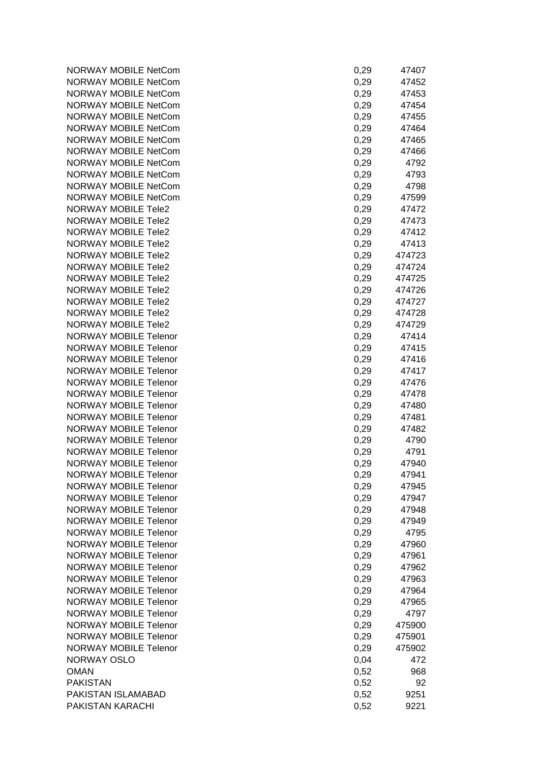| <b>NORWAY MOBILE NetCom</b>  | 0,29 | 47407  |
|------------------------------|------|--------|
| <b>NORWAY MOBILE NetCom</b>  | 0,29 | 47452  |
| <b>NORWAY MOBILE NetCom</b>  | 0,29 | 47453  |
| <b>NORWAY MOBILE NetCom</b>  | 0,29 | 47454  |
| <b>NORWAY MOBILE NetCom</b>  | 0,29 | 47455  |
| <b>NORWAY MOBILE NetCom</b>  | 0,29 | 47464  |
| <b>NORWAY MOBILE NetCom</b>  | 0,29 | 47465  |
| <b>NORWAY MOBILE NetCom</b>  | 0,29 | 47466  |
| <b>NORWAY MOBILE NetCom</b>  | 0,29 | 4792   |
| <b>NORWAY MOBILE NetCom</b>  | 0,29 | 4793   |
| <b>NORWAY MOBILE NetCom</b>  | 0,29 | 4798   |
| <b>NORWAY MOBILE NetCom</b>  | 0,29 | 47599  |
| <b>NORWAY MOBILE Tele2</b>   | 0,29 | 47472  |
| NORWAY MOBILE Tele2          | 0,29 | 47473  |
| <b>NORWAY MOBILE Tele2</b>   | 0,29 | 47412  |
| <b>NORWAY MOBILE Tele2</b>   | 0,29 | 47413  |
| <b>NORWAY MOBILE Tele2</b>   | 0,29 | 474723 |
| <b>NORWAY MOBILE Tele2</b>   | 0,29 | 474724 |
| <b>NORWAY MOBILE Tele2</b>   | 0,29 | 474725 |
| <b>NORWAY MOBILE Tele2</b>   | 0,29 | 474726 |
| <b>NORWAY MOBILE Tele2</b>   | 0,29 | 474727 |
| <b>NORWAY MOBILE Tele2</b>   | 0,29 | 474728 |
| <b>NORWAY MOBILE Tele2</b>   | 0,29 | 474729 |
| <b>NORWAY MOBILE Telenor</b> | 0,29 | 47414  |
| <b>NORWAY MOBILE Telenor</b> | 0,29 | 47415  |
| <b>NORWAY MOBILE Telenor</b> | 0,29 | 47416  |
| <b>NORWAY MOBILE Telenor</b> | 0,29 | 47417  |
| <b>NORWAY MOBILE Telenor</b> | 0,29 | 47476  |
| <b>NORWAY MOBILE Telenor</b> | 0,29 | 47478  |
| <b>NORWAY MOBILE Telenor</b> | 0,29 | 47480  |
| <b>NORWAY MOBILE Telenor</b> | 0,29 | 47481  |
| <b>NORWAY MOBILE Telenor</b> | 0,29 | 47482  |
| <b>NORWAY MOBILE Telenor</b> | 0,29 | 4790   |
| <b>NORWAY MOBILE Telenor</b> | 0,29 | 4791   |
| <b>NORWAY MOBILE Telenor</b> | 0,29 | 47940  |
| <b>NORWAY MOBILE Telenor</b> | 0,29 | 47941  |
| <b>NORWAY MOBILE Telenor</b> | 0,29 | 47945  |
| <b>NORWAY MOBILE Telenor</b> | 0,29 | 47947  |
| <b>NORWAY MOBILE Telenor</b> | 0,29 | 47948  |
| <b>NORWAY MOBILE Telenor</b> | 0,29 | 47949  |
| <b>NORWAY MOBILE Telenor</b> | 0,29 | 4795   |
| <b>NORWAY MOBILE Telenor</b> | 0,29 | 47960  |
| <b>NORWAY MOBILE Telenor</b> | 0,29 | 47961  |
| <b>NORWAY MOBILE Telenor</b> | 0,29 | 47962  |
| <b>NORWAY MOBILE Telenor</b> | 0,29 | 47963  |
| <b>NORWAY MOBILE Telenor</b> | 0,29 | 47964  |
| <b>NORWAY MOBILE Telenor</b> | 0,29 | 47965  |
| <b>NORWAY MOBILE Telenor</b> | 0,29 | 4797   |
| <b>NORWAY MOBILE Telenor</b> | 0,29 | 475900 |
| <b>NORWAY MOBILE Telenor</b> | 0,29 | 475901 |
| <b>NORWAY MOBILE Telenor</b> | 0,29 | 475902 |
| NORWAY OSLO                  | 0,04 | 472    |
| <b>OMAN</b>                  | 0,52 | 968    |
| <b>PAKISTAN</b>              | 0,52 | 92     |
| PAKISTAN ISLAMABAD           | 0,52 | 9251   |
| PAKISTAN KARACHI             | 0,52 | 9221   |

| 0,29 | 47407  |
|------|--------|
| 0,29 | 47452  |
|      |        |
| 0,29 | 47453  |
| 0,29 | 47454  |
| 0,29 | 47455  |
|      |        |
| 0,29 | 47464  |
|      | 47465  |
| 0,29 |        |
| 0,29 | 47466  |
| 0,29 | 4792   |
|      |        |
| 0,29 | 4793   |
| 0,29 | 4798   |
| 0,29 | 47599  |
|      |        |
| 0,29 | 47472  |
| 0,29 | 47473  |
|      |        |
| 0,29 | 47412  |
| 0,29 | 47413  |
|      | 474723 |
| 0,29 |        |
| 0,29 | 474724 |
| 0,29 | 474725 |
|      |        |
| 0,29 | 474726 |
| 0,29 | 474727 |
|      |        |
| 0,29 | 474728 |
| 0,29 | 474729 |
| 0,29 | 47414  |
|      |        |
| 0,29 | 47415  |
| 0,29 | 47416  |
|      | 47417  |
| 0,29 |        |
| 0,29 | 47476  |
| 0,29 | 47478  |
| 0,29 | 47480  |
|      |        |
| 0,29 | 47481  |
| 0,29 | 47482  |
| 0,29 | 4790   |
|      |        |
| 0,29 | 4791   |
| 0,29 | 47940  |
| 0,29 | 47941  |
|      |        |
| 0,29 | 47945  |
| 0,29 | 47947  |
| 0,29 | 47948  |
|      |        |
| 0,29 | 47949  |
| 0,29 | 4795   |
| 0,29 | 47960  |
|      |        |
| 0,29 | 47961  |
| 0,29 | 47962  |
| 0,29 | 47963  |
|      |        |
| 0,29 | 47964  |
| 0,29 | 47965  |
| 0,29 | 4797   |
|      |        |
| 0,29 | 475900 |
| 0,29 | 475901 |
| 0,29 | 475902 |
|      |        |
| 0,04 | 472    |
| 0,52 | 968    |
| 0,52 | 92     |
|      |        |
| 0,52 | 9251   |
| 0,52 | 9221   |
|      |        |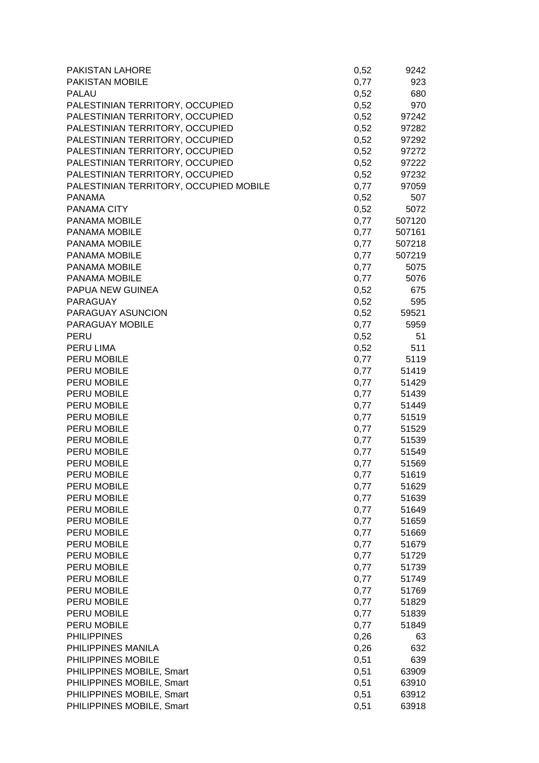| PAKISTAN LAHORE                        | 0,52 | 9242       |
|----------------------------------------|------|------------|
| PAKISTAN MOBILE                        | 0,77 | 923        |
| <b>PALAU</b>                           | 0,52 | 680        |
| PALESTINIAN TERRITORY, OCCUPIED        | 0,52 | 970        |
| PALESTINIAN TERRITORY, OCCUPIED        | 0,52 | 97242      |
| PALESTINIAN TERRITORY, OCCUPIED        | 0,52 | 97282      |
| PALESTINIAN TERRITORY, OCCUPIED        | 0,52 | 97292      |
| PALESTINIAN TERRITORY, OCCUPIED        | 0,52 | 97272      |
| PALESTINIAN TERRITORY, OCCUPIED        | 0,52 | 97222      |
| PALESTINIAN TERRITORY, OCCUPIED        | 0,52 | 97232      |
| PALESTINIAN TERRITORY, OCCUPIED MOBILE | 0,77 | 97059      |
| <b>PANAMA</b>                          | 0,52 | 507        |
| PANAMA CITY                            | 0,52 | 5072       |
| PANAMA MOBILE                          | 0,77 | 507120     |
| PANAMA MOBILE                          | 0,77 | 507161     |
| PANAMA MOBILE                          | 0,77 | 507218     |
| PANAMA MOBILE                          | 0,77 | 507219     |
| PANAMA MOBILE                          | 0,77 | 5075       |
| PANAMA MOBILE                          | 0,77 | 5076       |
| PAPUA NEW GUINEA                       | 0,52 | 675        |
| <b>PARAGUAY</b>                        | 0,52 | 595        |
| PARAGUAY ASUNCION                      |      | 0,52 59521 |
| PARAGUAY MOBILE                        | 0,77 | 5959       |
| <b>PERU</b>                            | 0,52 | 51         |
| PERU LIMA                              | 0,52 | 511        |
| PERU MOBILE                            | 0,77 | 5119       |
| PERU MOBILE                            |      | 0,77 51419 |
| PERU MOBILE                            | 0,77 | 51429      |
| PERU MOBILE                            | 0,77 | 51439      |
| PERU MOBILE                            | 0,77 | 51449      |
| PERU MOBILE                            | 0,77 | 51519      |
| PERU MOBILE                            | 0,77 | 51529      |
| PERU MOBILE                            | 0,77 | 51539      |
| PERU MOBILE                            | 0,77 | 51549      |
| PERU MOBILE                            | 0,77 | 51569      |
| <b>PERU MOBILE</b>                     | 0,77 | 51619      |
| PERU MOBILE                            | 0,77 | 51629      |
| PERU MOBILE                            | 0,77 | 51639      |
| PERU MOBILE                            | 0,77 | 51649      |
| PERU MOBILE                            | 0,77 | 51659      |
| PERU MOBILE                            | 0,77 | 51669      |
| PERU MOBILE                            | 0,77 | 51679      |
| PERU MOBILE                            | 0,77 | 51729      |
| PERU MOBILE                            | 0,77 | 51739      |
| PERU MOBILE                            | 0,77 | 51749      |
| PERU MOBILE                            | 0,77 | 51769      |
| PERU MOBILE                            |      |            |
| PERU MOBILE                            | 0,77 | 51829      |
|                                        | 0,77 | 51839      |
| PERU MOBILE                            | 0,77 | 51849      |
| <b>PHILIPPINES</b>                     | 0,26 | 63         |
| PHILIPPINES MANILA                     | 0,26 | 632        |
| PHILIPPINES MOBILE                     | 0,51 | 639        |
| PHILIPPINES MOBILE, Smart              | 0,51 | 63909      |
| PHILIPPINES MOBILE, Smart              | 0,51 | 63910      |
| PHILIPPINES MOBILE, Smart              | 0,51 | 63912      |
| PHILIPPINES MOBILE, Smart              | 0,51 | 63918      |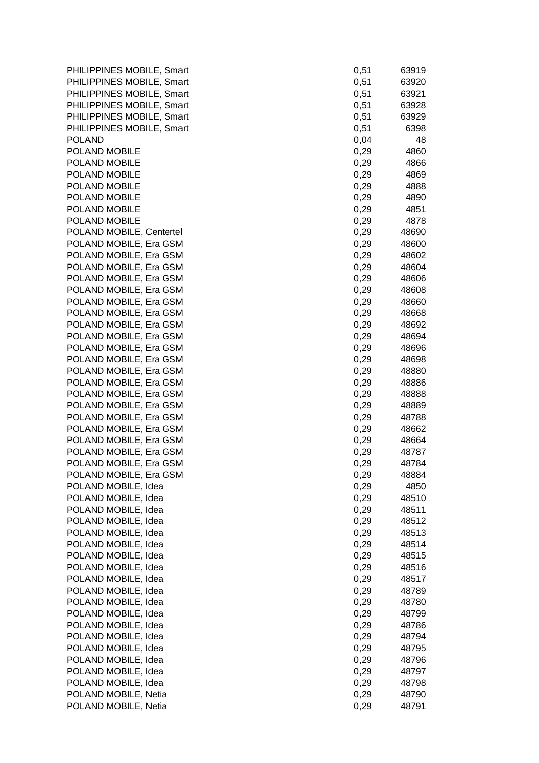| PHILIPPINES MOBILE, Smart | 0,51 | 63919 |
|---------------------------|------|-------|
| PHILIPPINES MOBILE, Smart | 0,51 | 63920 |
| PHILIPPINES MOBILE, Smart | 0,51 | 63921 |
| PHILIPPINES MOBILE, Smart | 0,51 | 63928 |
| PHILIPPINES MOBILE, Smart | 0,51 | 63929 |
| PHILIPPINES MOBILE, Smart | 0,51 | 6398  |
| <b>POLAND</b>             | 0,04 | 48    |
| POLAND MOBILE             | 0,29 | 4860  |
| POLAND MOBILE             | 0,29 | 4866  |
| POLAND MOBILE             | 0,29 | 4869  |
| POLAND MOBILE             | 0,29 | 4888  |
| POLAND MOBILE             | 0,29 | 4890  |
| POLAND MOBILE             | 0,29 | 4851  |
| POLAND MOBILE             | 0,29 | 4878  |
| POLAND MOBILE, Centertel  | 0,29 | 48690 |
| POLAND MOBILE, Era GSM    | 0,29 | 48600 |
| POLAND MOBILE, Era GSM    | 0,29 | 48602 |
| POLAND MOBILE, Era GSM    | 0,29 | 48604 |
| POLAND MOBILE, Era GSM    |      |       |
|                           | 0,29 | 48606 |
| POLAND MOBILE, Era GSM    | 0,29 | 48608 |
| POLAND MOBILE, Era GSM    | 0,29 | 48660 |
| POLAND MOBILE, Era GSM    | 0,29 | 48668 |
| POLAND MOBILE, Era GSM    | 0,29 | 48692 |
| POLAND MOBILE, Era GSM    | 0,29 | 48694 |
| POLAND MOBILE, Era GSM    | 0,29 | 48696 |
| POLAND MOBILE, Era GSM    | 0,29 | 48698 |
| POLAND MOBILE, Era GSM    | 0,29 | 48880 |
| POLAND MOBILE, Era GSM    | 0,29 | 48886 |
| POLAND MOBILE, Era GSM    | 0,29 | 48888 |
| POLAND MOBILE, Era GSM    | 0,29 | 48889 |
| POLAND MOBILE, Era GSM    | 0,29 | 48788 |
| POLAND MOBILE, Era GSM    | 0,29 | 48662 |
| POLAND MOBILE, Era GSM    | 0,29 | 48664 |
| POLAND MOBILE, Era GSM    | 0,29 | 48787 |
| POLAND MOBILE, Era GSM    | 0,29 | 48784 |
| POLAND MOBILE, Era GSM    | 0,29 | 48884 |
| POLAND MOBILE, Idea       | 0,29 | 4850  |
| POLAND MOBILE, Idea       | 0,29 | 48510 |
| POLAND MOBILE, Idea       | 0,29 | 48511 |
| POLAND MOBILE, Idea       | 0,29 | 48512 |
| POLAND MOBILE, Idea       | 0,29 | 48513 |
| POLAND MOBILE, Idea       | 0,29 | 48514 |
| POLAND MOBILE, Idea       | 0,29 | 48515 |
| POLAND MOBILE, Idea       | 0,29 | 48516 |
| POLAND MOBILE, Idea       | 0,29 | 48517 |
| POLAND MOBILE, Idea       | 0,29 | 48789 |
| POLAND MOBILE, Idea       | 0,29 | 48780 |
| POLAND MOBILE, Idea       | 0,29 | 48799 |
| POLAND MOBILE, Idea       | 0,29 | 48786 |
| POLAND MOBILE, Idea       | 0,29 | 48794 |
| POLAND MOBILE, Idea       | 0,29 | 48795 |
| POLAND MOBILE, Idea       | 0,29 | 48796 |
| POLAND MOBILE, Idea       | 0,29 | 48797 |
| POLAND MOBILE, Idea       | 0,29 | 48798 |
| POLAND MOBILE, Netia      | 0,29 | 48790 |
| POLAND MOBILE, Netia      | 0,29 | 48791 |
|                           |      |       |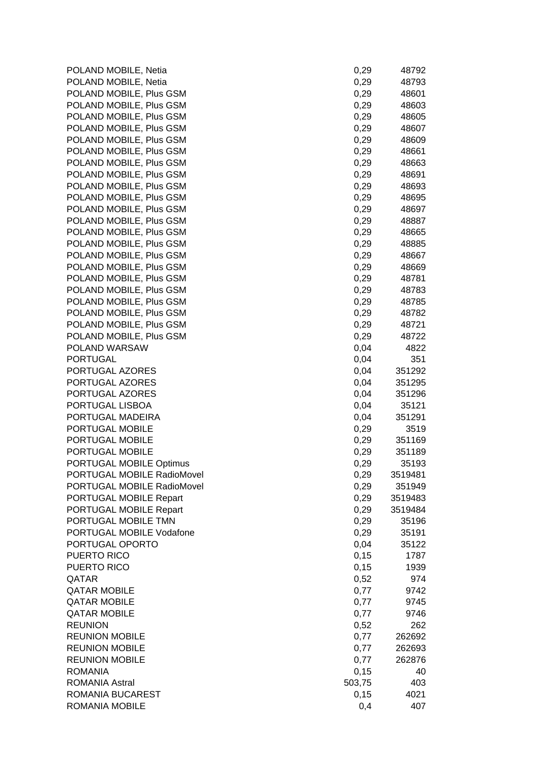POLAND MOBILE, Netia POLAND MOBILE, Netia POLAND MOBILE, Plus GSM POLAND MOBILE, Plus GSM POLAND MOBILE, Plus GSM POLAND MOBILE, Plus GSM POLAND MOBILE, Plus GSM POLAND MOBILE, Plus GSM POLAND MOBILE, Plus GSM POLAND MOBILE, Plus GSM POLAND MOBILE, Plus GSM POLAND MOBILE, Plus GSM POLAND MOBILE, Plus GSM POLAND MOBILE, Plus GSM POLAND MOBILE, Plus GSM POLAND MOBILE, Plus GSM POLAND MOBILE, Plus GSM POLAND MOBILE, Plus GSM POLAND MOBILE, Plus GSM POLAND MOBILE, Plus GSM POLAND MOBILE, Plus GSM POLAND MOBILE, Plus GSM POLAND MOBILE, Plus GSM POLAND MOBILE, Plus GSM POLAND WARSAW PORTUGAL PORTUGAL AZORES PORTUGAL AZORES PORTUGAL AZORES PORTUGAL LISBOA PORTUGAL MADEIRA PORTUGAL MOBILE PORTUGAL MOBILE PORTUGAL MOBILE PORTUGAL MOBILE Optimus PORTUGAL MOBILE RadioMovel PORTUGAL MOBILE RadioMovel PORTUGAL MOBILE Repart PORTUGAL MOBILE Repart PORTUGAL MOBILE TMN PORTUGAL MOBILE Vodafone PORTUGAL OPORTO PUERTO RICO PUERTO RICO  $\sqrt{QATAR}$  and  $\sqrt{QATAR}$  and  $\sqrt{QATAR}$  and  $\sqrt{QATAR}$  and  $\sqrt{QATAR}$  and  $\sqrt{QATAR}$  and  $\sqrt{QATAR}$  and  $\sqrt{QATAR}$  and  $\sqrt{QATAR}$  and  $\sqrt{QATAR}$  and  $\sqrt{QATAR}$  and  $\sqrt{QATAR}$  and  $\sqrt{QATAR}$  and  $\sqrt{QATAR}$  and  $\sqrt{QATAR}$  and  $\sqrt{QATAR}$  a QATAR MOBILE **QATAR MOBILE** QATAR MOBILE REUNION 0,52 262 **REUNION MOBILE REUNION MOBILE REUNION MOBILE** ROMANIA 0,15 40 ROMANIA Astral 503,75 403 ROMANIA BUCAREST ROMANIA MOBILE

| 0,29  | 48792   |
|-------|---------|
| 0,29  | 48793   |
| 0,29  | 48601   |
| 0,29  | 48603   |
|       |         |
| 0,29  | 48605   |
| 0,29  | 48607   |
| 0,29  | 48609   |
| 0,29  | 48661   |
| 0,29  | 48663   |
| 0,29  | 48691   |
|       |         |
| 0,29  | 48693   |
| 0,29  | 48695   |
| 0,29  | 48697   |
| 0,29  | 48887   |
| 0,29  | 48665   |
| 0,29  | 48885   |
|       | 48667   |
| 0,29  |         |
| 0,29  | 48669   |
| 0,29  | 48781   |
| 0,29  | 48783   |
| 0,29  | 48785   |
| 0,29  | 48782   |
| 0,29  | 48721   |
|       |         |
| 0,29  | 48722   |
| 0,04  | 4822    |
| 0,04  | 351     |
| 0,04  | 351292  |
| 0,04  | 351295  |
| 0,04  | 351296  |
| 0,04  | 35121   |
|       |         |
| 0,04  | 351291  |
| 0,29  | 3519    |
| 0,29  | 351169  |
| 0,29  | 351189  |
| 0,29  | 35193   |
| 0,29  | 3519481 |
| 0,29  | 351949  |
|       |         |
| 0,29  | 3519483 |
| 0,29  | 3519484 |
| 0,29  | 35196   |
| 0,29  | 35191   |
| 0,04  | 35122   |
| 0, 15 | 1787    |
| 0, 15 | 1939    |
|       |         |
| 0,52  | 974     |
| 0,77  | 9742    |
| 0,77  | 9745    |
| 0,77  | 9746    |
| 0,52  | 262     |
| 0,77  | 262692  |
| 0,77  |         |
|       | 262693  |
| 0,77  | 262876  |
| 0, 15 | 40      |
| 03,75 | 403     |
| 0, 15 | 4021    |
| 0,4   | 407     |
|       |         |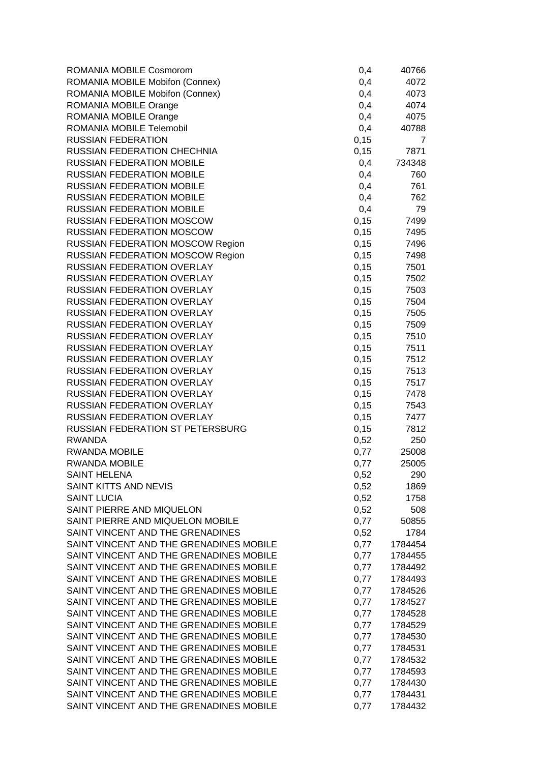| ROMANIA MOBILE Cosmorom                                                            | 0,4   | 40766   |
|------------------------------------------------------------------------------------|-------|---------|
| ROMANIA MOBILE Mobifon (Connex)                                                    | 0,4   | 4072    |
| ROMANIA MOBILE Mobifon (Connex)                                                    | 0,4   | 4073    |
| ROMANIA MOBILE Orange                                                              | 0,4   | 4074    |
| ROMANIA MOBILE Orange                                                              | 0,4   | 4075    |
| ROMANIA MOBILE Telemobil                                                           | 0,4   | 40788   |
| <b>RUSSIAN FEDERATION</b>                                                          | 0,15  | 7       |
| <b>RUSSIAN FEDERATION CHECHNIA</b>                                                 | 0,15  | 7871    |
| <b>RUSSIAN FEDERATION MOBILE</b>                                                   | 0,4   | 734348  |
| <b>RUSSIAN FEDERATION MOBILE</b>                                                   | 0,4   | 760     |
| <b>RUSSIAN FEDERATION MOBILE</b>                                                   | 0,4   | 761     |
| <b>RUSSIAN FEDERATION MOBILE</b>                                                   | 0,4   | 762     |
| <b>RUSSIAN FEDERATION MOBILE</b>                                                   | 0,4   | 79      |
| <b>RUSSIAN FEDERATION MOSCOW</b>                                                   | 0,15  | 7499    |
| <b>RUSSIAN FEDERATION MOSCOW</b>                                                   | 0,15  | 7495    |
| <b>RUSSIAN FEDERATION MOSCOW Region</b>                                            | 0,15  | 7496    |
| <b>RUSSIAN FEDERATION MOSCOW Region</b>                                            | 0,15  | 7498    |
| <b>RUSSIAN FEDERATION OVERLAY</b>                                                  | 0,15  | 7501    |
| <b>RUSSIAN FEDERATION OVERLAY</b>                                                  | 0,15  | 7502    |
| <b>RUSSIAN FEDERATION OVERLAY</b>                                                  | 0, 15 | 7503    |
| <b>RUSSIAN FEDERATION OVERLAY</b>                                                  | 0,15  | 7504    |
| <b>RUSSIAN FEDERATION OVERLAY</b>                                                  | 0,15  | 7505    |
| RUSSIAN FEDERATION OVERLAY                                                         | 0,15  | 7509    |
| <b>RUSSIAN FEDERATION OVERLAY</b>                                                  | 0,15  | 7510    |
| <b>RUSSIAN FEDERATION OVERLAY</b>                                                  | 0,15  | 7511    |
| <b>RUSSIAN FEDERATION OVERLAY</b>                                                  | 0,15  | 7512    |
| <b>RUSSIAN FEDERATION OVERLAY</b>                                                  | 0,15  | 7513    |
| <b>RUSSIAN FEDERATION OVERLAY</b>                                                  | 0,15  | 7517    |
| RUSSIAN FEDERATION OVERLAY                                                         | 0,15  | 7478    |
| RUSSIAN FEDERATION OVERLAY                                                         | 0,15  | 7543    |
| RUSSIAN FEDERATION OVERLAY                                                         | 0,15  | 7477    |
| RUSSIAN FEDERATION ST PETERSBURG                                                   | 0,15  | 7812    |
| <b>RWANDA</b>                                                                      | 0,52  | 250     |
| <b>RWANDA MOBILE</b>                                                               | 0,77  | 25008   |
| <b>RWANDA MOBILE</b>                                                               | 0,77  | 25005   |
| <b>SAINT HELENA</b>                                                                | 0,52  | 290     |
| SAINT KITTS AND NEVIS                                                              | 0,52  | 1869    |
| <b>SAINT LUCIA</b>                                                                 | 0,52  | 1758    |
| SAINT PIERRE AND MIQUELON                                                          | 0,52  | 508     |
| SAINT PIERRE AND MIQUELON MOBILE                                                   | 0,77  | 50855   |
| SAINT VINCENT AND THE GRENADINES                                                   | 0,52  | 1784    |
| SAINT VINCENT AND THE GRENADINES MOBILE                                            | 0,77  | 1784454 |
| SAINT VINCENT AND THE GRENADINES MOBILE                                            | 0,77  | 1784455 |
| SAINT VINCENT AND THE GRENADINES MOBILE                                            | 0,77  | 1784492 |
| SAINT VINCENT AND THE GRENADINES MOBILE                                            | 0,77  | 1784493 |
| SAINT VINCENT AND THE GRENADINES MOBILE                                            | 0,77  | 1784526 |
| SAINT VINCENT AND THE GRENADINES MOBILE                                            | 0,77  | 1784527 |
| SAINT VINCENT AND THE GRENADINES MOBILE                                            |       | 1784528 |
| SAINT VINCENT AND THE GRENADINES MOBILE                                            | 0,77  |         |
| SAINT VINCENT AND THE GRENADINES MOBILE                                            | 0,77  | 1784529 |
|                                                                                    | 0,77  | 1784530 |
| SAINT VINCENT AND THE GRENADINES MOBILE<br>SAINT VINCENT AND THE GRENADINES MOBILE | 0,77  | 1784531 |
|                                                                                    | 0,77  | 1784532 |
| SAINT VINCENT AND THE GRENADINES MOBILE                                            | 0,77  | 1784593 |
| SAINT VINCENT AND THE GRENADINES MOBILE                                            | 0,77  | 1784430 |
| SAINT VINCENT AND THE GRENADINES MOBILE                                            | 0,77  | 1784431 |
| SAINT VINCENT AND THE GRENADINES MOBILE                                            | 0,77  | 1784432 |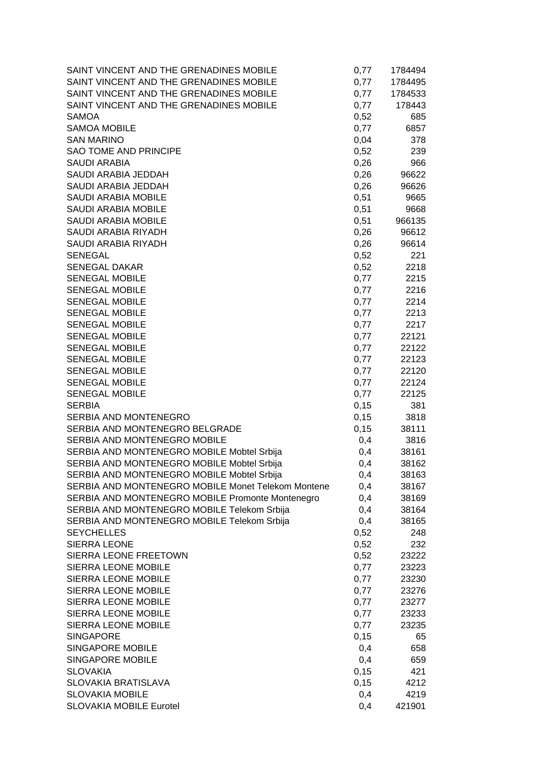| SAINT VINCENT AND THE GRENADINES MOBILE            | 0,77  | 1784494 |
|----------------------------------------------------|-------|---------|
| SAINT VINCENT AND THE GRENADINES MOBILE            | 0,77  | 1784495 |
| SAINT VINCENT AND THE GRENADINES MOBILE            | 0,77  | 1784533 |
| SAINT VINCENT AND THE GRENADINES MOBILE            | 0,77  | 178443  |
| <b>SAMOA</b>                                       | 0,52  | 685     |
| <b>SAMOA MOBILE</b>                                | 0,77  | 6857    |
| <b>SAN MARINO</b>                                  | 0,04  | 378     |
| SAO TOME AND PRINCIPE                              | 0,52  | 239     |
| <b>SAUDI ARABIA</b>                                | 0,26  | 966     |
| <b>SAUDI ARABIA JEDDAH</b>                         | 0,26  | 96622   |
| SAUDI ARABIA JEDDAH                                | 0,26  | 96626   |
| <b>SAUDI ARABIA MOBILE</b>                         | 0,51  | 9665    |
| <b>SAUDI ARABIA MOBILE</b>                         | 0,51  | 9668    |
| SAUDI ARABIA MOBILE                                | 0,51  | 966135  |
| SAUDI ARABIA RIYADH                                | 0,26  | 96612   |
| SAUDI ARABIA RIYADH                                | 0,26  | 96614   |
| <b>SENEGAL</b>                                     | 0,52  | 221     |
| <b>SENEGAL DAKAR</b>                               | 0,52  | 2218    |
| SENEGAL MOBILE                                     | 0,77  | 2215    |
| <b>SENEGAL MOBILE</b>                              | 0,77  | 2216    |
| <b>SENEGAL MOBILE</b>                              | 0,77  | 2214    |
| <b>SENEGAL MOBILE</b>                              | 0,77  | 2213    |
| <b>SENEGAL MOBILE</b>                              | 0,77  | 2217    |
| <b>SENEGAL MOBILE</b>                              | 0,77  | 22121   |
| <b>SENEGAL MOBILE</b>                              | 0,77  | 22122   |
| <b>SENEGAL MOBILE</b>                              | 0,77  | 22123   |
| <b>SENEGAL MOBILE</b>                              | 0,77  | 22120   |
| <b>SENEGAL MOBILE</b>                              | 0,77  | 22124   |
| <b>SENEGAL MOBILE</b>                              | 0,77  | 22125   |
| <b>SERBIA</b>                                      | 0, 15 | 381     |
| SERBIA AND MONTENEGRO                              | 0, 15 | 3818    |
| SERBIA AND MONTENEGRO BELGRADE                     | 0,15  | 38111   |
| SERBIA AND MONTENEGRO MOBILE                       | 0,4   | 3816    |
| SERBIA AND MONTENEGRO MOBILE Mobtel Srbija         | 0,4   | 38161   |
| SERBIA AND MONTENEGRO MOBILE Mobtel Srbija         | 0,4   | 38162   |
| SERBIA AND MONTENEGRO MOBILE Mobtel Srbija         | 0,4   | 38163   |
| SERBIA AND MONTENEGRO MOBILE Monet Telekom Montene | 0,4   | 38167   |
| SERBIA AND MONTENEGRO MOBILE Promonte Montenegro   | 0,4   | 38169   |
| SERBIA AND MONTENEGRO MOBILE Telekom Srbija        | 0,4   | 38164   |
| SERBIA AND MONTENEGRO MOBILE Telekom Srbija        | 0,4   | 38165   |
| <b>SEYCHELLES</b>                                  | 0,52  | 248     |
| <b>SIERRA LEONE</b>                                | 0,52  | 232     |
| SIERRA LEONE FREETOWN                              | 0,52  | 23222   |
| SIERRA LEONE MOBILE                                | 0,77  | 23223   |
| SIERRA LEONE MOBILE                                | 0,77  | 23230   |
| SIERRA LEONE MOBILE                                | 0,77  | 23276   |
| SIERRA LEONE MOBILE                                | 0,77  | 23277   |
| SIERRA LEONE MOBILE                                | 0,77  | 23233   |
| SIERRA LEONE MOBILE                                | 0,77  | 23235   |
| <b>SINGAPORE</b>                                   | 0,15  | 65      |
| <b>SINGAPORE MOBILE</b>                            | 0,4   | 658     |
| <b>SINGAPORE MOBILE</b>                            | 0,4   | 659     |
| <b>SLOVAKIA</b>                                    | 0, 15 | 421     |
| SLOVAKIA BRATISLAVA                                | 0, 15 | 4212    |
| <b>SLOVAKIA MOBILE</b>                             | 0,4   | 4219    |
| <b>SLOVAKIA MOBILE Eurotel</b>                     | 0,4   | 421901  |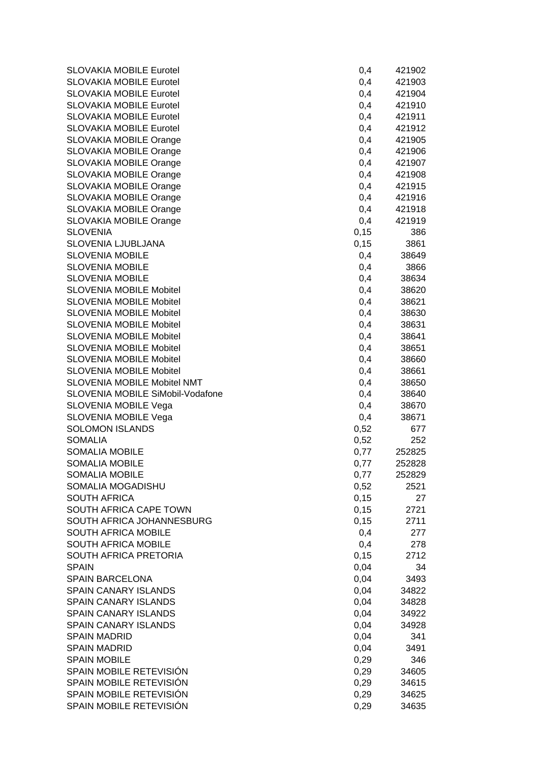| <b>SLOVAKIA MOBILE Eurotel</b>   | 0,4          | 421902         |
|----------------------------------|--------------|----------------|
| <b>SLOVAKIA MOBILE Eurotel</b>   | 0,4          | 421903         |
| <b>SLOVAKIA MOBILE Eurotel</b>   | 0,4          | 421904         |
| <b>SLOVAKIA MOBILE Eurotel</b>   | 0,4          | 421910         |
| <b>SLOVAKIA MOBILE Eurotel</b>   | 0,4          | 421911         |
| <b>SLOVAKIA MOBILE Eurotel</b>   | 0,4          | 421912         |
| SLOVAKIA MOBILE Orange           | 0,4          | 421905         |
| <b>SLOVAKIA MOBILE Orange</b>    | 0,4          | 421906         |
| <b>SLOVAKIA MOBILE Orange</b>    | 0,4          | 421907         |
| SLOVAKIA MOBILE Orange           | 0,4          | 421908         |
| <b>SLOVAKIA MOBILE Orange</b>    | 0,4          | 421915         |
| <b>SLOVAKIA MOBILE Orange</b>    | 0,4          | 421916         |
| SLOVAKIA MOBILE Orange           | 0,4          | 421918         |
| SLOVAKIA MOBILE Orange           | 0,4          | 421919         |
| <b>SLOVENIA</b>                  | 0, 15        | 386            |
| SLOVENIA LJUBLJANA               | 0, 15        | 3861           |
| <b>SLOVENIA MOBILE</b>           | 0,4          | 38649          |
| <b>SLOVENIA MOBILE</b>           | 0,4          | 3866           |
| <b>SLOVENIA MOBILE</b>           | 0,4          | 38634          |
| <b>SLOVENIA MOBILE Mobitel</b>   | 0,4          | 38620          |
| <b>SLOVENIA MOBILE Mobitel</b>   | 0,4          | 38621          |
| <b>SLOVENIA MOBILE Mobitel</b>   | 0,4          | 38630          |
| <b>SLOVENIA MOBILE Mobitel</b>   | 0,4          | 38631          |
| <b>SLOVENIA MOBILE Mobitel</b>   | 0,4          | 38641          |
| <b>SLOVENIA MOBILE Mobitel</b>   | 0,4          | 38651          |
| <b>SLOVENIA MOBILE Mobitel</b>   | 0,4          | 38660          |
| <b>SLOVENIA MOBILE Mobitel</b>   | 0,4          | 38661          |
| SLOVENIA MOBILE Mobitel NMT      | 0,4          | 38650          |
| SLOVENIA MOBILE SiMobil-Vodafone | 0,4          | 38640          |
| SLOVENIA MOBILE Vega             | 0,4          | 38670          |
| <b>SLOVENIA MOBILE Vega</b>      | 0,4          | 38671          |
| <b>SOLOMON ISLANDS</b>           | 0,52         | 677            |
| <b>SOMALIA</b>                   | 0,52         | 252            |
| <b>SOMALIA MOBILE</b>            | 0,77         | 252825         |
| <b>SOMALIA MOBILE</b>            | 0,77         | 252828         |
| SOMALIA MOBILE                   | 0,77         | 252829         |
| SOMALIA MOGADISHU                | 0,52         | 2521           |
| <b>SOUTH AFRICA</b>              | 0, 15        | 27             |
| SOUTH AFRICA CAPE TOWN           | 0,15         | 2721           |
| SOUTH AFRICA JOHANNESBURG        | 0, 15        | 2711           |
| SOUTH AFRICA MOBILE              | 0,4          | 277            |
| SOUTH AFRICA MOBILE              | 0,4          | 278            |
| SOUTH AFRICA PRETORIA            | 0,15         | 2712           |
| <b>SPAIN</b>                     | 0,04         | 34             |
| <b>SPAIN BARCELONA</b>           | 0,04         | 3493           |
| SPAIN CANARY ISLANDS             | 0,04         | 34822          |
| <b>SPAIN CANARY ISLANDS</b>      | 0,04         | 34828          |
| SPAIN CANARY ISLANDS             | 0,04         | 34922          |
| <b>SPAIN CANARY ISLANDS</b>      | 0,04         | 34928          |
| <b>SPAIN MADRID</b>              | 0,04         | 341            |
| <b>SPAIN MADRID</b>              | 0,04         | 3491           |
| <b>SPAIN MOBILE</b>              | 0,29         | 346            |
| SPAIN MOBILE RETEVISIÓN          |              |                |
| SPAIN MOBILE RETEVISIÓN          | 0,29<br>0,29 | 34605<br>34615 |
| SPAIN MOBILE RETEVISIÓN          |              |                |
|                                  | 0,29         | 34625          |
| SPAIN MOBILE RETEVISIÓN          | 0,29         | 34635          |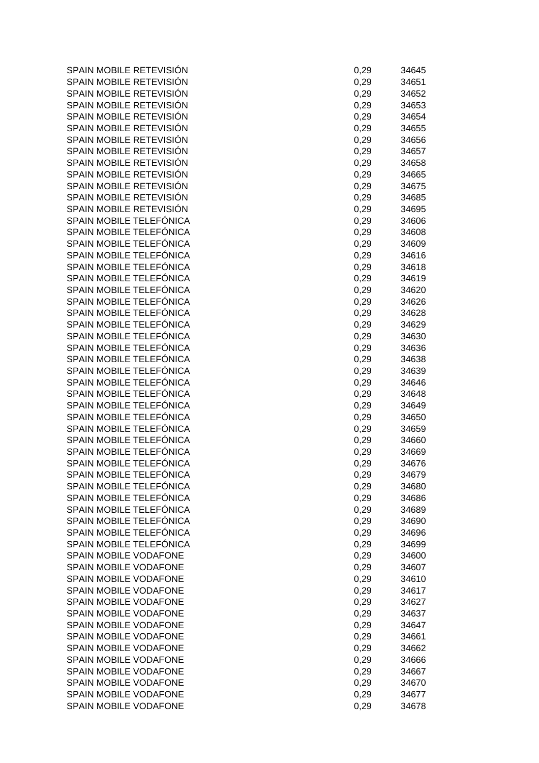SPAIN MOBILE RETEVISIÓN SPAIN MOBILE RETEVISIÓN SPAIN MOBILE RETEVISIÓN SPAIN MOBILE RETEVISIÓN SPAIN MOBILE RETEVISIÓN SPAIN MOBILE RETEVISIÓN SPAIN MOBILE RETEVISIÓN SPAIN MOBILE RETEVISIÓN SPAIN MOBILE RETEVISIÓN SPAIN MOBILE RETEVISIÓN SPAIN MOBILE RETEVISIÓN SPAIN MOBILE RETEVISIÓN SPAIN MOBILE RETEVISIÓN SPAIN MOBILE TELEFÓNICA SPAIN MOBILE TELEFÓNICA SPAIN MOBILE TELEFÓNICA SPAIN MOBILE TELEFÓNICA SPAIN MOBILE TELEFÓNICA SPAIN MOBILE TELEFÓNICA SPAIN MOBILE TELEFÓNICA SPAIN MOBILE TELEFÓNICA SPAIN MOBILE TELEFÓNICA SPAIN MOBILE TELEFÓNICA SPAIN MOBILE TELEFÓNICA SPAIN MOBILE TELEFÓNICA SPAIN MOBILE TELEFÓNICA SPAIN MOBILE TELEFÓNICA SPAIN MOBILE TELEFÓNICA SPAIN MOBILE TELEFÓNICA SPAIN MOBILE TELEFÓNICA SPAIN MOBILE TELEFÓNICA SPAIN MOBILE TELEFÓNICA SPAIN MOBILE TELEFÓNICA SPAIN MOBILE TELEFÓNICA SPAIN MOBILE TELEFÓNICA SPAIN MOBILE TELEFÓNICA SPAIN MOBILE TELEFÓNICA SPAIN MOBILE TELEFÓNICA SPAIN MOBILE TELEFÓNICA SPAIN MOBILE TELEFÓNICA SPAIN MOBILE TELEFÓNICA SPAIN MOBILE TELEFÓNICA SPAIN MOBILE VODAFONE SPAIN MOBILE VODAFONE SPAIN MOBILE VODAFONE SPAIN MOBILE VODAFONE SPAIN MOBILE VODAFONE SPAIN MOBILE VODAFONE SPAIN MOBILE VODAFONE SPAIN MOBILE VODAFONE SPAIN MOBILE VODAFONE SPAIN MOBILE VODAFONE SPAIN MOBILE VODAFONE SPAIN MOBILE VODAFONE SPAIN MOBILE VODAFONE SPAIN MOBILE VODAFONE

| 0,29 | 34645 |
|------|-------|
| 0,29 | 34651 |
| 0,29 | 34652 |
| 0,29 | 34653 |
| 0,29 | 34654 |
|      |       |
| 0,29 | 34655 |
| 0,29 | 34656 |
| 0,29 | 34657 |
| 0,29 | 34658 |
|      | 34665 |
| 0,29 |       |
| 0,29 | 34675 |
| 0,29 | 34685 |
| 0,29 | 34695 |
| 0,29 | 34606 |
|      |       |
| 0,29 | 34608 |
| 0,29 | 34609 |
| 0,29 | 34616 |
| 0,29 | 34618 |
| 0,29 | 34619 |
|      |       |
| 0,29 | 34620 |
| 0,29 | 34626 |
| 0,29 | 34628 |
| 0,29 | 34629 |
| 0,29 | 34630 |
|      |       |
| 0,29 | 34636 |
| 0,29 | 34638 |
| 0,29 | 34639 |
| 0,29 | 34646 |
| 0,29 | 34648 |
| 0,29 | 34649 |
|      | 34650 |
| 0,29 |       |
| 0,29 | 34659 |
| 0,29 | 34660 |
| 0,29 | 34669 |
| 0,29 | 34676 |
| 0,29 | 34679 |
|      | 34680 |
| 0,29 |       |
| 0,29 | 34686 |
| 0,29 | 34689 |
| 0,29 | 34690 |
| 0,29 | 34696 |
| 0,29 | 34699 |
| 0,29 |       |
|      | 34600 |
| 0,29 | 34607 |
| 0,29 | 34610 |
| 0,29 | 34617 |
| 0,29 | 34627 |
| 0,29 | 34637 |
|      |       |
| 0,29 | 34647 |
| 0,29 | 34661 |
| 0,29 | 34662 |
| 0,29 | 34666 |
| 0,29 | 34667 |
|      |       |
| 0,29 | 34670 |
| 0,29 | 34677 |
| 0,29 | 34678 |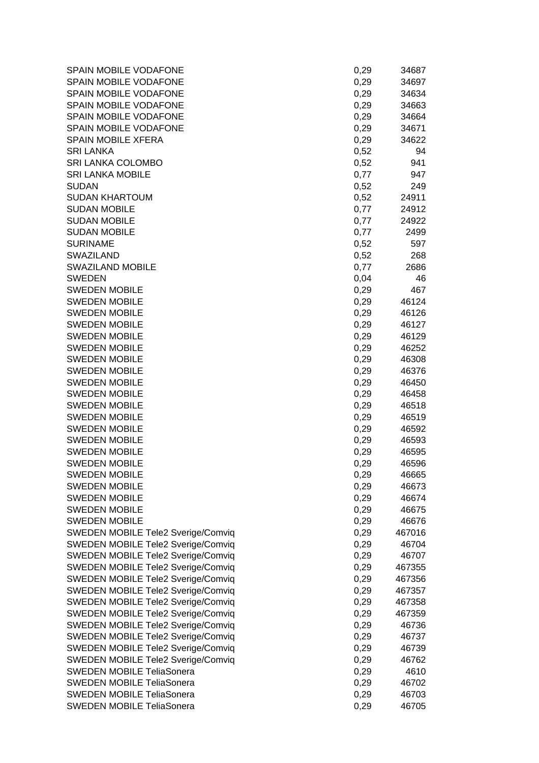| SPAIN MOBILE VODAFONE                     | 0,29 | 34687  |
|-------------------------------------------|------|--------|
| SPAIN MOBILE VODAFONE                     | 0,29 | 34697  |
| SPAIN MOBILE VODAFONE                     | 0,29 | 34634  |
| SPAIN MOBILE VODAFONE                     | 0,29 | 34663  |
| SPAIN MOBILE VODAFONE                     | 0,29 | 34664  |
| SPAIN MOBILE VODAFONE                     | 0,29 | 34671  |
| <b>SPAIN MOBILE XFERA</b>                 | 0,29 | 34622  |
| <b>SRI LANKA</b>                          | 0,52 | 94     |
| SRI LANKA COLOMBO                         | 0,52 | 941    |
| <b>SRI LANKA MOBILE</b>                   | 0,77 | 947    |
| <b>SUDAN</b>                              | 0,52 | 249    |
| <b>SUDAN KHARTOUM</b>                     | 0,52 | 24911  |
| <b>SUDAN MOBILE</b>                       | 0,77 | 24912  |
| <b>SUDAN MOBILE</b>                       | 0,77 | 24922  |
| <b>SUDAN MOBILE</b>                       | 0,77 | 2499   |
| <b>SURINAME</b>                           | 0,52 | 597    |
| <b>SWAZILAND</b>                          | 0,52 | 268    |
| <b>SWAZILAND MOBILE</b>                   | 0,77 | 2686   |
| <b>SWEDEN</b>                             | 0,04 | 46     |
| <b>SWEDEN MOBILE</b>                      | 0,29 | 467    |
| <b>SWEDEN MOBILE</b>                      | 0,29 | 46124  |
| <b>SWEDEN MOBILE</b>                      | 0,29 | 46126  |
| <b>SWEDEN MOBILE</b>                      | 0,29 | 46127  |
| <b>SWEDEN MOBILE</b>                      | 0,29 | 46129  |
| <b>SWEDEN MOBILE</b>                      | 0,29 | 46252  |
| <b>SWEDEN MOBILE</b>                      | 0,29 | 46308  |
| <b>SWEDEN MOBILE</b>                      | 0,29 | 46376  |
| <b>SWEDEN MOBILE</b>                      | 0,29 | 46450  |
| <b>SWEDEN MOBILE</b>                      | 0,29 | 46458  |
| <b>SWEDEN MOBILE</b>                      | 0,29 | 46518  |
| <b>SWEDEN MOBILE</b>                      | 0,29 | 46519  |
| <b>SWEDEN MOBILE</b>                      | 0,29 | 46592  |
| <b>SWEDEN MOBILE</b>                      | 0,29 | 46593  |
| <b>SWEDEN MOBILE</b>                      | 0,29 | 46595  |
| <b>SWEDEN MOBILE</b>                      | 0,29 | 46596  |
| <b>SWEDEN MOBILE</b>                      | 0,29 | 46665  |
| <b>SWEDEN MOBILE</b>                      | 0,29 | 46673  |
| <b>SWEDEN MOBILE</b>                      | 0,29 | 46674  |
| <b>SWEDEN MOBILE</b>                      | 0,29 | 46675  |
| <b>SWEDEN MOBILE</b>                      | 0,29 | 46676  |
| SWEDEN MOBILE Tele2 Sverige/Comviq        | 0,29 | 467016 |
| SWEDEN MOBILE Tele2 Sverige/Comviq        | 0,29 | 46704  |
| <b>SWEDEN MOBILE Tele2 Sverige/Comviq</b> | 0,29 | 46707  |
| SWEDEN MOBILE Tele2 Sverige/Comviq        | 0,29 | 467355 |
| SWEDEN MOBILE Tele2 Sverige/Comviq        | 0,29 | 467356 |
| SWEDEN MOBILE Tele2 Sverige/Comviq        | 0,29 | 467357 |
| SWEDEN MOBILE Tele2 Sverige/Comviq        | 0,29 | 467358 |
| SWEDEN MOBILE Tele2 Sverige/Comviq        | 0,29 | 467359 |
| SWEDEN MOBILE Tele2 Sverige/Comviq        | 0,29 | 46736  |
| SWEDEN MOBILE Tele2 Sverige/Comviq        | 0,29 | 46737  |
| SWEDEN MOBILE Tele2 Sverige/Comviq        | 0,29 | 46739  |
| <b>SWEDEN MOBILE Tele2 Sverige/Comviq</b> | 0,29 | 46762  |
| <b>SWEDEN MOBILE TeliaSonera</b>          | 0,29 | 4610   |
| <b>SWEDEN MOBILE TeliaSonera</b>          | 0,29 | 46702  |
| <b>SWEDEN MOBILE TeliaSonera</b>          | 0,29 | 46703  |
| <b>SWEDEN MOBILE TeliaSonera</b>          | 0,29 | 46705  |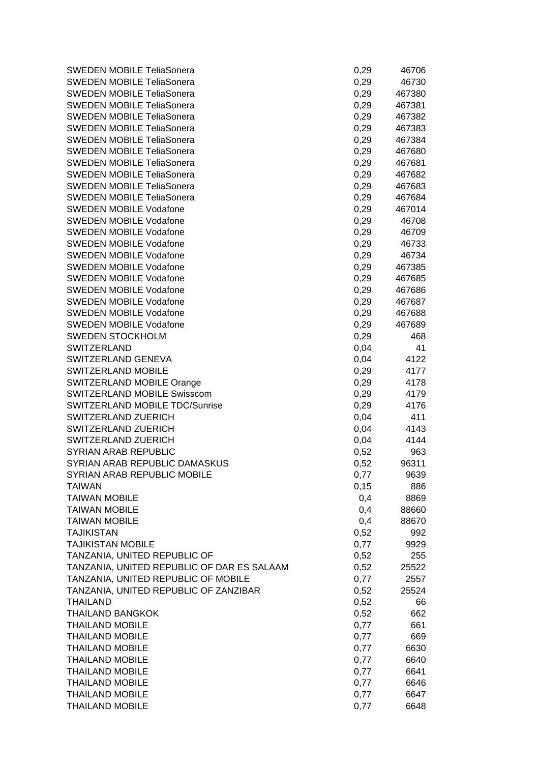| <b>SWEDEN MOBILE TeliaSonera</b>           | 0,29 | 46706  |
|--------------------------------------------|------|--------|
| <b>SWEDEN MOBILE TeliaSonera</b>           | 0,29 | 46730  |
| <b>SWEDEN MOBILE TeliaSonera</b>           | 0,29 | 467380 |
| <b>SWEDEN MOBILE TeliaSonera</b>           | 0,29 | 467381 |
| <b>SWEDEN MOBILE TeliaSonera</b>           | 0,29 | 467382 |
| <b>SWEDEN MOBILE TeliaSonera</b>           | 0,29 | 467383 |
| <b>SWEDEN MOBILE TeliaSonera</b>           | 0,29 | 467384 |
| <b>SWEDEN MOBILE TeliaSonera</b>           | 0,29 | 467680 |
| <b>SWEDEN MOBILE TeliaSonera</b>           | 0,29 | 467681 |
| SWEDEN MOBILE TeliaSonera                  | 0,29 | 467682 |
| <b>SWEDEN MOBILE TeliaSonera</b>           | 0,29 | 467683 |
| <b>SWEDEN MOBILE TeliaSonera</b>           | 0,29 | 467684 |
| <b>SWEDEN MOBILE Vodafone</b>              | 0,29 | 467014 |
| <b>SWEDEN MOBILE Vodafone</b>              | 0,29 | 46708  |
| <b>SWEDEN MOBILE Vodafone</b>              | 0,29 | 46709  |
| <b>SWEDEN MOBILE Vodafone</b>              | 0,29 | 46733  |
| <b>SWEDEN MOBILE Vodafone</b>              | 0,29 | 46734  |
| <b>SWEDEN MOBILE Vodafone</b>              | 0,29 | 467385 |
| <b>SWEDEN MOBILE Vodafone</b>              | 0,29 | 467685 |
| <b>SWEDEN MOBILE Vodafone</b>              | 0,29 | 467686 |
| <b>SWEDEN MOBILE Vodafone</b>              | 0,29 | 467687 |
| <b>SWEDEN MOBILE Vodafone</b>              | 0,29 | 467688 |
| <b>SWEDEN MOBILE Vodafone</b>              | 0,29 | 467689 |
| <b>SWEDEN STOCKHOLM</b>                    | 0,29 | 468    |
| <b>SWITZERLAND</b>                         | 0,04 | 41     |
| SWITZERLAND GENEVA                         | 0,04 | 4122   |
| SWITZERLAND MOBILE                         | 0,29 | 4177   |
| SWITZERLAND MOBILE Orange                  | 0,29 | 4178   |
| <b>SWITZERLAND MOBILE Swisscom</b>         | 0,29 | 4179   |
| SWITZERLAND MOBILE TDC/Sunrise             | 0,29 | 4176   |
| SWITZERLAND ZUERICH                        | 0,04 | 411    |
| SWITZERLAND ZUERICH                        | 0,04 | 4143   |
| SWITZERLAND ZUERICH                        | 0,04 | 4144   |
| <b>SYRIAN ARAB REPUBLIC</b>                | 0,52 | 963    |
| SYRIAN ARAB REPUBLIC DAMASKUS              | 0,52 | 96311  |
| SYRIAN ARAB REPUBLIC MOBILE                | 0,77 | 9639   |
| <b>TAIWAN</b>                              | 0,15 | 886    |
| <b>TAIWAN MOBILE</b>                       | 0,4  | 8869   |
| <b>TAIWAN MOBILE</b>                       | 0,4  | 88660  |
| <b>TAIWAN MOBILE</b>                       | 0,4  | 88670  |
| <b>TAJIKISTAN</b>                          | 0,52 | 992    |
| <b>TAJIKISTAN MOBILE</b>                   | 0,77 | 9929   |
| TANZANIA, UNITED REPUBLIC OF               | 0,52 | 255    |
| TANZANIA, UNITED REPUBLIC OF DAR ES SALAAM | 0,52 | 25522  |
| TANZANIA, UNITED REPUBLIC OF MOBILE        | 0,77 | 2557   |
| TANZANIA, UNITED REPUBLIC OF ZANZIBAR      | 0,52 | 25524  |
| <b>THAILAND</b>                            | 0,52 | 66     |
| <b>THAILAND BANGKOK</b>                    | 0,52 | 662    |
| <b>THAILAND MOBILE</b>                     | 0,77 | 661    |
| <b>THAILAND MOBILE</b>                     | 0,77 | 669    |
| <b>THAILAND MOBILE</b>                     | 0,77 | 6630   |
| <b>THAILAND MOBILE</b>                     | 0,77 | 6640   |
| <b>THAILAND MOBILE</b>                     | 0,77 | 6641   |
| <b>THAILAND MOBILE</b>                     | 0,77 | 6646   |
| <b>THAILAND MOBILE</b>                     | 0,77 | 6647   |
| <b>THAILAND MOBILE</b>                     | 0,77 | 6648   |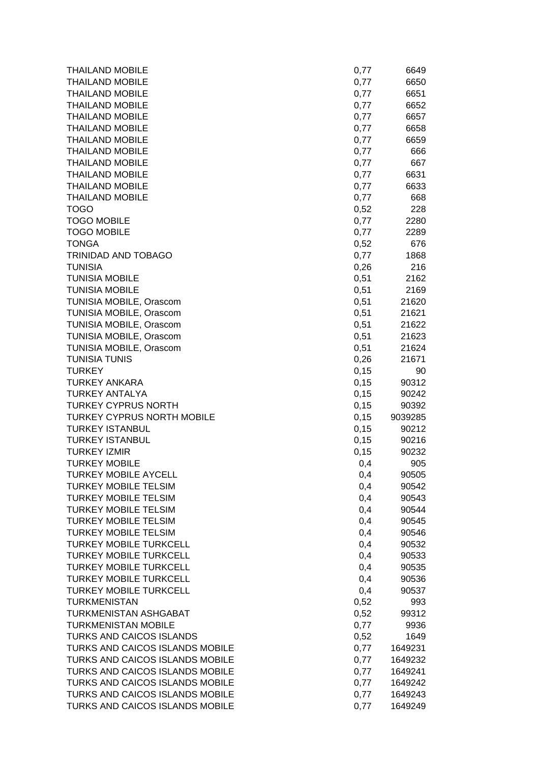| <b>THAILAND MOBILE</b>            | 0,77 | 6649    |
|-----------------------------------|------|---------|
| <b>THAILAND MOBILE</b>            | 0,77 | 6650    |
| <b>THAILAND MOBILE</b>            | 0,77 | 6651    |
| <b>THAILAND MOBILE</b>            | 0,77 | 6652    |
| <b>THAILAND MOBILE</b>            | 0,77 | 6657    |
| <b>THAILAND MOBILE</b>            | 0,77 | 6658    |
| <b>THAILAND MOBILE</b>            | 0,77 | 6659    |
| <b>THAILAND MOBILE</b>            | 0,77 | 666     |
| <b>THAILAND MOBILE</b>            | 0,77 | 667     |
| <b>THAILAND MOBILE</b>            | 0,77 | 6631    |
| <b>THAILAND MOBILE</b>            | 0,77 | 6633    |
| <b>THAILAND MOBILE</b>            | 0,77 | 668     |
| <b>TOGO</b>                       | 0,52 | 228     |
| <b>TOGO MOBILE</b>                | 0,77 | 2280    |
| <b>TOGO MOBILE</b>                | 0,77 | 2289    |
| <b>TONGA</b>                      | 0,52 | 676     |
| TRINIDAD AND TOBAGO               | 0,77 | 1868    |
| <b>TUNISIA</b>                    | 0,26 | 216     |
| <b>TUNISIA MOBILE</b>             | 0,51 | 2162    |
| <b>TUNISIA MOBILE</b>             | 0,51 | 2169    |
| TUNISIA MOBILE, Orascom           | 0,51 | 21620   |
| TUNISIA MOBILE, Orascom           | 0,51 | 21621   |
| TUNISIA MOBILE, Orascom           | 0,51 | 21622   |
| TUNISIA MOBILE, Orascom           | 0,51 | 21623   |
| TUNISIA MOBILE, Orascom           | 0,51 | 21624   |
| <b>TUNISIA TUNIS</b>              | 0,26 | 21671   |
| <b>TURKEY</b>                     | 0,15 | 90      |
| <b>TURKEY ANKARA</b>              | 0,15 | 90312   |
| <b>TURKEY ANTALYA</b>             | 0,15 | 90242   |
| <b>TURKEY CYPRUS NORTH</b>        | 0,15 | 90392   |
| <b>TURKEY CYPRUS NORTH MOBILE</b> | 0,15 | 9039285 |
| <b>TURKEY ISTANBUL</b>            | 0,15 | 90212   |
| <b>TURKEY ISTANBUL</b>            | 0,15 | 90216   |
| <b>TURKEY IZMIR</b>               | 0,15 | 90232   |
| <b>TURKEY MOBILE</b>              | 0,4  | 905     |
| TURKEY MOBILE AYCELL              | 0,4  | 90505   |
| <b>TURKEY MOBILE TELSIM</b>       | 0,4  | 90542   |
| <b>TURKEY MOBILE TELSIM</b>       | 0,4  | 90543   |
| <b>TURKEY MOBILE TELSIM</b>       | 0,4  | 90544   |
| <b>TURKEY MOBILE TELSIM</b>       | 0,4  | 90545   |
| <b>TURKEY MOBILE TELSIM</b>       | 0,4  | 90546   |
| <b>TURKEY MOBILE TURKCELL</b>     | 0,4  | 90532   |
| <b>TURKEY MOBILE TURKCELL</b>     | 0,4  | 90533   |
| <b>TURKEY MOBILE TURKCELL</b>     | 0,4  | 90535   |
| <b>TURKEY MOBILE TURKCELL</b>     | 0,4  | 90536   |
| <b>TURKEY MOBILE TURKCELL</b>     | 0,4  | 90537   |
| <b>TURKMENISTAN</b>               | 0,52 | 993     |
| <b>TURKMENISTAN ASHGABAT</b>      | 0,52 | 99312   |
| <b>TURKMENISTAN MOBILE</b>        | 0,77 | 9936    |
| <b>TURKS AND CAICOS ISLANDS</b>   | 0,52 | 1649    |
| TURKS AND CAICOS ISLANDS MOBILE   | 0,77 | 1649231 |
| TURKS AND CAICOS ISLANDS MOBILE   | 0,77 | 1649232 |
| TURKS AND CAICOS ISLANDS MOBILE   | 0,77 | 1649241 |
| TURKS AND CAICOS ISLANDS MOBILE   | 0,77 | 1649242 |
| TURKS AND CAICOS ISLANDS MOBILE   | 0,77 | 1649243 |
| TURKS AND CAICOS ISLANDS MOBILE   | 0,77 | 1649249 |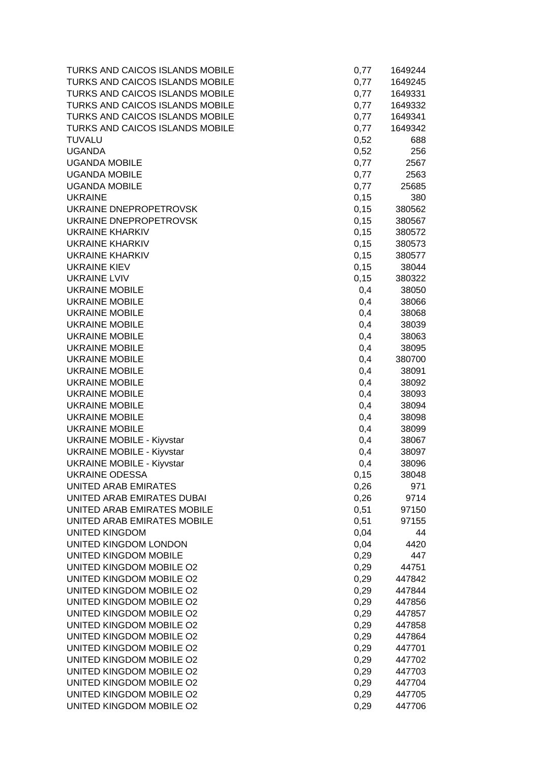| TURKS AND CAICOS ISLANDS MOBILE                      | 0,77         | 1649244          |
|------------------------------------------------------|--------------|------------------|
| TURKS AND CAICOS ISLANDS MOBILE                      | 0,77         | 1649245          |
| TURKS AND CAICOS ISLANDS MOBILE                      | 0,77         | 1649331          |
| TURKS AND CAICOS ISLANDS MOBILE                      | 0,77         | 1649332          |
| TURKS AND CAICOS ISLANDS MOBILE                      | 0,77         | 1649341          |
| TURKS AND CAICOS ISLANDS MOBILE                      | 0,77         | 1649342          |
| <b>TUVALU</b>                                        | 0,52         | 688              |
| <b>UGANDA</b>                                        | 0,52         | 256              |
| <b>UGANDA MOBILE</b>                                 | 0,77         | 2567             |
| <b>UGANDA MOBILE</b>                                 | 0,77         | 2563             |
| <b>UGANDA MOBILE</b>                                 | 0,77         | 25685            |
| <b>UKRAINE</b>                                       | 0,15         | 380              |
| UKRAINE DNEPROPETROVSK                               | 0,15         | 380562           |
| UKRAINE DNEPROPETROVSK                               | 0,15         | 380567           |
| <b>UKRAINE KHARKIV</b>                               | 0,15         | 380572           |
| <b>UKRAINE KHARKIV</b>                               | 0,15         | 380573           |
| <b>UKRAINE KHARKIV</b>                               | 0,15         | 380577           |
| <b>UKRAINE KIEV</b>                                  | 0,15         | 38044            |
| <b>UKRAINE LVIV</b>                                  | 0,15         | 380322           |
| <b>UKRAINE MOBILE</b>                                | 0,4          | 38050            |
| <b>UKRAINE MOBILE</b>                                | 0,4          | 38066            |
| <b>UKRAINE MOBILE</b>                                | 0,4          | 38068            |
| <b>UKRAINE MOBILE</b>                                | 0,4          | 38039            |
| <b>UKRAINE MOBILE</b>                                | 0,4          | 38063            |
| <b>UKRAINE MOBILE</b>                                | 0,4          | 38095            |
| <b>UKRAINE MOBILE</b>                                | 0,4          | 380700           |
| <b>UKRAINE MOBILE</b>                                | 0,4          | 38091            |
| <b>UKRAINE MOBILE</b>                                | 0,4          | 38092            |
| <b>UKRAINE MOBILE</b>                                | 0,4          | 38093            |
| <b>UKRAINE MOBILE</b>                                | 0,4          | 38094            |
| <b>UKRAINE MOBILE</b>                                | 0,4          | 38098            |
| <b>UKRAINE MOBILE</b>                                | 0,4          | 38099            |
| <b>UKRAINE MOBILE - Kiyvstar</b>                     | 0,4          | 38067            |
| <b>UKRAINE MOBILE - Kiyvstar</b>                     | 0,4          | 38097            |
| <b>UKRAINE MOBILE - Kiyvstar</b>                     | 0,4          | 38096            |
| <b>UKRAINE ODESSA</b>                                | 0,15         | 38048            |
| <b>UNITED ARAB EMIRATES</b>                          | 0,26         | 971              |
| UNITED ARAB EMIRATES DUBAI                           | 0,26         | 9714             |
| UNITED ARAB EMIRATES MOBILE                          | 0,51         | 97150            |
| UNITED ARAB EMIRATES MOBILE                          | 0,51         | 97155            |
| <b>UNITED KINGDOM</b>                                | 0,04         | 44               |
| UNITED KINGDOM LONDON                                | 0,04         | 4420             |
| UNITED KINGDOM MOBILE                                | 0,29         | 447              |
| UNITED KINGDOM MOBILE O2<br>UNITED KINGDOM MOBILE O2 | 0,29         | 44751            |
| UNITED KINGDOM MOBILE O2                             | 0,29         | 447842<br>447844 |
| UNITED KINGDOM MOBILE O2                             | 0,29         |                  |
| UNITED KINGDOM MOBILE O2                             | 0,29<br>0,29 | 447856<br>447857 |
| UNITED KINGDOM MOBILE O2                             | 0,29         | 447858           |
| UNITED KINGDOM MOBILE O2                             | 0,29         | 447864           |
| UNITED KINGDOM MOBILE O2                             |              | 447701           |
| UNITED KINGDOM MOBILE O2                             | 0,29<br>0,29 | 447702           |
| UNITED KINGDOM MOBILE O2                             | 0,29         | 447703           |
| UNITED KINGDOM MOBILE O2                             | 0,29         | 447704           |
| UNITED KINGDOM MOBILE O2                             | 0,29         | 447705           |
| UNITED KINGDOM MOBILE O2                             | 0,29         | 447706           |
|                                                      |              |                  |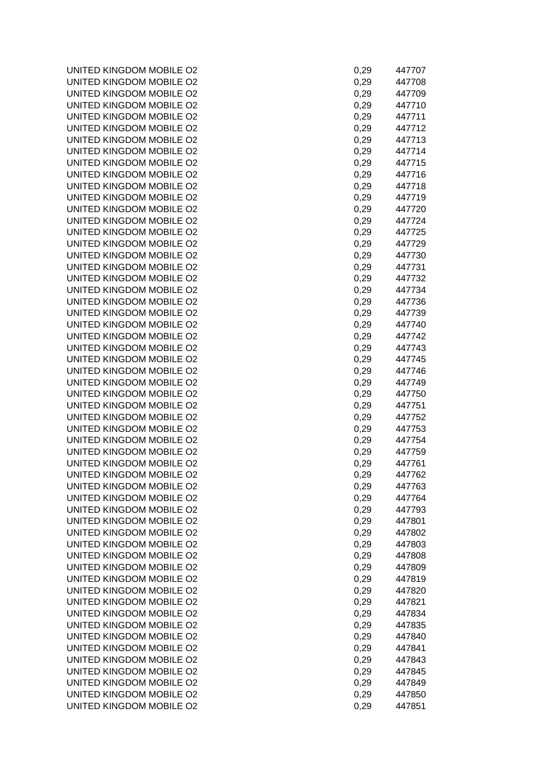UNITED KINGDOM MOBILE O2 UNITED KINGDOM MOBILE O2 UNITED KINGDOM MOBILE O2 UNITED KINGDOM MOBILE O2 UNITED KINGDOM MOBILE O2 UNITED KINGDOM MOBILE O2 UNITED KINGDOM MOBILE O2 UNITED KINGDOM MOBILE O2 UNITED KINGDOM MOBILE O2 UNITED KINGDOM MOBILE O2 UNITED KINGDOM MOBILE O2 UNITED KINGDOM MOBILE O2 UNITED KINGDOM MOBILE O2 UNITED KINGDOM MOBILE O2 UNITED KINGDOM MOBILE O2 UNITED KINGDOM MOBILE O2 UNITED KINGDOM MOBILE O2 UNITED KINGDOM MOBILE O2 UNITED KINGDOM MOBILE O2 UNITED KINGDOM MOBILE O2 UNITED KINGDOM MOBILE O2 UNITED KINGDOM MOBILE O2 UNITED KINGDOM MOBILE O2 UNITED KINGDOM MOBILE O2 UNITED KINGDOM MOBILE O2 UNITED KINGDOM MOBILE O2 UNITED KINGDOM MOBILE O2 UNITED KINGDOM MOBILE O2 UNITED KINGDOM MOBILE O2 UNITED KINGDOM MOBILE O2 UNITED KINGDOM MOBILE O2 UNITED KINGDOM MOBILE O2 UNITED KINGDOM MOBILE O2 UNITED KINGDOM MOBILE O2 UNITED KINGDOM MOBILE O2 UNITED KINGDOM MOBILE O2 UNITED KINGDOM MOBILE O2 UNITED KINGDOM MOBILE O2 UNITED KINGDOM MOBILE O2 UNITED KINGDOM MOBILE O2 UNITED KINGDOM MOBILE O2 UNITED KINGDOM MOBILE O2 UNITED KINGDOM MOBILE O2 UNITED KINGDOM MOBILE O2 UNITED KINGDOM MOBILE O2 UNITED KINGDOM MOBILE O2 UNITED KINGDOM MOBILE O2 UNITED KINGDOM MOBILE O2 UNITED KINGDOM MOBILE O2 UNITED KINGDOM MOBILE O2 UNITED KINGDOM MOBILE O2 UNITED KINGDOM MOBILE O2 UNITED KINGDOM MOBILE O2 UNITED KINGDOM MOBILE O2 UNITED KINGDOM MOBILE O2 UNITED KINGDOM MOBILE O2

| 0,29 | 447707 |
|------|--------|
|      |        |
| 0,29 | 447708 |
| 0,29 | 447709 |
| 0,29 | 447710 |
| 0,29 | 447711 |
| 0,29 | 447712 |
|      |        |
| 0,29 | 447713 |
| 0,29 | 447714 |
| 0,29 | 447715 |
| 0,29 | 447716 |
| 0,29 | 447718 |
| 0,29 | 447719 |
| 0,29 | 447720 |
|      |        |
| 0,29 | 447724 |
| 0,29 | 447725 |
| 0,29 | 447729 |
| 0,29 | 447730 |
| 0,29 | 447731 |
| 0,29 | 447732 |
|      |        |
| 0,29 | 447734 |
| 0,29 | 447736 |
| 0,29 | 447739 |
| 0,29 | 447740 |
| 0,29 | 447742 |
| 0,29 | 447743 |
|      | 447745 |
| 0,29 |        |
| 0,29 | 447746 |
| 0,29 | 447749 |
| 0,29 | 447750 |
| 0,29 | 447751 |
| 0,29 | 447752 |
|      |        |
| 0,29 | 447753 |
| 0,29 | 447754 |
| 0,29 | 447759 |
| 0,29 | 447761 |
| 0,29 | 447762 |
| 0,29 | 447763 |
| 0,29 | 447764 |
|      |        |
| 0,29 | 447793 |
| 0,29 | 447801 |
| 0,29 | 447802 |
| 0,29 | 447803 |
| 0,29 | 447808 |
| 0,29 | 447809 |
| 0,29 | 447819 |
|      |        |
| 0,29 | 447820 |
| 0,29 | 447821 |
| 0,29 | 447834 |
| 0,29 | 447835 |
| 0,29 | 447840 |
| 0,29 | 447841 |
| 0,29 | 447843 |
|      |        |
| 0,29 | 447845 |
| 0,29 | 447849 |
| 0,29 | 447850 |
|      |        |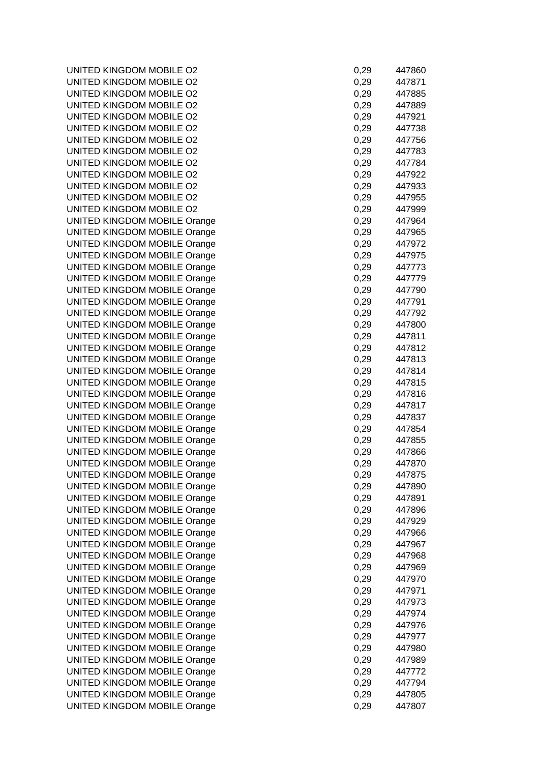UNITED KINGDOM MOBILE O2 UNITED KINGDOM MOBILE O2 UNITED KINGDOM MOBILE O2 UNITED KINGDOM MOBILE O2 UNITED KINGDOM MOBILE O2 UNITED KINGDOM MOBILE O2 UNITED KINGDOM MOBILE O2 UNITED KINGDOM MOBILE O2 UNITED KINGDOM MOBILE O2 UNITED KINGDOM MOBILE O2 UNITED KINGDOM MOBILE O2 UNITED KINGDOM MOBILE O2 UNITED KINGDOM MOBILE O2 UNITED KINGDOM MOBILE Orange UNITED KINGDOM MOBILE Orange UNITED KINGDOM MOBILE Orange UNITED KINGDOM MOBILE Orange UNITED KINGDOM MOBILE Orange UNITED KINGDOM MOBILE Orange UNITED KINGDOM MOBILE Orange UNITED KINGDOM MOBILE Orange UNITED KINGDOM MOBILE Orange UNITED KINGDOM MOBILE Orange UNITED KINGDOM MOBILE Orange UNITED KINGDOM MOBILE Orange UNITED KINGDOM MOBILE Orange UNITED KINGDOM MOBILE Orange UNITED KINGDOM MOBILE Orange UNITED KINGDOM MOBILE Orange UNITED KINGDOM MOBILE Orange UNITED KINGDOM MOBILE Orange UNITED KINGDOM MOBILE Orange UNITED KINGDOM MOBILE Orange UNITED KINGDOM MOBILE Orange UNITED KINGDOM MOBILE Orange UNITED KINGDOM MOBILE Orange UNITED KINGDOM MOBILE Orange UNITED KINGDOM MOBILE Orange UNITED KINGDOM MOBILE Orange UNITED KINGDOM MOBILE Orange UNITED KINGDOM MOBILE Orange UNITED KINGDOM MOBILE Orange UNITED KINGDOM MOBILE Orange UNITED KINGDOM MOBILE Orange UNITED KINGDOM MOBILE Orange UNITED KINGDOM MOBILE Orange UNITED KINGDOM MOBILE Orange UNITED KINGDOM MOBILE Orange UNITED KINGDOM MOBILE Orange UNITED KINGDOM MOBILE Orange UNITED KINGDOM MOBILE Orange UNITED KINGDOM MOBILE Orange UNITED KINGDOM MOBILE Orange UNITED KINGDOM MOBILE Orange UNITED KINGDOM MOBILE Orange UNITED KINGDOM MOBILE Orange

| 0,29 | 447860 |
|------|--------|
| 0,29 | 447871 |
| 0,29 | 447885 |
| 0,29 | 447889 |
| 0,29 | 447921 |
| 0,29 | 447738 |
| 0,29 | 447756 |
| 0,29 | 447783 |
| 0,29 | 447784 |
| 0,29 | 447922 |
| 0,29 | 447933 |
| 0,29 | 447955 |
| 0,29 | 447999 |
| 0,29 | 447964 |
| 0,29 | 447965 |
| 0,29 | 447972 |
| 0,29 | 447975 |
| 0,29 | 447773 |
| 0,29 | 447779 |
| 0,29 | 447790 |
| 0,29 | 447791 |
| 0,29 | 447792 |
| 0,29 | 447800 |
| 0,29 | 447811 |
| 0,29 | 447812 |
| 0,29 | 447813 |
| 0,29 | 447814 |
| 0,29 | 447815 |
| 0,29 | 447816 |
| 0,29 | 447817 |
| 0,29 | 447837 |
| 0,29 | 447854 |
| 0,29 | 447855 |
| 0,29 | 447866 |
| 0,29 | 447870 |
| 0,29 | 447875 |
| 0,29 | 447890 |
| 0,29 | 447891 |
| 0,29 | 447896 |
| 0,29 | 447929 |
| 0,29 | 447966 |
| 0,29 | 447967 |
| 0,29 | 447968 |
| 0,29 | 447969 |
| 0,29 | 447970 |
| 0,29 | 447971 |
| 0,29 | 447973 |
| 0,29 | 447974 |
| 0,29 | 447976 |
| 0,29 | 447977 |
| 0,29 | 447980 |
| 0,29 | 447989 |
| 0,29 | 447772 |
| 0,29 | 447794 |
| 0,29 | 447805 |
| 0,29 | 447807 |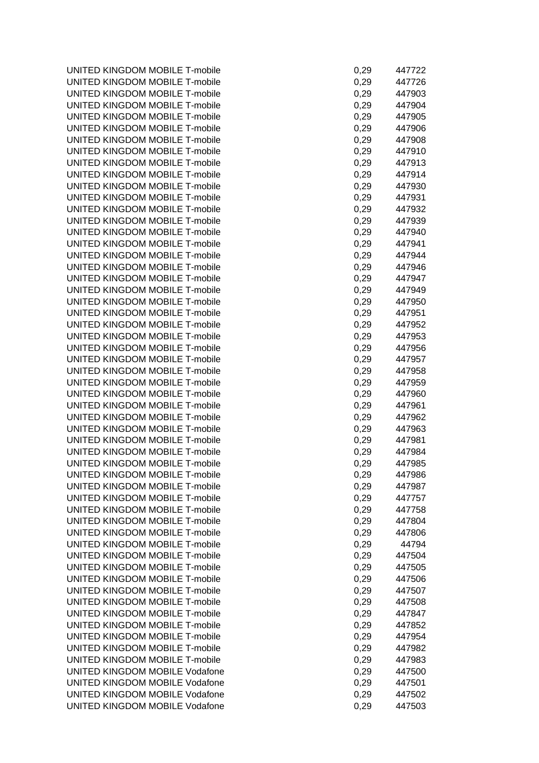UNITED KINGDOM MOBILE T-mobile UNITED KINGDOM MOBILE T-mobile UNITED KINGDOM MOBILE T-mobile UNITED KINGDOM MOBILE T-mobile UNITED KINGDOM MOBILE T-mobile UNITED KINGDOM MOBILE T-mobile UNITED KINGDOM MOBILE T-mobile UNITED KINGDOM MOBILE T-mobile UNITED KINGDOM MOBILE T-mobile UNITED KINGDOM MOBILE T-mobile UNITED KINGDOM MOBILE T-mobile UNITED KINGDOM MOBILE T-mobile UNITED KINGDOM MOBILE T-mobile UNITED KINGDOM MOBILE T-mobile UNITED KINGDOM MOBILE T-mobile UNITED KINGDOM MOBILE T-mobile UNITED KINGDOM MOBILE T-mobile UNITED KINGDOM MOBILE T-mobile UNITED KINGDOM MOBILE T-mobile UNITED KINGDOM MOBILE T-mobile UNITED KINGDOM MOBILE T-mobile UNITED KINGDOM MOBILE T-mobile UNITED KINGDOM MOBILE T-mobile UNITED KINGDOM MOBILE T-mobile UNITED KINGDOM MOBILE T-mobile UNITED KINGDOM MOBILE T-mobile UNITED KINGDOM MOBILE T-mobile UNITED KINGDOM MOBILE T-mobile UNITED KINGDOM MOBILE T-mobile UNITED KINGDOM MOBILE T-mobile UNITED KINGDOM MOBILE T-mobile UNITED KINGDOM MOBILE T-mobile UNITED KINGDOM MOBILE T-mobile UNITED KINGDOM MOBILE T-mobile UNITED KINGDOM MOBILE T-mobile UNITED KINGDOM MOBILE T-mobile UNITED KINGDOM MOBILE T-mobile UNITED KINGDOM MOBILE T-mobile UNITED KINGDOM MOBILE T-mobile UNITED KINGDOM MOBILE T-mobile UNITED KINGDOM MOBILE T-mobile UNITED KINGDOM MOBILE T-mobile UNITED KINGDOM MOBILE T-mobile UNITED KINGDOM MOBILE T-mobile UNITED KINGDOM MOBILE T-mobile UNITED KINGDOM MOBILE T-mobile UNITED KINGDOM MOBILE T-mobile UNITED KINGDOM MOBILE T-mobile UNITED KINGDOM MOBILE T-mobile UNITED KINGDOM MOBILE T-mobile UNITED KINGDOM MOBILE T-mobile UNITED KINGDOM MOBILE T-mobile UNITED KINGDOM MOBILE Vodafone UNITED KINGDOM MOBILE Vodafone UNITED KINGDOM MOBILE Vodafone UNITED KINGDOM MOBILE Vodafone

| 0,29 | 447722 |
|------|--------|
| 0,29 | 447726 |
| 0,29 | 447903 |
| 0,29 | 447904 |
| 0,29 | 447905 |
| 0,29 | 447906 |
| 0,29 | 447908 |
| 0,29 | 447910 |
| 0,29 | 447913 |
| 0,29 | 447914 |
| 0,29 | 447930 |
| 0,29 | 447931 |
| 0,29 | 447932 |
| 0,29 | 447939 |
| 0,29 | 447940 |
| 0,29 | 447941 |
|      | 447944 |
| 0,29 | 447946 |
| 0,29 |        |
| 0,29 | 447947 |
| 0,29 | 447949 |
| 0,29 | 447950 |
| 0,29 | 447951 |
| 0,29 | 447952 |
| 0,29 | 447953 |
| 0,29 | 447956 |
| 0,29 | 447957 |
| 0,29 | 447958 |
| 0,29 | 447959 |
| 0,29 | 447960 |
| 0,29 | 447961 |
| 0,29 | 447962 |
| 0,29 | 447963 |
| 0,29 | 447981 |
| 0,29 | 447984 |
| 0,29 | 447985 |
| 0,29 | 447986 |
| 0,29 | 447987 |
| 0,29 | 447757 |
| 0,29 | 447758 |
| 0,29 | 447804 |
| 0,29 | 447806 |
| 0,29 | 44794  |
| 0,29 | 447504 |
| 0,29 | 447505 |
| 0,29 | 447506 |
| 0,29 | 447507 |
| 0,29 | 447508 |
| 0,29 | 447847 |
| 0,29 | 447852 |
| 0,29 | 447954 |
| 0,29 | 447982 |
| 0,29 | 447983 |
| 0,29 | 447500 |
| 0,29 | 447501 |
| 0,29 | 447502 |
| 0,29 | 447503 |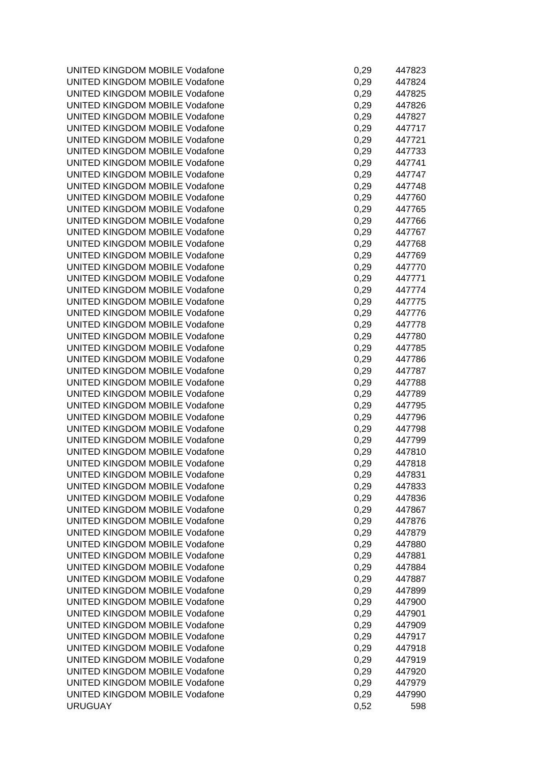UNITED KINGDOM MOBILE Vodafone UNITED KINGDOM MOBILE Vodafone UNITED KINGDOM MOBILE Vodafone UNITED KINGDOM MOBILE Vodafone UNITED KINGDOM MOBILE Vodafone UNITED KINGDOM MOBILE Vodafone UNITED KINGDOM MOBILE Vodafone UNITED KINGDOM MOBILE Vodafone UNITED KINGDOM MOBILE Vodafone UNITED KINGDOM MOBILE Vodafone UNITED KINGDOM MOBILE Vodafone UNITED KINGDOM MOBILE Vodafone UNITED KINGDOM MOBILE Vodafone UNITED KINGDOM MOBILE Vodafone UNITED KINGDOM MOBILE Vodafone UNITED KINGDOM MOBILE Vodafone UNITED KINGDOM MOBILE Vodafone UNITED KINGDOM MOBILE Vodafone UNITED KINGDOM MOBILE Vodafone UNITED KINGDOM MOBILE Vodafone UNITED KINGDOM MOBILE Vodafone UNITED KINGDOM MOBILE Vodafone UNITED KINGDOM MOBILE Vodafone UNITED KINGDOM MOBILE Vodafone UNITED KINGDOM MOBILE Vodafone UNITED KINGDOM MOBILE Vodafone UNITED KINGDOM MOBILE Vodafone UNITED KINGDOM MOBILE Vodafone UNITED KINGDOM MOBILE Vodafone UNITED KINGDOM MOBILE Vodafone UNITED KINGDOM MOBILE Vodafone UNITED KINGDOM MOBILE Vodafone UNITED KINGDOM MOBILE Vodafone UNITED KINGDOM MOBILE Vodafone UNITED KINGDOM MOBILE Vodafone UNITED KINGDOM MOBILE Vodafone UNITED KINGDOM MOBILE Vodafone UNITED KINGDOM MOBILE Vodafone UNITED KINGDOM MOBILE Vodafone UNITED KINGDOM MOBILE Vodafone UNITED KINGDOM MOBILE Vodafone UNITED KINGDOM MOBILE Vodafone UNITED KINGDOM MOBILE Vodafone UNITED KINGDOM MOBILE Vodafone UNITED KINGDOM MOBILE Vodafone UNITED KINGDOM MOBILE Vodafone UNITED KINGDOM MOBILE Vodafone UNITED KINGDOM MOBILE Vodafone UNITED KINGDOM MOBILE Vodafone UNITED KINGDOM MOBILE Vodafone UNITED KINGDOM MOBILE Vodafone UNITED KINGDOM MOBILE Vodafone UNITED KINGDOM MOBILE Vodafone UNITED KINGDOM MOBILE Vodafone UNITED KINGDOM MOBILE Vodafone **URUGUAY** 

| 0,29 | 447823 |
|------|--------|
| 0,29 | 447824 |
| 0,29 | 447825 |
| 0,29 | 447826 |
| 0,29 | 447827 |
| 0,29 | 447717 |
| 0,29 | 447721 |
| 0,29 | 447733 |
| 0,29 | 447741 |
| 0,29 | 447747 |
| 0,29 | 447748 |
| 0,29 | 447760 |
| 0,29 | 447765 |
| 0,29 | 447766 |
| 0,29 | 447767 |
| 0,29 | 447768 |
| 0,29 | 447769 |
| 0,29 | 447770 |
| 0,29 | 447771 |
| 0,29 | 447774 |
| 0,29 | 447775 |
| 0,29 | 447776 |
| 0,29 | 447778 |
| 0,29 | 447780 |
| 0,29 | 447785 |
| 0,29 | 447786 |
| 0,29 | 447787 |
| 0,29 | 447788 |
| 0,29 | 447789 |
| 0,29 | 447795 |
| 0,29 | 447796 |
| 0,29 | 447798 |
| 0,29 | 447799 |
| 0,29 | 447810 |
| 0,29 | 447818 |
| 0,29 | 447831 |
| 0,29 | 447833 |
| 0,29 | 447836 |
| 0,29 | 447867 |
| 0,29 | 447876 |
| 0,29 | 447879 |
| 0,29 | 447880 |
| 0,29 | 447881 |
| 0,29 | 447884 |
| 0,29 | 447887 |
| 0,29 | 447899 |
| 0,29 | 447900 |
| 0,29 | 447901 |
| 0,29 | 447909 |
| 0,29 | 447917 |
| 0,29 | 447918 |
| 0,29 | 447919 |
| 0,29 | 447920 |
| 0,29 | 447979 |
| 0,29 | 447990 |
| 0,52 | 598    |
|      |        |